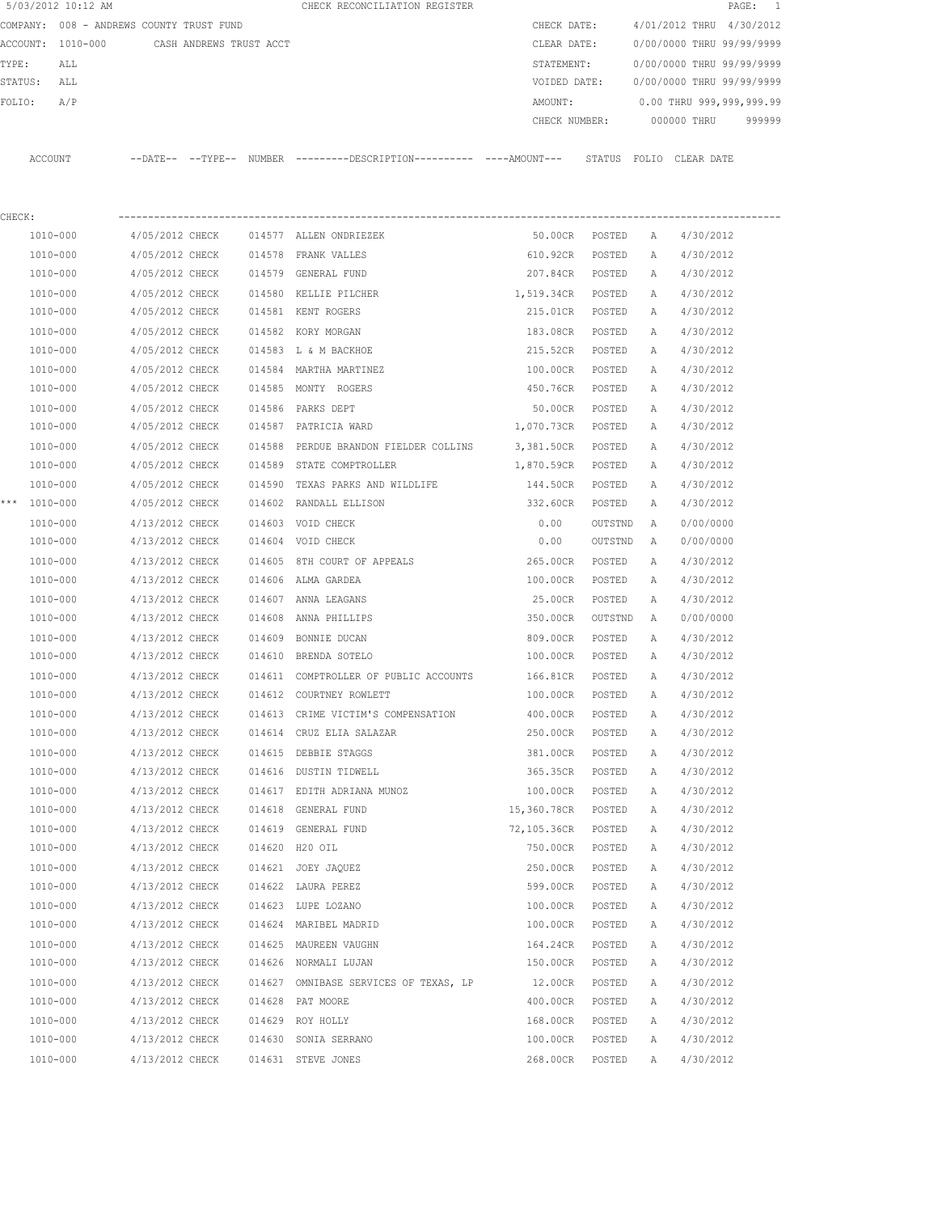|         | 5/03/2012 10:12 AM                       |                 |                         |        | CHECK RECONCILIATION REGISTER                                                                |               |         |              | $\mathtt{PAGE}$ :         | -1     |
|---------|------------------------------------------|-----------------|-------------------------|--------|----------------------------------------------------------------------------------------------|---------------|---------|--------------|---------------------------|--------|
|         | COMPANY: 008 - ANDREWS COUNTY TRUST FUND |                 |                         |        |                                                                                              | CHECK DATE:   |         |              | 4/01/2012 THRU 4/30/2012  |        |
|         | ACCOUNT: 1010-000                        |                 | CASH ANDREWS TRUST ACCT |        |                                                                                              | CLEAR DATE:   |         |              | 0/00/0000 THRU 99/99/9999 |        |
| TYPE:   | ALL                                      |                 |                         |        |                                                                                              | STATEMENT:    |         |              | 0/00/0000 THRU 99/99/9999 |        |
| STATUS: | ALL                                      |                 |                         |        |                                                                                              | VOIDED DATE:  |         |              | 0/00/0000 THRU 99/99/9999 |        |
| FOLIO:  | A/P                                      |                 |                         |        |                                                                                              | AMOUNT:       |         |              | 0.00 THRU 999,999,999.99  |        |
|         |                                          |                 |                         |        |                                                                                              | CHECK NUMBER: |         |              | 000000 THRU               | 999999 |
|         | ACCOUNT                                  |                 |                         |        | --DATE-- --TYPE-- NUMBER --------DESCRIPTION---------- ----AMOUNT--- STATUS FOLIO CLEAR DATE |               |         |              |                           |        |
| CHECK:  |                                          |                 |                         |        |                                                                                              |               |         |              |                           |        |
|         | 1010-000                                 | 4/05/2012 CHECK |                         |        | 014577 ALLEN ONDRIEZEK                                                                       | 50.00CR       | POSTED  | A            | 4/30/2012                 |        |
|         | 1010-000                                 | 4/05/2012 CHECK |                         |        | 014578 FRANK VALLES                                                                          | 610.92CR      | POSTED  | A            | 4/30/2012                 |        |
|         | 1010-000                                 | 4/05/2012 CHECK |                         |        | 014579 GENERAL FUND                                                                          | 207.84CR      | POSTED  | А            | 4/30/2012                 |        |
|         | 1010-000                                 | 4/05/2012 CHECK |                         |        | 014580 KELLIE PILCHER                                                                        | 1,519.34CR    | POSTED  | A            | 4/30/2012                 |        |
|         | 1010-000                                 | 4/05/2012 CHECK |                         |        | 014581 KENT ROGERS                                                                           | 215.01CR      | POSTED  | A            | 4/30/2012                 |        |
|         | 1010-000                                 | 4/05/2012 CHECK |                         |        | 014582 KORY MORGAN                                                                           | 183.08CR      | POSTED  | А            | 4/30/2012                 |        |
|         | 1010-000                                 | 4/05/2012 CHECK |                         |        | 014583 L & M BACKHOE                                                                         | 215.52CR      | POSTED  | A            | 4/30/2012                 |        |
|         | 1010-000                                 | 4/05/2012 CHECK |                         | 014584 | MARTHA MARTINEZ                                                                              | 100.00CR      | POSTED  | A            | 4/30/2012                 |        |
|         | 1010-000                                 | 4/05/2012 CHECK |                         |        | 014585 MONTY ROGERS                                                                          | 450.76CR      | POSTED  | A            | 4/30/2012                 |        |
|         | 1010-000                                 | 4/05/2012 CHECK |                         |        | 014586 PARKS DEPT                                                                            | 50.00CR       | POSTED  | Α            | 4/30/2012                 |        |
|         | 1010-000                                 | 4/05/2012 CHECK |                         |        | 014587 PATRICIA WARD                                                                         | 1,070.73CR    | POSTED  | A            | 4/30/2012                 |        |
|         | 1010-000                                 | 4/05/2012 CHECK |                         | 014588 | PERDUE BRANDON FIELDER COLLINS 3,381.50CR                                                    |               | POSTED  | Α            | 4/30/2012                 |        |
|         | 1010-000                                 | 4/05/2012 CHECK |                         |        | 014589 STATE COMPTROLLER                                                                     | 1,870.59CR    | POSTED  | Α            | 4/30/2012                 |        |
|         | 1010-000                                 | 4/05/2012 CHECK |                         | 014590 | TEXAS PARKS AND WILDLIFE                                                                     | 144.50CR      | POSTED  | Α            | 4/30/2012                 |        |
|         | *** 1010-000                             | 4/05/2012 CHECK |                         |        | 014602 RANDALL ELLISON                                                                       | 332.60CR      | POSTED  | Α            | 4/30/2012                 |        |
|         | 1010-000                                 | 4/13/2012 CHECK |                         |        | 014603 VOID CHECK                                                                            | 0.00          | OUTSTND | Α            | 0/00/0000                 |        |
|         | 1010-000                                 | 4/13/2012 CHECK |                         |        | 014604 VOID CHECK                                                                            | 0.00          | OUTSTND | А            | 0/00/0000                 |        |
|         | 1010-000                                 | 4/13/2012 CHECK |                         | 014605 | 8TH COURT OF APPEALS                                                                         | 265.00CR      | POSTED  | Α            | 4/30/2012                 |        |
|         | 1010-000                                 | 4/13/2012 CHECK |                         | 014606 | ALMA GARDEA                                                                                  | 100.00CR      | POSTED  | Α            | 4/30/2012                 |        |
|         | 1010-000                                 | 4/13/2012 CHECK |                         | 014607 | ANNA LEAGANS                                                                                 | 25.00CR       | POSTED  | Α            | 4/30/2012                 |        |
|         | 1010-000                                 | 4/13/2012 CHECK |                         | 014608 | ANNA PHILLIPS                                                                                | 350.00CR      | OUTSTND | A            | 0/00/0000                 |        |
|         | 1010-000                                 | 4/13/2012 CHECK |                         | 014609 | BONNIE DUCAN                                                                                 | 809.00CR      | POSTED  | Α            | 4/30/2012                 |        |
|         | 1010-000                                 | 4/13/2012 CHECK |                         |        | 014610 BRENDA SOTELO                                                                         | 100.00CR      | POSTED  | A            | 4/30/2012                 |        |
|         | 1010-000                                 | 4/13/2012 CHECK |                         |        | 014611 COMPTROLLER OF PUBLIC ACCOUNTS                                                        | 166.81CR      | POSTED  | $\mathbb{A}$ | 4/30/2012                 |        |
|         | 1010-000                                 | 4/13/2012 CHECK |                         |        | 014612 COURTNEY ROWLETT                                                                      | 100.00CR      | POSTED  | Α            | 4/30/2012                 |        |
|         | 1010-000                                 | 4/13/2012 CHECK |                         |        | 014613 CRIME VICTIM'S COMPENSATION                                                           | 400.00CR      | POSTED  | Α            | 4/30/2012                 |        |
|         | 1010-000                                 | 4/13/2012 CHECK |                         |        | 014614 CRUZ ELIA SALAZAR                                                                     | 250.00CR      | POSTED  | Α            | 4/30/2012                 |        |
|         | 1010-000                                 | 4/13/2012 CHECK |                         |        | 014615 DEBBIE STAGGS                                                                         | 381.00CR      | POSTED  | Α            | 4/30/2012                 |        |
|         | 1010-000                                 | 4/13/2012 CHECK |                         |        | 014616 DUSTIN TIDWELL                                                                        | 365.35CR      | POSTED  | Α            | 4/30/2012                 |        |
|         | 1010-000                                 | 4/13/2012 CHECK |                         |        | 014617 EDITH ADRIANA MUNOZ                                                                   | 100.00CR      | POSTED  | Α            | 4/30/2012                 |        |
|         | 1010-000                                 | 4/13/2012 CHECK |                         |        | 014618 GENERAL FUND                                                                          | 15,360.78CR   | POSTED  | Α            | 4/30/2012                 |        |
|         | 1010-000                                 | 4/13/2012 CHECK |                         |        | 014619 GENERAL FUND                                                                          | 72,105.36CR   | POSTED  | Α            | 4/30/2012                 |        |
|         | 1010-000                                 | 4/13/2012 CHECK |                         | 014620 | H20 OIL                                                                                      | 750.00CR      | POSTED  | Α            | 4/30/2012                 |        |
|         | 1010-000                                 | 4/13/2012 CHECK |                         |        | 014621 JOEY JAQUEZ                                                                           | 250.00CR      | POSTED  | Α            | 4/30/2012                 |        |
|         | 1010-000                                 | 4/13/2012 CHECK |                         |        | 014622 LAURA PEREZ                                                                           | 599.00CR      | POSTED  | А            | 4/30/2012                 |        |
|         | 1010-000                                 | 4/13/2012 CHECK |                         |        | 014623 LUPE LOZANO                                                                           | 100.00CR      | POSTED  | Α            | 4/30/2012                 |        |
|         | 1010-000                                 | 4/13/2012 CHECK |                         |        | 014624 MARIBEL MADRID                                                                        | 100.00CR      | POSTED  | Α            | 4/30/2012                 |        |
|         | 1010-000                                 | 4/13/2012 CHECK |                         |        | 014625 MAUREEN VAUGHN                                                                        | 164.24CR      | POSTED  | Α            | 4/30/2012                 |        |
|         | 1010-000                                 | 4/13/2012 CHECK |                         |        | 014626 NORMALI LUJAN                                                                         | 150.00CR      | POSTED  | Α            | 4/30/2012                 |        |
|         | 1010-000                                 | 4/13/2012 CHECK |                         |        | 014627 OMNIBASE SERVICES OF TEXAS, LP                                                        | 12.00CR       | POSTED  | Α            | 4/30/2012                 |        |
|         | 1010-000                                 | 4/13/2012 CHECK |                         |        | 014628 PAT MOORE                                                                             | 400.00CR      | POSTED  | Α            | 4/30/2012                 |        |
|         | 1010-000                                 | 4/13/2012 CHECK |                         |        | 014629 ROY HOLLY                                                                             | 168.00CR      | POSTED  | Α            | 4/30/2012                 |        |
|         | 1010-000                                 | 4/13/2012 CHECK |                         |        | 014630 SONIA SERRANO                                                                         | 100.00CR      | POSTED  | Α            | 4/30/2012                 |        |
|         | 1010-000                                 | 4/13/2012 CHECK |                         |        | 014631 STEVE JONES                                                                           | 268.00CR      | POSTED  | Α            | 4/30/2012                 |        |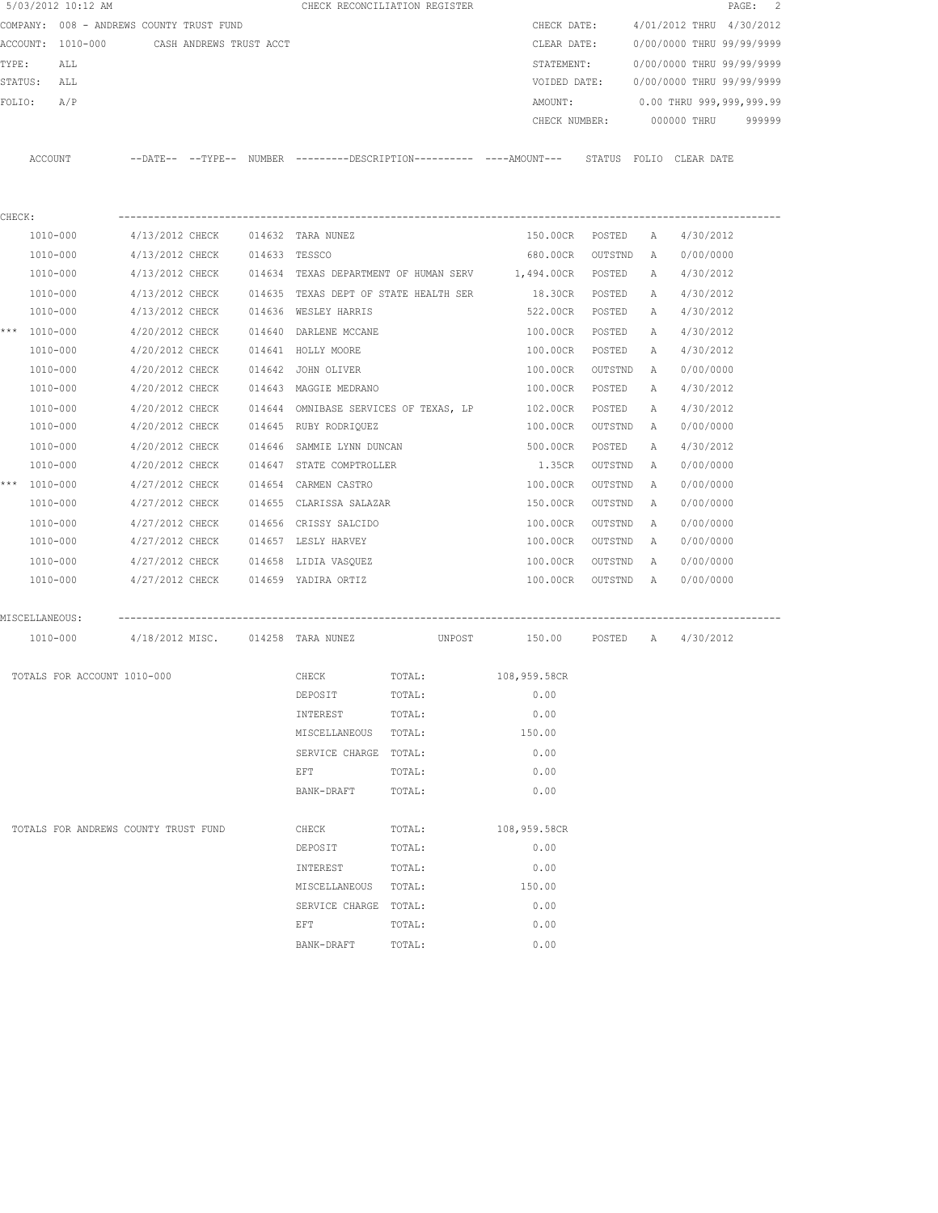|        | 5/03/2012 10:12 AM |                                          |                         |               |                              | CHECK RECONCILIATION REGISTER         |                                                                                             |           |              | PAGE:                     | $\overline{c}$ |
|--------|--------------------|------------------------------------------|-------------------------|---------------|------------------------------|---------------------------------------|---------------------------------------------------------------------------------------------|-----------|--------------|---------------------------|----------------|
|        |                    | COMPANY: 008 - ANDREWS COUNTY TRUST FUND |                         |               |                              |                                       | CHECK DATE:                                                                                 |           |              | 4/01/2012 THRU 4/30/2012  |                |
|        | ACCOUNT: 1010-000  |                                          | CASH ANDREWS TRUST ACCT |               |                              |                                       | CLEAR DATE:                                                                                 |           |              | 0/00/0000 THRU 99/99/9999 |                |
| TYPE:  | ALL                |                                          |                         |               |                              |                                       | STATEMENT:                                                                                  |           |              | 0/00/0000 THRU 99/99/9999 |                |
|        | STATUS: ALL        |                                          |                         |               |                              |                                       | VOIDED DATE:                                                                                |           |              | 0/00/0000 THRU 99/99/9999 |                |
| FOLIO: | A/P                |                                          |                         |               |                              |                                       | AMOUNT:                                                                                     |           |              | 0.00 THRU 999,999,999.99  |                |
|        |                    |                                          |                         |               |                              |                                       | CHECK NUMBER:                                                                               |           |              | 000000 THRU               | 999999         |
|        |                    |                                          |                         |               |                              |                                       |                                                                                             |           |              |                           |                |
|        | ACCOUNT            |                                          |                         |               |                              |                                       | --DATE-- --TYPE-- NUMBER --------DESCRIPTION--------- ----AMOUNT--- STATUS FOLIO CLEAR-DATE |           |              |                           |                |
|        |                    |                                          |                         |               |                              |                                       |                                                                                             |           |              |                           |                |
| CHECK: |                    |                                          |                         |               |                              |                                       |                                                                                             |           |              |                           |                |
|        | 1010-000           | 4/13/2012 CHECK 014632 TARA NUNEZ        |                         |               |                              |                                       | 150.00CR POSTED                                                                             |           | A            | 4/30/2012                 |                |
|        | 1010-000           | 4/13/2012 CHECK                          |                         | 014633 TESSCO |                              |                                       | 680.00CR                                                                                    | OUTSTND   | Α            | 0/00/0000                 |                |
|        | 1010-000           | 4/13/2012 CHECK                          |                         |               |                              |                                       | 014634 TEXAS DEPARTMENT OF HUMAN SERV 1,494.00CR                                            | POSTED    | A            | 4/30/2012                 |                |
|        | 1010-000           | 4/13/2012 CHECK                          |                         |               |                              | 014635 TEXAS DEPT OF STATE HEALTH SER | 18.30CR                                                                                     | POSTED    | Α            | 4/30/2012                 |                |
|        | 1010-000           | 4/13/2012 CHECK                          |                         |               | 014636 WESLEY HARRIS         |                                       | 522.00CR                                                                                    | POSTED    | A            | 4/30/2012                 |                |
|        | *** 1010-000       | 4/20/2012 CHECK                          |                         |               | 014640 DARLENE MCCANE        |                                       | 100.00CR                                                                                    | POSTED    | A            | 4/30/2012                 |                |
|        | 1010-000           | 4/20/2012 CHECK                          |                         |               | 014641 HOLLY MOORE           |                                       | 100.00CR                                                                                    | POSTED    | $\mathbb{A}$ | 4/30/2012                 |                |
|        | 1010-000           | 4/20/2012 CHECK                          |                         |               | 014642 JOHN OLIVER           |                                       | 100.00CR                                                                                    | OUTSTND   | A            | 0/00/0000                 |                |
|        | 1010-000           | 4/20/2012 CHECK                          |                         |               | 014643 MAGGIE MEDRANO        |                                       | 100.00CR                                                                                    | POSTED    | А            | 4/30/2012                 |                |
|        | 1010-000           | 4/20/2012 CHECK                          |                         |               |                              | 014644 OMNIBASE SERVICES OF TEXAS, LP | 102.00CR                                                                                    | POSTED    | Α            | 4/30/2012                 |                |
|        | 1010-000           | 4/20/2012 CHECK                          |                         |               | 014645 RUBY RODRIQUEZ        |                                       | 100.00CR                                                                                    | OUTSTND   | $\mathbb{A}$ | 0/00/0000                 |                |
|        | 1010-000           | 4/20/2012 CHECK                          |                         |               | 014646 SAMMIE LYNN DUNCAN    |                                       | 500.00CR                                                                                    | POSTED    | Α            | 4/30/2012                 |                |
|        | 1010-000           | 4/20/2012 CHECK                          |                         |               | 014647 STATE COMPTROLLER     |                                       | 1.35CR                                                                                      | OUTSTND   | Α            | 0/00/0000                 |                |
|        | *** 1010-000       | 4/27/2012 CHECK                          |                         |               | 014654 CARMEN CASTRO         |                                       | 100.00CR                                                                                    | OUTSTND   | Α            | 0/00/0000                 |                |
|        | 1010-000           | 4/27/2012 CHECK                          |                         |               | 014655 CLARISSA SALAZAR      |                                       | 150.00CR                                                                                    | OUTSTND   | А            | 0/00/0000                 |                |
|        | 1010-000           | 4/27/2012 CHECK                          |                         |               | 014656 CRISSY SALCIDO        |                                       | 100.00CR                                                                                    | OUTSTND   | Α            | 0/00/0000                 |                |
|        | 1010-000           | 4/27/2012 CHECK                          |                         |               | 014657 LESLY HARVEY          |                                       | 100.00CR                                                                                    | OUTSTND   | Α            | 0/00/0000                 |                |
|        | 1010-000           | 4/27/2012 CHECK                          |                         |               | 014658 LIDIA VASQUEZ         |                                       | 100.00CR                                                                                    | OUTSTND   | A            | 0/00/0000                 |                |
|        | 1010-000           | 4/27/2012 CHECK                          |                         |               | 014659 YADIRA ORTIZ          |                                       | 100.00CR                                                                                    | OUTSTND A |              | 0/00/0000                 |                |
|        |                    |                                          |                         |               |                              |                                       |                                                                                             |           |              |                           |                |
|        | MISCELLANEOUS:     | ------------------------------           |                         |               |                              |                                       |                                                                                             |           |              |                           |                |
|        | 1010-000           | 4/18/2012 MISC. 014258 TARA NUNEZ        |                         |               |                              | UNPOST                                | 150.00 POSTED A 4/30/2012                                                                   |           |              |                           |                |
|        |                    | TOTALS FOR ACCOUNT 1010-000              |                         |               | CHECK                        | TOTAL:                                | 108,959.58CR                                                                                |           |              |                           |                |
|        |                    |                                          |                         |               | DEPOSIT                      | TOTAL:                                | 0.00                                                                                        |           |              |                           |                |
|        |                    |                                          |                         |               | INTEREST                     | TOTAL:                                | 0.00                                                                                        |           |              |                           |                |
|        |                    |                                          |                         |               | MISCELLANEOUS                | TOTAL:                                | 150.00                                                                                      |           |              |                           |                |
|        |                    |                                          |                         |               | SERVICE CHARGE               | TOTAL:                                | 0.00                                                                                        |           |              |                           |                |
|        |                    |                                          |                         |               | EFT                          | TOTAL:                                | 0.00                                                                                        |           |              |                           |                |
|        |                    |                                          |                         |               | BANK-DRAFT                   | TOTAL:                                | 0.00                                                                                        |           |              |                           |                |
|        |                    | TOTALS FOR ANDREWS COUNTY TRUST FUND     |                         |               |                              |                                       | 108,959.58CR                                                                                |           |              |                           |                |
|        |                    |                                          |                         |               | CHECK<br>DEPOSIT             | TOTAL:<br>TOTAL:                      | 0.00                                                                                        |           |              |                           |                |
|        |                    |                                          |                         |               |                              |                                       |                                                                                             |           |              |                           |                |
|        |                    |                                          |                         |               | INTEREST                     | TOTAL:                                | 0.00<br>150.00                                                                              |           |              |                           |                |
|        |                    |                                          |                         |               | MISCELLANEOUS                | TOTAL:                                |                                                                                             |           |              |                           |                |
|        |                    |                                          |                         |               | SERVICE CHARGE TOTAL:<br>EFT | TOTAL:                                | 0.00<br>0.00                                                                                |           |              |                           |                |
|        |                    |                                          |                         |               | BANK-DRAFT                   | TOTAL:                                | 0.00                                                                                        |           |              |                           |                |
|        |                    |                                          |                         |               |                              |                                       |                                                                                             |           |              |                           |                |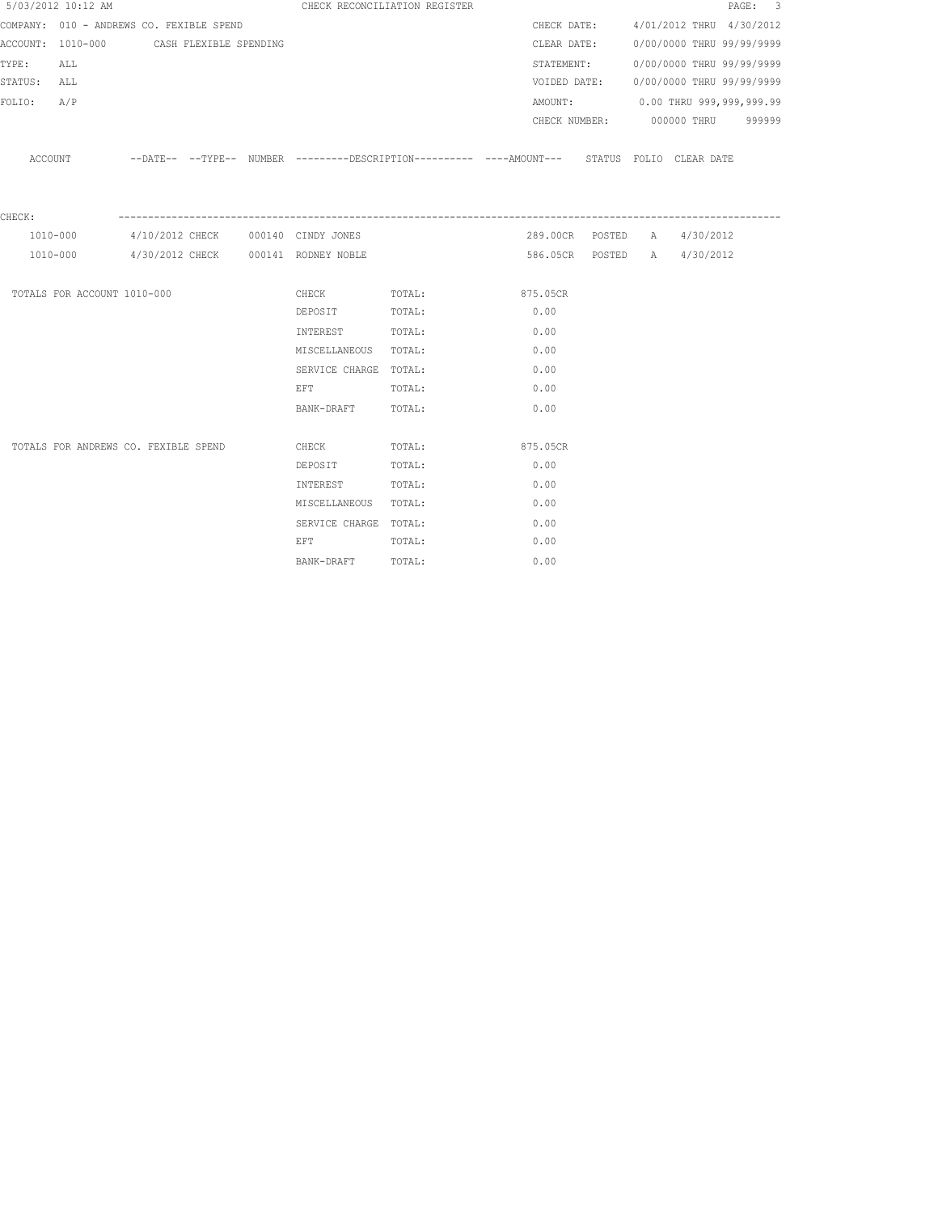|             | 5/03/2012 10:12 AM                       |  |                                                                                                                 | CHECK RECONCILIATION REGISTER                                                              |          |              |                                       | PAGE: 3 |  |
|-------------|------------------------------------------|--|-----------------------------------------------------------------------------------------------------------------|--------------------------------------------------------------------------------------------|----------|--------------|---------------------------------------|---------|--|
|             | COMPANY: 010 - ANDREWS CO. FEXIBLE SPEND |  |                                                                                                                 |                                                                                            |          |              | CHECK DATE: 4/01/2012 THRU 4/30/2012  |         |  |
|             | ACCOUNT: 1010-000 CASH FLEXIBLE SPENDING |  |                                                                                                                 |                                                                                            |          |              | CLEAR DATE: 0/00/0000 THRU 99/99/9999 |         |  |
| TYPE: ALL   |                                          |  |                                                                                                                 |                                                                                            |          |              | STATEMENT: 0/00/0000 THRU 99/99/9999  |         |  |
| STATUS: ALL |                                          |  |                                                                                                                 |                                                                                            |          | VOIDED DATE: | 0/00/0000 THRU 99/99/9999             |         |  |
| FOLIO:      | A/P                                      |  |                                                                                                                 |                                                                                            |          |              | AMOUNT: 0.00 THRU 999,999,999.99      |         |  |
|             |                                          |  |                                                                                                                 |                                                                                            |          |              | CHECK NUMBER: 000000 THRU 999999      |         |  |
|             |                                          |  |                                                                                                                 |                                                                                            |          |              |                                       |         |  |
|             | ACCOUNT                                  |  |                                                                                                                 | --DATE-- --TYPE-- NUMBER --------DESCRIPTION--------- ----AMOUNT--- STATUS FOLIO CLEARDATE |          |              |                                       |         |  |
|             |                                          |  |                                                                                                                 |                                                                                            |          |              |                                       |         |  |
| CHECK:      |                                          |  |                                                                                                                 |                                                                                            |          |              |                                       |         |  |
|             | 1010-000                                 |  | 4/10/2012 CHECK 000140 CINDY JONES                                                                              |                                                                                            |          |              | 289.00CR POSTED A 4/30/2012           |         |  |
|             |                                          |  | 1010-000 4/30/2012 CHECK 000141 RODNEY NOBLE                                                                    |                                                                                            |          |              | 586.05CR POSTED A 4/30/2012           |         |  |
|             |                                          |  |                                                                                                                 |                                                                                            |          |              |                                       |         |  |
|             | TOTALS FOR ACCOUNT 1010-000              |  |                                                                                                                 | CHECK TOTAL: 875.05CR                                                                      |          |              |                                       |         |  |
|             |                                          |  | DEPOSIT                                                                                                         | TOTAL:                                                                                     | 0.00     |              |                                       |         |  |
|             |                                          |  | INTEREST TOTAL:                                                                                                 |                                                                                            | 0.00     |              |                                       |         |  |
|             |                                          |  | MISCELLANEOUS TOTAL:                                                                                            |                                                                                            | 0.00     |              |                                       |         |  |
|             |                                          |  | SERVICE CHARGE TOTAL:                                                                                           |                                                                                            | 0.00     |              |                                       |         |  |
|             |                                          |  | EFT TOTAL:                                                                                                      |                                                                                            | 0.00     |              |                                       |         |  |
|             |                                          |  | BANK-DRAFT TOTAL:                                                                                               |                                                                                            | 0.00     |              |                                       |         |  |
|             |                                          |  |                                                                                                                 |                                                                                            |          |              |                                       |         |  |
|             | TOTALS FOR ANDREWS CO. FEXIBLE SPEND     |  | <b>CHECK</b>                                                                                                    | TOTAL:                                                                                     | 875.05CR |              |                                       |         |  |
|             |                                          |  | DEPOSIT                                                                                                         | TOTAL:                                                                                     | 0.00     |              |                                       |         |  |
|             |                                          |  | INTEREST TOTAL:                                                                                                 |                                                                                            | 0.00     |              |                                       |         |  |
|             |                                          |  | MISCELLANEOUS TOTAL:                                                                                            |                                                                                            | 0.00     |              |                                       |         |  |
|             |                                          |  | SERVICE CHARGE TOTAL:                                                                                           |                                                                                            | 0.00     |              |                                       |         |  |
|             |                                          |  | EFT FOR THE RESIDENCE OF A STRIKE AND THE RESIDENCE OF A STRIKE OF A STRIKE OF A STRIKE OF A STRIKE OF A STRIKE | TOTAL:                                                                                     | 0.00     |              |                                       |         |  |
|             |                                          |  | BANK-DRAFT TOTAL:                                                                                               |                                                                                            | 0.00     |              |                                       |         |  |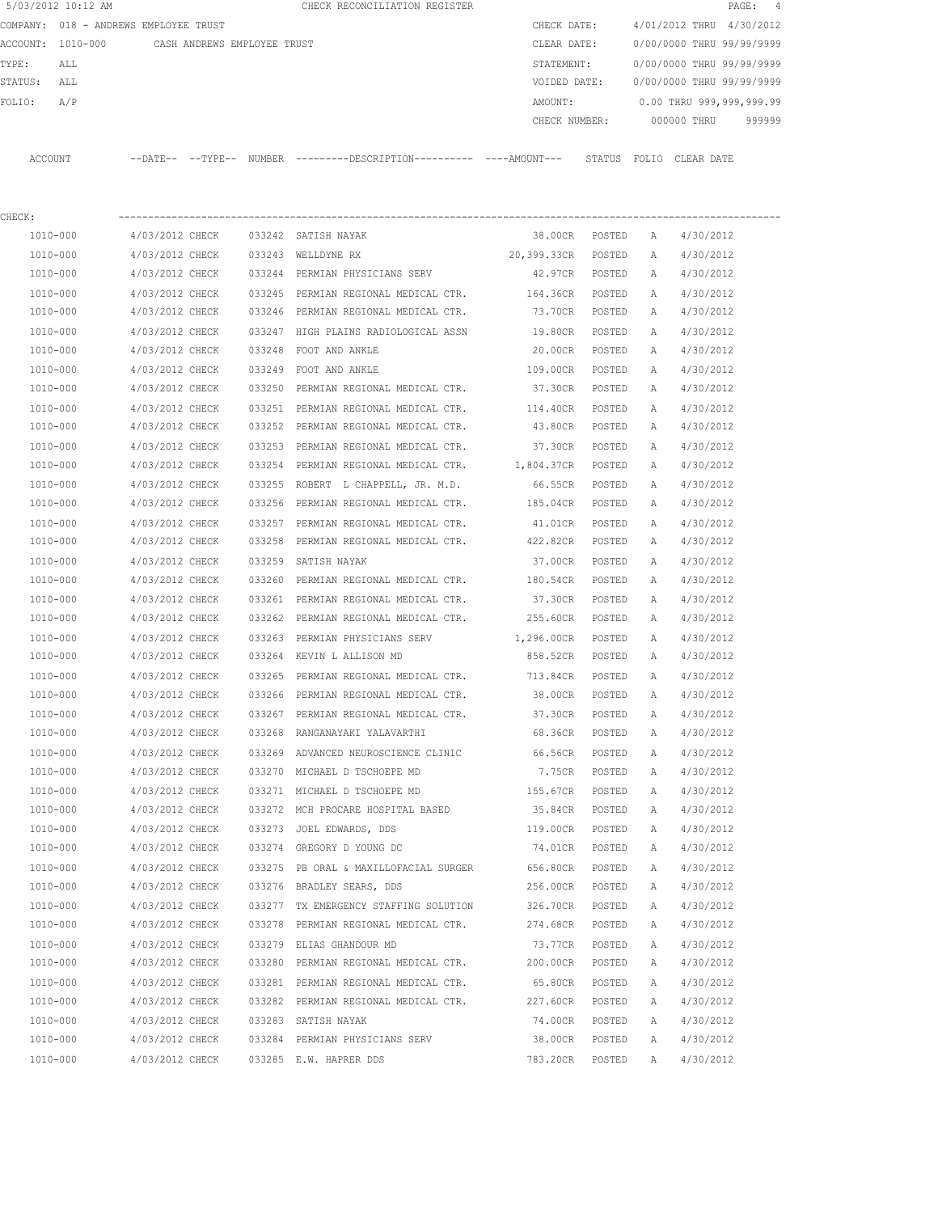|         | 5/03/2012 10:12 AM |                                       |               | CHECK RECONCILIATION REGISTER                 |  |               |        |                           |             | PAGE: 4                  |        |
|---------|--------------------|---------------------------------------|---------------|-----------------------------------------------|--|---------------|--------|---------------------------|-------------|--------------------------|--------|
|         |                    | COMPANY: 018 - ANDREWS EMPLOYEE TRUST |               |                                               |  | CHECK DATE:   |        | 4/01/2012 THRU 4/30/2012  |             |                          |        |
|         | ACCOUNT: 1010-000  | CASH ANDREWS EMPLOYEE TRUST           |               |                                               |  | CLEAR DATE:   |        | 0/00/0000 THRU 99/99/9999 |             |                          |        |
| TYPE:   | ALL                |                                       |               |                                               |  | STATEMENT:    |        | 0/00/0000 THRU 99/99/9999 |             |                          |        |
| STATUS: | ALL                |                                       |               |                                               |  | VOIDED DATE:  |        | 0/00/0000 THRU 99/99/9999 |             |                          |        |
| FOLTO:  | A/P                |                                       |               |                                               |  | AMOUNT:       |        |                           |             | 0.00 THRU 999,999,999.99 |        |
|         |                    |                                       |               |                                               |  | CHECK NUMBER: |        |                           | 000000 THRU |                          | 999999 |
|         |                    |                                       |               |                                               |  |               |        |                           |             |                          |        |
| ACCOUNT |                    | $--$ DATE $- --$ TYPE $--$            | <b>NUMBER</b> | ---------DESCRIPTION----------- ----AMOUNT--- |  |               | STATUS | FOLTO                     | CLEAR DATE  |                          |        |

| CHECK:       |                                    |        |                                                                      |                |        |              |           |
|--------------|------------------------------------|--------|----------------------------------------------------------------------|----------------|--------|--------------|-----------|
| 1010-000     | 4/03/2012 CHECK                    |        | 033242 SATISH NAYAK                                                  | 38.00CR POSTED |        | A            | 4/30/2012 |
| 1010-000     | 4/03/2012 CHECK 033243 WELLDYNE RX |        | 20,399.33CR POSTED                                                   |                |        | Α            | 4/30/2012 |
| 1010-000     |                                    |        | 4/03/2012 CHECK 033244 PERMIAN PHYSICIANS SERV                       | 42.97CR POSTED |        | A            | 4/30/2012 |
| 1010-000     |                                    |        | 4/03/2012 CHECK 033245 PERMIAN REGIONAL MEDICAL CTR. 164.36CR POSTED |                |        | A            | 4/30/2012 |
| 1010-000     |                                    |        | 4/03/2012 CHECK 033246 PERMIAN REGIONAL MEDICAL CTR.                 | 73.70CR POSTED |        | A            | 4/30/2012 |
| 1010-000     | 4/03/2012 CHECK                    |        | 033247 HIGH PLAINS RADIOLOGICAL ASSN                                 | 19.80CR        | POSTED | A            | 4/30/2012 |
| 1010-000     | 4/03/2012 CHECK                    |        | 033248 FOOT AND ANKLE                                                | 20.00CR        | POSTED | A            | 4/30/2012 |
| 1010-000     | 4/03/2012 CHECK                    |        | 033249 FOOT AND ANKLE                                                | 109.00CR       | POSTED | Α            | 4/30/2012 |
| 1010-000     | 4/03/2012 CHECK                    | 033250 | PERMIAN REGIONAL MEDICAL CTR.                                        | 37.30CR        | POSTED | Α            | 4/30/2012 |
| 1010-000     | 4/03/2012 CHECK                    |        | 033251 PERMIAN REGIONAL MEDICAL CTR. 114.40CR                        |                | POSTED | Α            | 4/30/2012 |
| 1010-000     | 4/03/2012 CHECK                    |        | 033252 PERMIAN REGIONAL MEDICAL CTR. 43.80CR                         |                | POSTED | Α            | 4/30/2012 |
| 1010-000     | 4/03/2012 CHECK                    |        | 033253 PERMIAN REGIONAL MEDICAL CTR. 37.30CR                         |                | POSTED | A            | 4/30/2012 |
| 1010-000     | 4/03/2012 CHECK                    |        | 033254 PERMIAN REGIONAL MEDICAL CTR. 1,804.37CR POSTED               |                |        | Α            | 4/30/2012 |
| 1010-000     | 4/03/2012 CHECK                    |        | 033255 ROBERT L CHAPPELL, JR. M.D.                                   | 66.55CR POSTED |        | Α            | 4/30/2012 |
| 1010-000     | 4/03/2012 CHECK                    |        | 033256 PERMIAN REGIONAL MEDICAL CTR. 185.04CR POSTED                 |                |        | A            | 4/30/2012 |
| 1010-000     | 4/03/2012 CHECK                    |        | 033257 PERMIAN REGIONAL MEDICAL CTR.                                 | 41.01CR        | POSTED | Α            | 4/30/2012 |
| 1010-000     | 4/03/2012 CHECK                    |        | 033258 PERMIAN REGIONAL MEDICAL CTR.                                 | 422.82CR       | POSTED | Α            | 4/30/2012 |
| 1010-000     | 4/03/2012 CHECK                    |        | 033259 SATISH NAYAK                                                  | 37.00CR        | POSTED | A            | 4/30/2012 |
| 1010-000     | 4/03/2012 CHECK                    |        | 033260 PERMIAN REGIONAL MEDICAL CTR. 180.54CR                        |                | POSTED | Α            | 4/30/2012 |
| 1010-000     | 4/03/2012 CHECK                    |        | 033261 PERMIAN REGIONAL MEDICAL CTR.                                 | 37.30CR        | POSTED | Α            | 4/30/2012 |
| 1010-000     | 4/03/2012 CHECK                    |        | 033262 PERMIAN REGIONAL MEDICAL CTR. 255.60CR                        |                | POSTED | Α            | 4/30/2012 |
| 1010-000     | 4/03/2012 CHECK                    |        | 033263 PERMIAN PHYSICIANS SERV 1,296.00CR                            |                | POSTED | Α            | 4/30/2012 |
| 1010-000     | 4/03/2012 CHECK                    |        | 033264 KEVIN L ALLISON MD                                            | 858.52CR       | POSTED | Α            | 4/30/2012 |
| 1010-000     | 4/03/2012 CHECK                    |        | 033265 PERMIAN REGIONAL MEDICAL CTR. 713.84CR                        |                | POSTED | Α            | 4/30/2012 |
| 1010-000     | 4/03/2012 CHECK                    |        | 033266 PERMIAN REGIONAL MEDICAL CTR. 38.00CR                         |                | POSTED | Α            | 4/30/2012 |
| 1010-000     | 4/03/2012 CHECK                    |        | 033267 PERMIAN REGIONAL MEDICAL CTR. 37.30CR                         |                | POSTED | Α            | 4/30/2012 |
| 1010-000     | 4/03/2012 CHECK                    |        | 033268 RANGANAYAKI YALAVARTHI                                        | 68.36CR        | POSTED | Α            | 4/30/2012 |
| 1010-000     | 4/03/2012 CHECK                    |        | 033269 ADVANCED NEUROSCIENCE CLINIC                                  | 66.56CR        | POSTED | Α            | 4/30/2012 |
| 1010-000     | 4/03/2012 CHECK                    |        | 033270 MICHAEL D TSCHOEPE MD                                         | 7.75CR         | POSTED | Α            | 4/30/2012 |
| 1010-000     | 4/03/2012 CHECK                    |        | 033271 MICHAEL D TSCHOEPE MD                                         | 155.67CR       | POSTED | A            | 4/30/2012 |
| 1010-000     | 4/03/2012 CHECK                    |        | 033272 MCH PROCARE HOSPITAL BASED                                    | 35.84CR POSTED |        | A            | 4/30/2012 |
| 1010-000     | 4/03/2012 CHECK                    |        | 033273 JOEL EDWARDS, DDS                                             | 119.00CR       | POSTED | Α            | 4/30/2012 |
| 1010-000     | 4/03/2012 CHECK                    |        | 033274 GREGORY D YOUNG DC                                            | 74.01CR POSTED |        | Α            | 4/30/2012 |
| 1010-000     | 4/03/2012 CHECK                    |        | 033275 PB ORAL & MAXILLOFACIAL SURGER 656.80CR                       |                | POSTED | $\mathbb{A}$ | 4/30/2012 |
| 1010-000     | 4/03/2012 CHECK                    |        | 033276 BRADLEY SEARS, DDS                                            | 256.00CR       | POSTED | $\mathbb{A}$ | 4/30/2012 |
| 1010-000     | 4/03/2012 CHECK                    |        | 033277 TX EMERGENCY STAFFING SOLUTION                                | 326.70CR       | POSTED | Α            | 4/30/2012 |
| 1010-000     | 4/03/2012 CHECK                    |        | 033278 PERMIAN REGIONAL MEDICAL CTR.                                 | 274.68CR       | POSTED | Α            | 4/30/2012 |
| $1010 - 000$ | 4/03/2012 CHECK                    |        | 033279 ELIAS GHANDOUR MD                                             | 73.77CR        | POSTED | Α            | 4/30/2012 |
| 1010-000     | 4/03/2012 CHECK                    |        | 033280 PERMIAN REGIONAL MEDICAL CTR.                                 | 200.00CR       | POSTED | Α            | 4/30/2012 |
| 1010-000     | 4/03/2012 CHECK                    |        | 033281 PERMIAN REGIONAL MEDICAL CTR.                                 | 65.80CR        | POSTED | Α            | 4/30/2012 |
| 1010-000     | 4/03/2012 CHECK                    |        | 033282 PERMIAN REGIONAL MEDICAL CTR.                                 | 227.60CR       | POSTED | Α            | 4/30/2012 |
| 1010-000     | 4/03/2012 CHECK                    |        | 033283 SATISH NAYAK                                                  | 74.00CR        | POSTED | Α            | 4/30/2012 |
| 1010-000     | 4/03/2012 CHECK                    |        | 033284 PERMIAN PHYSICIANS SERV                                       | 38.00CR        | POSTED | Α            | 4/30/2012 |
| 1010-000     | 4/03/2012 CHECK                    |        | 033285 E.W. HAPRER DDS                                               | 783.20CR       | POSTED | Α            | 4/30/2012 |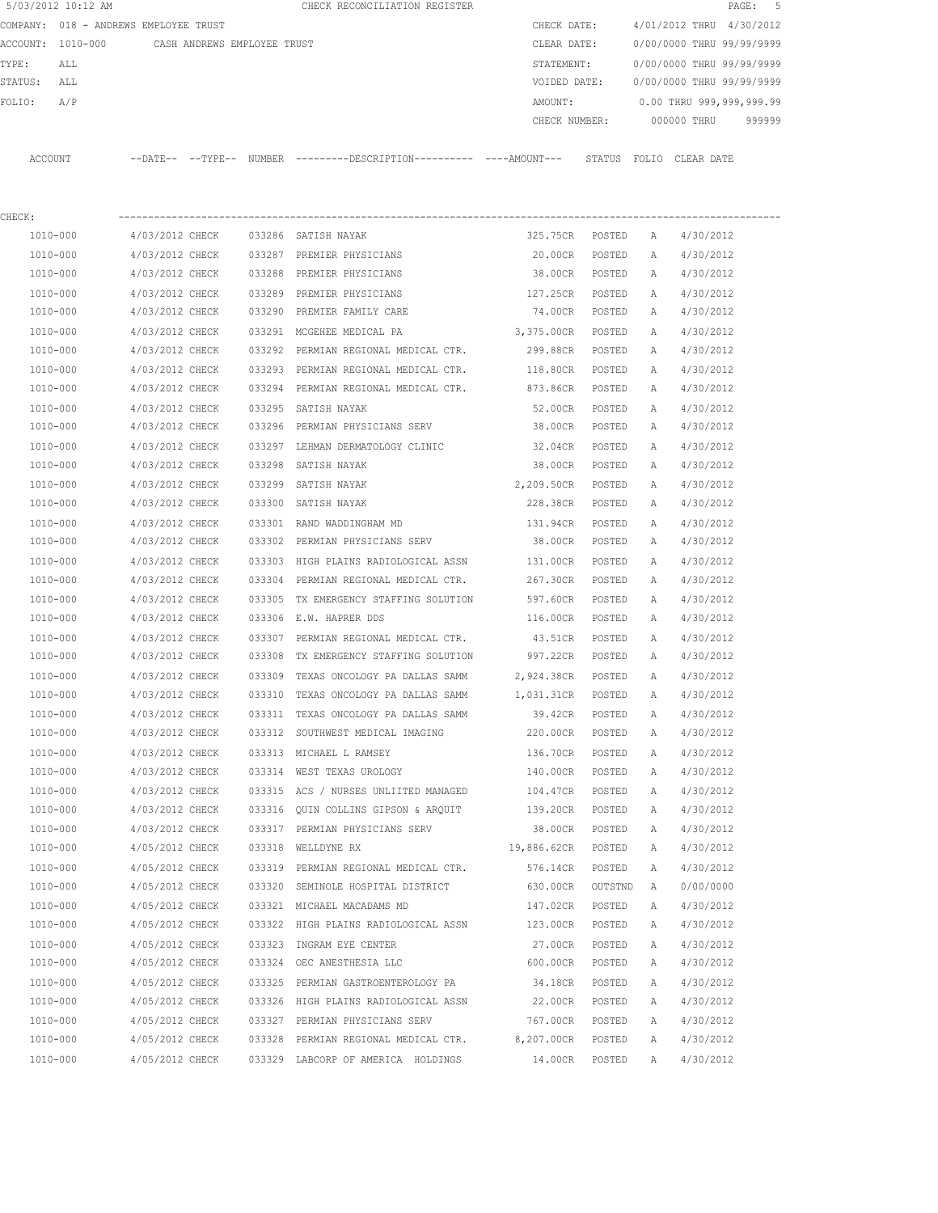|         | 5/03/2012 10:12 AM                    |                 |                             |        | CHECK RECONCILIATION REGISTER                                                                |                   |         |              |                           | 5<br>$\mathtt{PAGE}$ : |
|---------|---------------------------------------|-----------------|-----------------------------|--------|----------------------------------------------------------------------------------------------|-------------------|---------|--------------|---------------------------|------------------------|
|         | COMPANY: 018 - ANDREWS EMPLOYEE TRUST |                 |                             |        |                                                                                              | CHECK DATE:       |         |              | 4/01/2012 THRU 4/30/2012  |                        |
|         | ACCOUNT: 1010-000                     |                 | CASH ANDREWS EMPLOYEE TRUST |        |                                                                                              | CLEAR DATE:       |         |              | 0/00/0000 THRU 99/99/9999 |                        |
| TYPE:   | ALL                                   |                 |                             |        |                                                                                              | STATEMENT:        |         |              | 0/00/0000 THRU 99/99/9999 |                        |
| STATUS: | ALL                                   |                 |                             |        |                                                                                              | VOIDED DATE:      |         |              | 0/00/0000 THRU 99/99/9999 |                        |
| FOLIO:  | A/P                                   |                 |                             |        |                                                                                              | AMOUNT:           |         |              | 0.00 THRU 999,999,999.99  |                        |
|         |                                       |                 |                             |        |                                                                                              | CHECK NUMBER:     |         |              | 000000 THRU               | 999999                 |
|         | ACCOUNT                               |                 |                             |        | --DATE-- --TYPE-- NUMBER ---------DESCRIPTION---------- ----AMOUNT--- STATUS FOLIO CLEARDATE |                   |         |              |                           |                        |
| CHECK:  |                                       |                 |                             |        |                                                                                              |                   |         |              |                           |                        |
|         | 1010-000                              | 4/03/2012 CHECK |                             |        | 033286 SATISH NAYAK                                                                          | 325.75CR POSTED   |         | A            | 4/30/2012                 |                        |
|         | 1010-000                              | 4/03/2012 CHECK |                             |        | 033287 PREMIER PHYSICIANS                                                                    | 20.00CR           | POSTED  | A            | 4/30/2012                 |                        |
|         | 1010-000                              | 4/03/2012 CHECK |                             |        | 033288 PREMIER PHYSICIANS                                                                    | 38.00CR           | POSTED  | A            | 4/30/2012                 |                        |
|         | 1010-000                              | 4/03/2012 CHECK |                             |        | 033289 PREMIER PHYSICIANS                                                                    | 127.25CR          | POSTED  | Α            | 4/30/2012                 |                        |
|         | 1010-000                              | 4/03/2012 CHECK |                             |        | 033290 PREMIER FAMILY CARE                                                                   | 74.00CR POSTED    |         | Α            | 4/30/2012                 |                        |
|         | 1010-000                              | 4/03/2012 CHECK |                             |        | 033291 MCGEHEE MEDICAL PA                                                                    | 3,375.00CR        | POSTED  | Α            | 4/30/2012                 |                        |
|         | 1010-000                              | 4/03/2012 CHECK |                             |        | 033292 PERMIAN REGIONAL MEDICAL CTR.                                                         | 299.88CR          | POSTED  | A            | 4/30/2012                 |                        |
|         | 1010-000                              | 4/03/2012 CHECK |                             |        | 033293 PERMIAN REGIONAL MEDICAL CTR.                                                         | 118.80CR          | POSTED  | Α            | 4/30/2012                 |                        |
|         | 1010-000                              | 4/03/2012 CHECK |                             | 033294 | PERMIAN REGIONAL MEDICAL CTR.                                                                | 873.86CR          | POSTED  | A            | 4/30/2012                 |                        |
|         | 1010-000                              | 4/03/2012 CHECK |                             |        | 033295 SATISH NAYAK                                                                          | 52.00CR           | POSTED  | A            | 4/30/2012                 |                        |
|         | 1010-000                              | 4/03/2012 CHECK |                             |        | 033296 PERMIAN PHYSICIANS SERV                                                               | 38.00CR           | POSTED  | A            | 4/30/2012                 |                        |
|         | 1010-000                              | 4/03/2012 CHECK |                             |        | 033297 LEHMAN DERMATOLOGY CLINIC                                                             | 32.04CR           | POSTED  | A            | 4/30/2012                 |                        |
|         | 1010-000                              | 4/03/2012 CHECK |                             | 033298 | SATISH NAYAK                                                                                 | 38.00CR           | POSTED  | A            | 4/30/2012                 |                        |
|         | 1010-000                              | 4/03/2012 CHECK |                             |        | 033299 SATISH NAYAK                                                                          | 2,209.50CR        | POSTED  | A            | 4/30/2012                 |                        |
|         | 1010-000                              | 4/03/2012 CHECK |                             | 033300 | SATISH NAYAK                                                                                 | 228.38CR          | POSTED  | A            | 4/30/2012                 |                        |
|         | 1010-000                              | 4/03/2012 CHECK |                             |        | 033301 RAND WADDINGHAM MD                                                                    | 131.94CR          | POSTED  | Α            | 4/30/2012                 |                        |
|         | 1010-000                              | 4/03/2012 CHECK |                             |        | 033302 PERMIAN PHYSICIANS SERV                                                               | 38.00CR           | POSTED  | A            | 4/30/2012                 |                        |
|         | 1010-000                              | 4/03/2012 CHECK |                             | 033303 | HIGH PLAINS RADIOLOGICAL ASSN                                                                | 131.00CR          | POSTED  | Α            | 4/30/2012                 |                        |
|         | 1010-000                              | 4/03/2012 CHECK |                             | 033304 | PERMIAN REGIONAL MEDICAL CTR.                                                                | 267.30CR          | POSTED  | Α            | 4/30/2012                 |                        |
|         | 1010-000                              | 4/03/2012 CHECK |                             | 033305 | TX EMERGENCY STAFFING SOLUTION                                                               | 597.60CR          | POSTED  | A            | 4/30/2012                 |                        |
|         | 1010-000                              | 4/03/2012 CHECK |                             |        | 033306 E.W. HAPRER DDS                                                                       | 116.00CR          | POSTED  | A            | 4/30/2012                 |                        |
|         | 1010-000                              | 4/03/2012 CHECK |                             |        | 033307 PERMIAN REGIONAL MEDICAL CTR.                                                         | 43.51CR           | POSTED  | А            | 4/30/2012                 |                        |
|         | 1010-000                              | 4/03/2012 CHECK |                             |        | 033308 TX EMERGENCY STAFFING SOLUTION 997.22CR                                               |                   | POSTED  | A            | 4/30/2012                 |                        |
|         | 1010-000                              | 4/03/2012 CHECK |                             |        | 033309 TEXAS ONCOLOGY PA DALLAS SAMM                                                         | 2,924.38CR        | POSTED  | A            | 4/30/2012                 |                        |
|         | 1010-000                              | 4/03/2012 CHECK |                             |        | 033310 TEXAS ONCOLOGY PA DALLAS SAMM                                                         | 1,031.31CR        | POSTED  | А            | 4/30/2012                 |                        |
|         | $1010 - 000$                          | 4/03/2012 CHECK |                             |        | 033311 TEXAS ONCOLOGY PA DALLAS SAMM                                                         | 39.42CR           | POSTED  | Α            | 4/30/2012                 |                        |
|         | 1010-000                              | 4/03/2012 CHECK |                             |        | 033312 SOUTHWEST MEDICAL IMAGING                                                             | 220.00CR          | POSTED  | Α            | 4/30/2012                 |                        |
|         | 1010-000                              | 4/03/2012 CHECK |                             |        | 033313 MICHAEL L RAMSEY                                                                      | 136.70CR          | POSTED  | Α            | 4/30/2012                 |                        |
|         | 1010-000                              | 4/03/2012 CHECK |                             |        | 033314 WEST TEXAS UROLOGY                                                                    | 140.00CR          | POSTED  | Α            | 4/30/2012                 |                        |
|         | 1010-000                              | 4/03/2012 CHECK |                             |        | 033315 ACS / NURSES UNLIITED MANAGED                                                         | 104.47CR POSTED   |         | Α            | 4/30/2012                 |                        |
|         | 1010-000                              | 4/03/2012 CHECK |                             |        | 033316 QUIN COLLINS GIPSON & ARQUIT                                                          | 139.20CR          | POSTED  | Α            | 4/30/2012                 |                        |
|         | 1010-000                              | 4/03/2012 CHECK |                             |        | 033317 PERMIAN PHYSICIANS SERV                                                               | 38.00CR           | POSTED  | Α            | 4/30/2012                 |                        |
|         | 1010-000                              | 4/05/2012 CHECK |                             |        | 033318 WELLDYNE RX                                                                           | 19,886.62CR       | POSTED  | Α            | 4/30/2012                 |                        |
|         | 1010-000                              | 4/05/2012 CHECK |                             |        | 033319 PERMIAN REGIONAL MEDICAL CTR.                                                         | 576.14CR          | POSTED  | Α            | 4/30/2012                 |                        |
|         | 1010-000                              | 4/05/2012 CHECK |                             |        | 033320 SEMINOLE HOSPITAL DISTRICT                                                            | 630.00CR          | OUTSTND | Α            | 0/00/0000                 |                        |
|         | 1010-000                              | 4/05/2012 CHECK |                             |        | 033321 MICHAEL MACADAMS MD                                                                   | 147.02CR          | POSTED  | Α            | 4/30/2012                 |                        |
|         | 1010-000                              | 4/05/2012 CHECK |                             |        | 033322 HIGH PLAINS RADIOLOGICAL ASSN                                                         | 123.00CR          | POSTED  | Α            | 4/30/2012                 |                        |
|         | 1010-000                              | 4/05/2012 CHECK |                             |        | 033323 INGRAM EYE CENTER                                                                     | 27.00CR           | POSTED  | Α            | 4/30/2012                 |                        |
|         | 1010-000                              | 4/05/2012 CHECK |                             |        | 033324 OEC ANESTHESIA LLC                                                                    | 600.00CR          | POSTED  | Α            | 4/30/2012                 |                        |
|         | 1010-000                              | 4/05/2012 CHECK |                             |        | 033325 PERMIAN GASTROENTEROLOGY PA                                                           | 34.18CR           | POSTED  | Α            | 4/30/2012                 |                        |
|         | 1010-000                              | 4/05/2012 CHECK |                             |        | 033326 HIGH PLAINS RADIOLOGICAL ASSN                                                         | 22.00CR POSTED    |         | Α            | 4/30/2012                 |                        |
|         | 1010-000                              | 4/05/2012 CHECK |                             |        | 033327 PERMIAN PHYSICIANS SERV                                                               | 767.00CR POSTED   |         | $\mathbb{A}$ | 4/30/2012                 |                        |
|         | 1010-000                              | 4/05/2012 CHECK |                             |        | 033328 PERMIAN REGIONAL MEDICAL CTR.                                                         | 8,207.00CR POSTED |         | Α            | 4/30/2012                 |                        |
|         | 1010-000                              | 4/05/2012 CHECK |                             |        | 033329 LABCORP OF AMERICA HOLDINGS                                                           | 14.00CR           | POSTED  | Α            | 4/30/2012                 |                        |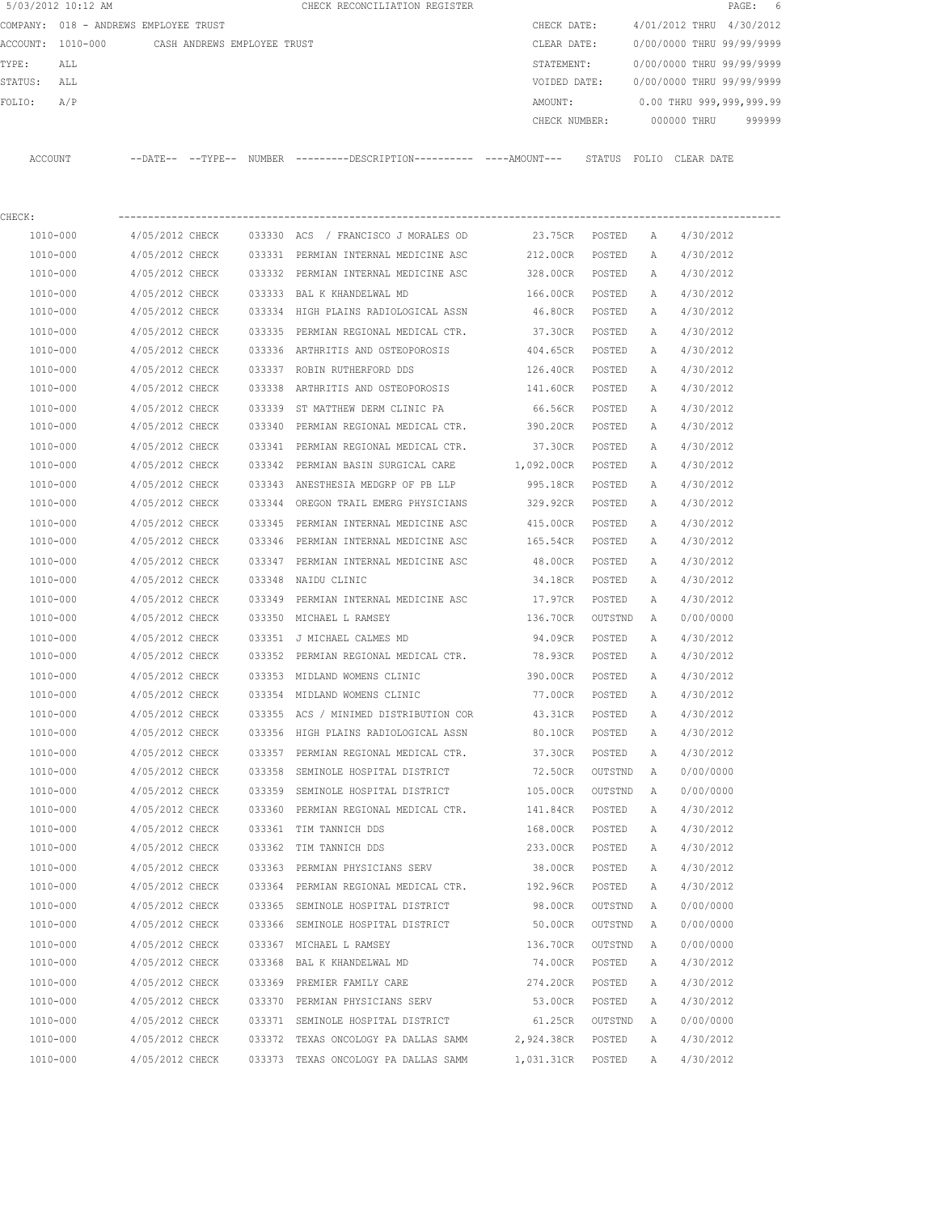| 5/03/2012 10:12 AM                            |                 |        | CHECK RECONCILIATION REGISTER                                                                 |                   |         |          |                                  | PAGE: 6 |
|-----------------------------------------------|-----------------|--------|-----------------------------------------------------------------------------------------------|-------------------|---------|----------|----------------------------------|---------|
| COMPANY: 018 - ANDREWS EMPLOYEE TRUST         |                 |        |                                                                                               | CHECK DATE:       |         |          | 4/01/2012 THRU 4/30/2012         |         |
| ACCOUNT: 1010-000 CASH ANDREWS EMPLOYEE TRUST |                 |        |                                                                                               | CLEAR DATE:       |         |          | 0/00/0000 THRU 99/99/9999        |         |
| TYPE:<br>ALL                                  |                 |        |                                                                                               | STATEMENT:        |         |          | 0/00/0000 THRU 99/99/9999        |         |
| STATUS:<br>ALL                                |                 |        |                                                                                               | VOIDED DATE:      |         |          | 0/00/0000 THRU 99/99/9999        |         |
| FOLIO:<br>A/P                                 |                 |        |                                                                                               | AMOUNT:           |         |          | 0.00 THRU 999,999,999.99         |         |
|                                               |                 |        |                                                                                               |                   |         |          | CHECK NUMBER: 000000 THRU 999999 |         |
| ACCOUNT                                       |                 |        | --DATE-- --TYPE-- NUMBER ---------DESCRIPTION---------- ----AMOUNT--- STATUS FOLIO CLEAR-DATE |                   |         |          |                                  |         |
|                                               |                 |        |                                                                                               |                   |         |          |                                  |         |
| CHECK:                                        |                 |        |                                                                                               |                   |         |          |                                  |         |
| 1010-000                                      | 4/05/2012 CHECK |        | 033330 ACS / FRANCISCO J MORALES OD                                                           | 23.75CR POSTED A  |         |          | 4/30/2012                        |         |
| 1010-000                                      | 4/05/2012 CHECK |        | 033331 PERMIAN INTERNAL MEDICINE ASC                                                          | 212.00CR POSTED   |         | <b>A</b> | 4/30/2012                        |         |
| 1010-000                                      | 4/05/2012 CHECK |        | 033332 PERMIAN INTERNAL MEDICINE ASC                                                          | 328.00CR POSTED   |         | A        | 4/30/2012                        |         |
| 1010-000                                      | 4/05/2012 CHECK |        | 033333 BAL K KHANDELWAL MD                                                                    | 166.00CR POSTED   |         | A        | 4/30/2012                        |         |
| 1010-000                                      | 4/05/2012 CHECK |        | 033334 HIGH PLAINS RADIOLOGICAL ASSN                                                          | 46.80CR POSTED    |         | A        | 4/30/2012                        |         |
| 1010-000                                      | 4/05/2012 CHECK |        | 033335 PERMIAN REGIONAL MEDICAL CTR.                                                          | 37.30CR           | POSTED  | A        | 4/30/2012                        |         |
| 1010-000                                      | 4/05/2012 CHECK |        | 033336 ARTHRITIS AND OSTEOPOROSIS 404.65CR                                                    |                   | POSTED  | A        | 4/30/2012                        |         |
| 1010-000                                      | 4/05/2012 CHECK |        | 033337 ROBIN RUTHERFORD DDS                                                                   | 126.40CR          | POSTED  | A        | 4/30/2012                        |         |
| 1010-000                                      | 4/05/2012 CHECK |        | 033338 ARTHRITIS AND OSTEOPOROSIS 141.60CR                                                    |                   | POSTED  | A        | 4/30/2012                        |         |
| $1010 - 000$                                  | 4/05/2012 CHECK |        | 033339 ST MATTHEW DERM CLINIC PA                                                              | 66.56CR           | POSTED  | A        | 4/30/2012                        |         |
| 1010-000                                      | 4/05/2012 CHECK |        | 033340 PERMIAN REGIONAL MEDICAL CTR. 390.20CR                                                 |                   | POSTED  | A        | 4/30/2012                        |         |
| 1010-000                                      | 4/05/2012 CHECK |        | 033341 PERMIAN REGIONAL MEDICAL CTR.                                                          | 37.30CR POSTED    |         | A        | 4/30/2012                        |         |
| 1010-000                                      | 4/05/2012 CHECK |        | 033342 PERMIAN BASIN SURGICAL CARE                                                            | 1,092.00CR POSTED |         | A        | 4/30/2012                        |         |
| 1010-000                                      | 4/05/2012 CHECK |        | 033343 ANESTHESIA MEDGRP OF PB LLP                                                            | 995.18CR POSTED   |         | A        | 4/30/2012                        |         |
| 1010-000                                      | 4/05/2012 CHECK |        | 033344 OREGON TRAIL EMERG PHYSICIANS                                                          | 329.92CR          | POSTED  | A        | 4/30/2012                        |         |
| 1010-000                                      | 4/05/2012 CHECK |        | 033345 PERMIAN INTERNAL MEDICINE ASC                                                          | 415.00CR          | POSTED  | A        | 4/30/2012                        |         |
| 1010-000                                      | 4/05/2012 CHECK |        | 033346 PERMIAN INTERNAL MEDICINE ASC                                                          | 165.54CR          | POSTED  | A        | 4/30/2012                        |         |
| 1010-000                                      | 4/05/2012 CHECK |        | 033347 PERMIAN INTERNAL MEDICINE ASC                                                          | 48.00CR           | POSTED  | A        | 4/30/2012                        |         |
| 1010-000                                      | 4/05/2012 CHECK |        | 033348 NAIDU CLINIC                                                                           | 34.18CR           | POSTED  | A        | 4/30/2012                        |         |
| 1010-000                                      | 4/05/2012 CHECK | 033349 | PERMIAN INTERNAL MEDICINE ASC 17.97CR                                                         |                   | POSTED  | A        | 4/30/2012                        |         |
| 1010-000                                      | 4/05/2012 CHECK |        | 033350 MICHAEL L RAMSEY                                                                       | 136.70CR          | OUTSTND | A        | 0/00/0000                        |         |
| 1010-000                                      | 4/05/2012 CHECK |        | 033351 J MICHAEL CALMES MD                                                                    | 94.09CR           | POSTED  | A        | 4/30/2012                        |         |
| 1010-000                                      | 4/05/2012 CHECK |        | 033352 PERMIAN REGIONAL MEDICAL CTR.                                                          | 78.93CR           | POSTED  | A        | 4/30/2012                        |         |
| 1010-000                                      | 4/05/2012 CHECK |        | 033353 MIDLAND WOMENS CLINIC                                                                  | 390.00CR          | POSTED  | A        | 4/30/2012                        |         |
| 1010-000                                      | 4/05/2012 CHECK |        | 033354 MIDLAND WOMENS CLINIC                                                                  | 77.00CR           | POSTED  | Α        | 4/30/2012                        |         |
| 1010-000                                      | 4/05/2012 CHECK |        | 033355 ACS / MINIMED DISTRIBUTION COR                                                         | 43.31CR           | POSTED  | Α        | 4/30/2012                        |         |
| 1010-000                                      | 4/05/2012 CHECK |        | 033356 HIGH PLAINS RADIOLOGICAL ASSN                                                          | 80.10CR           | POSTED  | Α        | 4/30/2012                        |         |
| 1010-000                                      | 4/05/2012 CHECK |        | 033357 PERMIAN REGIONAL MEDICAL CTR.                                                          | 37.30CR           | POSTED  | Α        | 4/30/2012                        |         |
| 1010-000                                      | 4/05/2012 CHECK |        | 033358 SEMINOLE HOSPITAL DISTRICT                                                             | 72.50CR           | OUTSTND | Α        | 0/00/0000                        |         |
| 1010-000                                      | 4/05/2012 CHECK |        | 033359 SEMINOLE HOSPITAL DISTRICT                                                             | 105.00CR          | OUTSTND | Α        | 0/00/0000                        |         |
| 1010-000                                      | 4/05/2012 CHECK |        | 033360 PERMIAN REGIONAL MEDICAL CTR.                                                          | 141.84CR          | POSTED  | Α        | 4/30/2012                        |         |
| 1010-000                                      | 4/05/2012 CHECK |        | 033361 TIM TANNICH DDS                                                                        | 168.00CR          | POSTED  | Α        | 4/30/2012                        |         |
| 1010-000                                      | 4/05/2012 CHECK |        | 033362 TIM TANNICH DDS                                                                        | 233.00CR          | POSTED  | Α        | 4/30/2012                        |         |
| 1010-000                                      | 4/05/2012 CHECK |        | 033363 PERMIAN PHYSICIANS SERV                                                                | 38.00CR           | POSTED  | Α        | 4/30/2012                        |         |
| 1010-000                                      | 4/05/2012 CHECK |        | 033364 PERMIAN REGIONAL MEDICAL CTR.                                                          | 192.96CR          | POSTED  | Α        | 4/30/2012                        |         |
| 1010-000                                      | 4/05/2012 CHECK |        | 033365 SEMINOLE HOSPITAL DISTRICT                                                             | 98.00CR           | OUTSTND | Α        | 0/00/0000                        |         |
| 1010-000                                      | 4/05/2012 CHECK |        | 033366 SEMINOLE HOSPITAL DISTRICT                                                             | 50.00CR           | OUTSTND | Α        | 0/00/0000                        |         |
| 1010-000                                      | 4/05/2012 CHECK |        | 033367 MICHAEL L RAMSEY                                                                       | 136.70CR          | OUTSTND | Α        | 0/00/0000                        |         |
| 1010-000                                      | 4/05/2012 CHECK |        | 033368 BAL K KHANDELWAL MD                                                                    | 74.00CR           | POSTED  | Α        | 4/30/2012                        |         |
| 1010-000                                      | 4/05/2012 CHECK |        | 033369 PREMIER FAMILY CARE                                                                    | 274.20CR          | POSTED  | Α        | 4/30/2012                        |         |
| 1010-000                                      | 4/05/2012 CHECK |        | 033370 PERMIAN PHYSICIANS SERV                                                                | 53.00CR           | POSTED  | Α        | 4/30/2012                        |         |
| 1010-000                                      | 4/05/2012 CHECK |        | 033371 SEMINOLE HOSPITAL DISTRICT                                                             | 61.25CR           | OUTSTND | Α        | 0/00/0000                        |         |
| 1010-000                                      | 4/05/2012 CHECK |        | 033372 TEXAS ONCOLOGY PA DALLAS SAMM                                                          | 2,924.38CR        | POSTED  | Α        | 4/30/2012                        |         |
| 1010-000                                      | 4/05/2012 CHECK |        | 033373 TEXAS ONCOLOGY PA DALLAS SAMM                                                          | 1,031.31CR        | POSTED  | Α        | 4/30/2012                        |         |
|                                               |                 |        |                                                                                               |                   |         |          |                                  |         |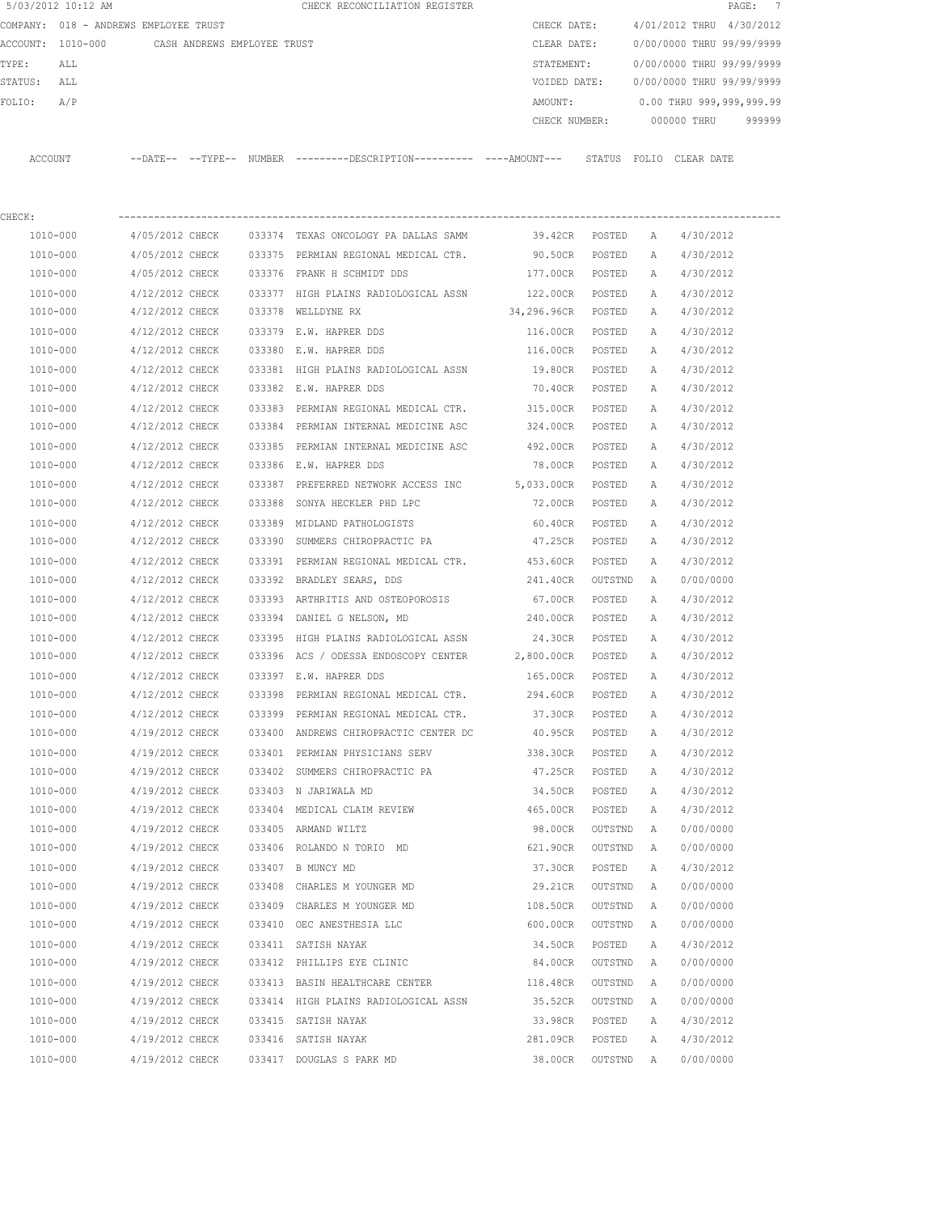|             | 5/03/2012 10:12 AM                            |                                    |  | CHECK RECONCILIATION REGISTER                                                                         |                               |                  |              |                                        | PAGE: 7 |
|-------------|-----------------------------------------------|------------------------------------|--|-------------------------------------------------------------------------------------------------------|-------------------------------|------------------|--------------|----------------------------------------|---------|
|             | COMPANY: 018 - ANDREWS EMPLOYEE TRUST         |                                    |  |                                                                                                       | CHECK DATE:                   |                  |              | 4/01/2012 THRU 4/30/2012               |         |
|             | ACCOUNT: 1010-000 CASH ANDREWS EMPLOYEE TRUST |                                    |  |                                                                                                       | CLEAR DATE:                   |                  |              | 0/00/0000 THRU 99/99/9999              |         |
| TYPE:       | ALL                                           |                                    |  |                                                                                                       |                               |                  |              | STATEMENT: 0/00/0000 THRU 99/99/9999   |         |
| STATUS: ALL |                                               |                                    |  |                                                                                                       |                               |                  |              | VOIDED DATE: 0/00/0000 THRU 99/99/9999 |         |
| FOLIO:      | A/P                                           |                                    |  |                                                                                                       | AMOUNT:                       |                  |              | $0.00$ THRU 999,999,999.99             |         |
|             |                                               |                                    |  |                                                                                                       |                               |                  |              | CHECK NUMBER: 000000 THRU 999999       |         |
|             |                                               |                                    |  | ACCOUNT --DATE-- --TYPE-- NUMBER ---------DESCRIPTION---------- ----AMOUNT--- STATUS FOLIO CLEAR DATE |                               |                  |              |                                        |         |
| CHECK:      |                                               |                                    |  |                                                                                                       |                               |                  |              |                                        |         |
|             | 1010-000                                      |                                    |  | 4/05/2012 CHECK 033374 TEXAS ONCOLOGY PA DALLAS SAMM                                                  |                               |                  |              | 39.42CR POSTED A 4/30/2012             |         |
|             | 1010-000                                      |                                    |  | 4/05/2012 CHECK 033375 PERMIAN REGIONAL MEDICAL CTR.                                                  |                               |                  |              | 90.50CR POSTED A 4/30/2012             |         |
|             | 1010-000                                      |                                    |  | 4/05/2012 CHECK 033376 FRANK H SCHMIDT DDS                                                            | 177.00CR POSTED A 4/30/2012   |                  |              |                                        |         |
|             | 1010-000                                      |                                    |  | 4/12/2012 CHECK 033377 HIGH PLAINS RADIOLOGICAL ASSN 122.00CR POSTED A                                |                               |                  |              | 4/30/2012                              |         |
|             | 1010-000                                      |                                    |  | 4/12/2012 CHECK 033378 WELLDYNE RX                                                                    | 34,296.96CR POSTED A          |                  |              | 4/30/2012                              |         |
|             | 1010-000                                      | 4/12/2012 CHECK                    |  | 033379 E.W. HAPRER DDS                                                                                | 116.00CR POSTED               |                  | A            | 4/30/2012                              |         |
|             | 1010-000                                      |                                    |  | $4/12/2012$ CHECK 033380 E.W. HAPRER DDS                                                              | 116.00CR POSTED               |                  | A            | 4/30/2012                              |         |
|             | 1010-000                                      | 4/12/2012 CHECK                    |  | 033381 HIGH PLAINS RADIOLOGICAL ASSN 19.80CR POSTED                                                   |                               |                  | A            | 4/30/2012                              |         |
|             | 1010-000                                      | 4/12/2012 CHECK                    |  | 033382 E.W. HAPRER DDS                                                                                | 70.40CR POSTED                |                  | <b>A</b>     | 4/30/2012                              |         |
|             | 1010-000                                      |                                    |  | 4/12/2012 CHECK 033383 PERMIAN REGIONAL MEDICAL CTR. 315.00CR POSTED                                  |                               |                  | A            | 4/30/2012                              |         |
|             | 1010-000                                      |                                    |  | 4/12/2012 CHECK 033384 PERMIAN INTERNAL MEDICINE ASC                                                  | 324.00CR POSTED A             |                  |              | 4/30/2012                              |         |
|             | 1010-000                                      |                                    |  | 4/12/2012 CHECK 033385 PERMIAN INTERNAL MEDICINE ASC                                                  | 492.00CR POSTED               |                  | A            | 4/30/2012                              |         |
|             | 1010-000                                      | 4/12/2012 CHECK                    |  | 033386 E.W. HAPRER DDS                                                                                | 78.00CR POSTED                |                  | A            | 4/30/2012                              |         |
|             | 1010-000                                      | 4/12/2012 CHECK                    |  | 033387 PREFERRED NETWORK ACCESS INC 5,033.00CR POSTED                                                 |                               |                  | <b>A</b>     | 4/30/2012                              |         |
|             | 1010-000                                      | 4/12/2012 CHECK                    |  | 033388 SONYA HECKLER PHD LPC                                                                          | 72.00CR POSTED                |                  | A            | 4/30/2012                              |         |
|             | 1010-000                                      | 4/12/2012 CHECK                    |  | 033389 MIDLAND PATHOLOGISTS                                                                           | 60.40CR POSTED A              |                  |              | 4/30/2012                              |         |
|             | 1010-000                                      | 4/12/2012 CHECK                    |  | 033390 SUMMERS CHIROPRACTIC PA                                                                        | 47.25CR POSTED A              |                  |              | 4/30/2012                              |         |
|             | 1010-000                                      | 4/12/2012 CHECK                    |  | 033391 PERMIAN REGIONAL MEDICAL CTR. 453.60CR                                                         |                               | POSTED           | A            | 4/30/2012                              |         |
|             | 1010-000                                      |                                    |  | 4/12/2012 CHECK 033392 BRADLEY SEARS, DDS                                                             | 241.40CR                      | OUTSTND A        |              | 0/00/0000                              |         |
|             | 1010-000                                      | 4/12/2012 CHECK                    |  | 033393 ARTHRITIS AND OSTEOPOROSIS                                                                     | 67.00CR                       | POSTED           | A            | 4/30/2012                              |         |
|             | 1010-000                                      |                                    |  | $4/12/2012$ CHECK $033394$ DANIEL G NELSON, MD $240.00$ CR POSTED                                     |                               |                  | A            | 4/30/2012                              |         |
|             | 1010-000                                      |                                    |  | 4/12/2012 CHECK 033395 HIGH PLAINS RADIOLOGICAL ASSN                                                  | 24.30CR POSTED A              |                  |              | 4/30/2012                              |         |
|             | 1010-000                                      |                                    |  | 4/12/2012 CHECK 033396 ACS / ODESSA ENDOSCOPY CENTER                                                  | 2,800.00CR POSTED A 4/30/2012 |                  |              |                                        |         |
|             | 1010-000                                      |                                    |  | 4/12/2012 CHECK 033397 E.W. HAPRER DDS                                                                | 165.00CR                      |                  |              | POSTED A 4/30/2012                     |         |
|             | 1010-000                                      | 4/12/2012 CHECK                    |  | 033398 PERMIAN REGIONAL MEDICAL CTR.                                                                  | 294.60CR                      | POSTED           | А            | 4/30/2012                              |         |
|             | 1010-000                                      | 4/12/2012 CHECK                    |  |                                                                                                       |                               |                  |              | 4/30/2012                              |         |
|             | 1010-000                                      | 4/19/2012 CHECK                    |  | 033399 PERMIAN REGIONAL MEDICAL CTR.<br>033400 ANDREWS CHIROPRACTIC CENTER DC                         | 37.30CR<br>40.95CR            | POSTED<br>POSTED | Α<br>Α       | 4/30/2012                              |         |
|             |                                               |                                    |  |                                                                                                       |                               |                  |              |                                        |         |
|             | 1010-000<br>1010-000                          | 4/19/2012 CHECK<br>4/19/2012 CHECK |  | 033401 PERMIAN PHYSICIANS SERV<br>033402 SUMMERS CHIROPRACTIC PA                                      | 338.30CR<br>47.25CR           | POSTED           | Α<br>Α       | 4/30/2012                              |         |
|             |                                               | 4/19/2012 CHECK                    |  |                                                                                                       |                               | POSTED           |              | 4/30/2012                              |         |
|             | 1010-000                                      |                                    |  | 033403 N JARIWALA MD                                                                                  | 34.50CR<br>465.00CR           | POSTED           | Α            | 4/30/2012<br>4/30/2012                 |         |
|             | 1010-000                                      | 4/19/2012 CHECK                    |  | 033404 MEDICAL CLAIM REVIEW                                                                           |                               | POSTED           | Α            |                                        |         |
|             | 1010-000                                      | 4/19/2012 CHECK                    |  | 033405 ARMAND WILTZ                                                                                   | 98.00CR                       | OUTSTND          | Α            | 0/00/0000                              |         |
|             | 1010-000                                      | 4/19/2012 CHECK                    |  | 033406 ROLANDO N TORIO MD                                                                             | 621.90CR                      | OUTSTND          | Α            | 0/00/0000                              |         |
|             | 1010-000                                      | 4/19/2012 CHECK                    |  | 033407 B MUNCY MD                                                                                     | 37.30CR                       | POSTED           | Α            | 4/30/2012                              |         |
|             | 1010-000                                      | 4/19/2012 CHECK                    |  | 033408 CHARLES M YOUNGER MD                                                                           | 29.21CR                       | OUTSTND          | Α            | 0/00/0000                              |         |
|             | 1010-000                                      | 4/19/2012 CHECK                    |  | 033409 CHARLES M YOUNGER MD                                                                           | 108.50CR                      | OUTSTND          | Α            | 0/00/0000                              |         |
|             | 1010-000                                      | 4/19/2012 CHECK                    |  | 033410 OEC ANESTHESIA LLC                                                                             | 600.00CR                      | OUTSTND          | Α            | 0/00/0000                              |         |
|             | 1010-000                                      | 4/19/2012 CHECK                    |  | 033411 SATISH NAYAK                                                                                   | 34.50CR                       | POSTED           | Α            | 4/30/2012                              |         |
|             | 1010-000                                      | 4/19/2012 CHECK                    |  | 033412 PHILLIPS EYE CLINIC                                                                            | 84.00CR                       | OUTSTND          | Α            | 0/00/0000                              |         |
|             | 1010-000                                      | 4/19/2012 CHECK                    |  | 033413 BASIN HEALTHCARE CENTER                                                                        | 118.48CR                      | OUTSTND          | Α            | 0/00/0000                              |         |
|             | 1010-000                                      | 4/19/2012 CHECK                    |  | 033414 HIGH PLAINS RADIOLOGICAL ASSN                                                                  | 35.52CR                       | OUTSTND          | Α            | 0/00/0000                              |         |
|             | 1010-000                                      | 4/19/2012 CHECK                    |  | 033415 SATISH NAYAK                                                                                   | 33.98CR                       | POSTED           | Α            | 4/30/2012                              |         |
|             | 1010-000                                      | 4/19/2012 CHECK                    |  | 033416 SATISH NAYAK                                                                                   | 281.09CR                      | POSTED           | Α            | 4/30/2012                              |         |
|             | 1010-000                                      | 4/19/2012 CHECK                    |  | 033417 DOUGLAS S PARK MD                                                                              | 38.00CR                       | OUTSTND          | $\mathbb{A}$ | 0/00/0000                              |         |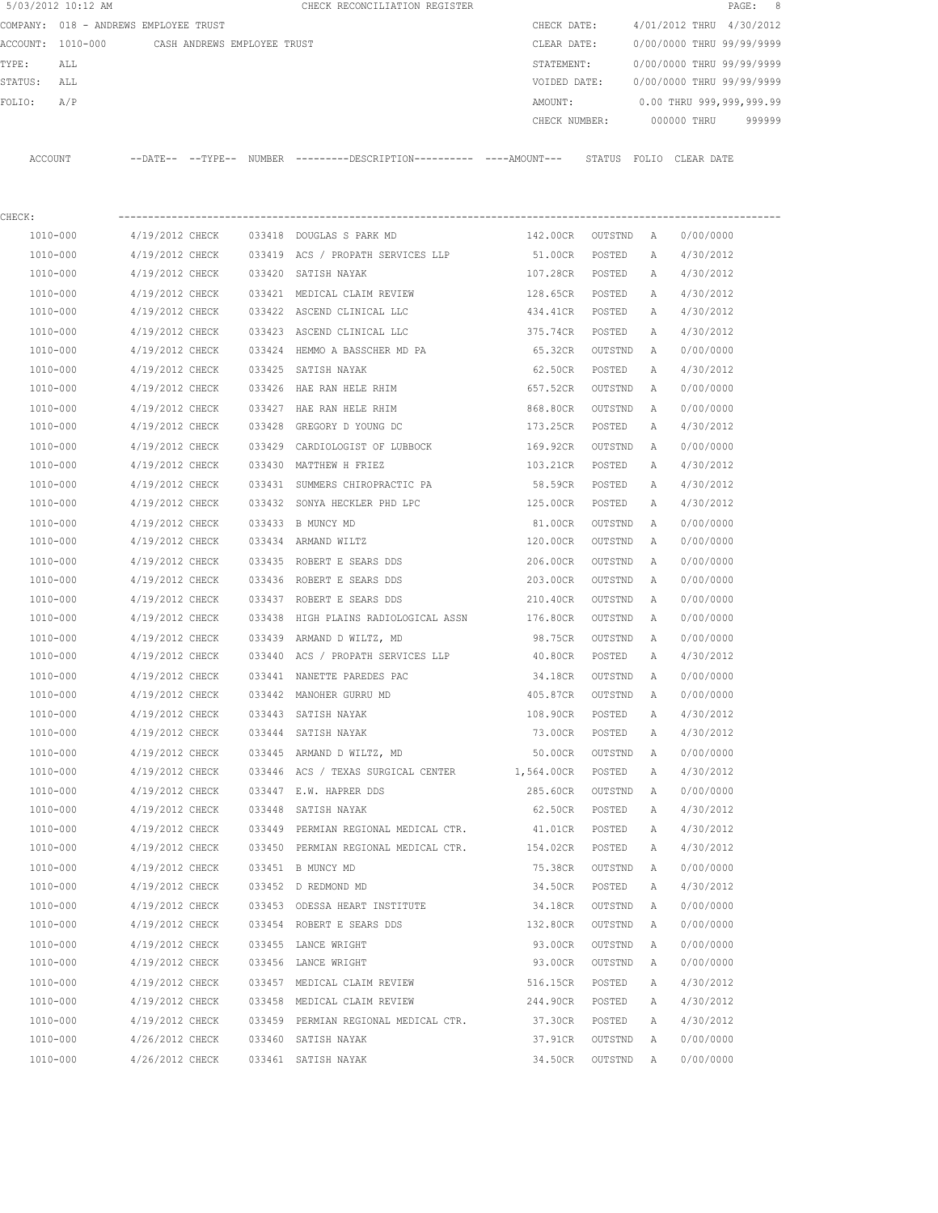|         | 5/03/2012 10:12 AM                    |                             |        | CHECK RECONCILIATION REGISTER                                                                |                 |           |   |                           | 8<br>PAGE: |
|---------|---------------------------------------|-----------------------------|--------|----------------------------------------------------------------------------------------------|-----------------|-----------|---|---------------------------|------------|
|         | COMPANY: 018 - ANDREWS EMPLOYEE TRUST |                             |        |                                                                                              | CHECK DATE:     |           |   | 4/01/2012 THRU 4/30/2012  |            |
|         | ACCOUNT: 1010-000                     | CASH ANDREWS EMPLOYEE TRUST |        |                                                                                              | CLEAR DATE:     |           |   | 0/00/0000 THRU 99/99/9999 |            |
| TYPE:   | ALL                                   |                             |        |                                                                                              | STATEMENT:      |           |   | 0/00/0000 THRU 99/99/9999 |            |
| STATUS: | ALL                                   |                             |        |                                                                                              | VOIDED DATE:    |           |   | 0/00/0000 THRU 99/99/9999 |            |
| FOLIO:  | A/P                                   |                             |        |                                                                                              | AMOUNT:         |           |   | 0.00 THRU 999,999,999.99  |            |
|         |                                       |                             |        |                                                                                              | CHECK NUMBER:   |           |   | 000000 THRU               | 999999     |
|         | ACCOUNT                               |                             |        | --DATE-- --TYPE-- NUMBER --------DESCRIPTION---------- ----AMOUNT--- STATUS FOLIO CLEAR DATE |                 |           |   |                           |            |
| CHECK:  |                                       |                             |        |                                                                                              |                 |           |   |                           |            |
|         | 1010-000                              | 4/19/2012 CHECK             |        | 033418 DOUGLAS S PARK MD                                                                     | 142.00CR        | OUTSTND A |   | 0/00/0000                 |            |
|         | 1010-000                              | 4/19/2012 CHECK             |        | 033419 ACS / PROPATH SERVICES LLP                                                            | 51.00CR         | POSTED    | A | 4/30/2012                 |            |
|         | 1010-000                              | 4/19/2012 CHECK             |        | 033420 SATISH NAYAK                                                                          | 107.28CR        | POSTED    | A | 4/30/2012                 |            |
|         | 1010-000                              | 4/19/2012 CHECK             |        | 033421 MEDICAL CLAIM REVIEW                                                                  | 128.65CR POSTED |           | Α | 4/30/2012                 |            |
|         | 1010-000                              | 4/19/2012 CHECK             |        | 033422 ASCEND CLINICAL LLC                                                                   | 434.41CR        | POSTED    | Α | 4/30/2012                 |            |
|         | 1010-000                              | 4/19/2012 CHECK             |        | 033423 ASCEND CLINICAL LLC                                                                   | 375.74CR        | POSTED    | A | 4/30/2012                 |            |
|         | 1010-000                              | 4/19/2012 CHECK             |        | 033424 HEMMO A BASSCHER MD PA                                                                | 65.32CR         | OUTSTND   | Α | 0/00/0000                 |            |
|         | 1010-000                              | 4/19/2012 CHECK             |        | 033425 SATISH NAYAK                                                                          | 62.50CR         | POSTED    | A | 4/30/2012                 |            |
|         | 1010-000                              | 4/19/2012 CHECK             |        | 033426 HAE RAN HELE RHIM                                                                     | 657.52CR        | OUTSTND   | A | 0/00/0000                 |            |
|         | 1010-000                              | 4/19/2012 CHECK             |        | 033427 HAE RAN HELE RHIM                                                                     | 868.80CR        | OUTSTND   | Α | 0/00/0000                 |            |
|         | 1010-000                              | 4/19/2012 CHECK             |        | 033428 GREGORY D YOUNG DC                                                                    | 173.25CR        | POSTED    | A | 4/30/2012                 |            |
|         | 1010-000                              | 4/19/2012 CHECK             |        | 033429 CARDIOLOGIST OF LUBBOCK                                                               | 169.92CR        | OUTSTND   | Α | 0/00/0000                 |            |
|         | 1010-000                              | 4/19/2012 CHECK             |        | 033430 MATTHEW H FRIEZ                                                                       | 103.21CR        | POSTED    | A | 4/30/2012                 |            |
|         | 1010-000                              | 4/19/2012 CHECK             |        | 033431 SUMMERS CHIROPRACTIC PA                                                               | 58.59CR         | POSTED    | A | 4/30/2012                 |            |
|         | 1010-000                              | 4/19/2012 CHECK             |        | 033432 SONYA HECKLER PHD LPC                                                                 | 125.00CR        | POSTED    | A | 4/30/2012                 |            |
|         | 1010-000                              | 4/19/2012 CHECK             |        | 033433 B MUNCY MD                                                                            | 81.00CR         | OUTSTND   | Α | 0/00/0000                 |            |
|         | 1010-000                              | 4/19/2012 CHECK             |        | 033434 ARMAND WILTZ                                                                          | 120.00CR        | OUTSTND   | Α | 0/00/0000                 |            |
|         | 1010-000                              | 4/19/2012 CHECK             |        | 033435 ROBERT E SEARS DDS                                                                    | 206.00CR        | OUTSTND   | Α | 0/00/0000                 |            |
|         | 1010-000                              | 4/19/2012 CHECK             |        | 033436 ROBERT E SEARS DDS                                                                    | 203.00CR        | OUTSTND   | A | 0/00/0000                 |            |
|         | 1010-000                              | 4/19/2012 CHECK             |        | 033437 ROBERT E SEARS DDS                                                                    | 210.40CR        | OUTSTND   | A | 0/00/0000                 |            |
|         | 1010-000                              | 4/19/2012 CHECK             | 033438 | HIGH PLAINS RADIOLOGICAL ASSN                                                                | 176.80CR        | OUTSTND   | A | 0/00/0000                 |            |
|         | 1010-000                              | 4/19/2012 CHECK             |        | 033439 ARMAND D WILTZ, MD                                                                    | 98.75CR         | OUTSTND   | A | 0/00/0000                 |            |
|         | 1010-000                              | 4/19/2012 CHECK             |        | 033440 ACS / PROPATH SERVICES LLP                                                            | 40.80CR         | POSTED    | Α | 4/30/2012                 |            |
|         | 1010-000                              | 4/19/2012 CHECK             |        | 033441 NANETTE PAREDES PAC                                                                   | 34.18CR         | OUTSTND   | A | 0/00/0000                 |            |
|         | 1010-000                              | 4/19/2012 CHECK             |        | 033442 MANOHER GURRU MD                                                                      | 405.87CR        | OUTSTND   | A | 0/00/0000                 |            |
|         | $1010 - 000$                          | 4/19/2012 CHECK             |        | 033443 SATISH NAYAK                                                                          | 108.90CR        | POSTED    | Α | 4/30/2012                 |            |
|         | 1010-000                              | 4/19/2012 CHECK             |        | 033444 SATISH NAYAK                                                                          | 73.00CR         | POSTED    | Α | 4/30/2012                 |            |
|         | 1010-000                              | 4/19/2012 CHECK             |        | 033445 ARMAND D WILTZ, MD                                                                    | 50.00CR         | OUTSTND   | Α | 0/00/0000                 |            |
|         | 1010-000                              | 4/19/2012 CHECK             |        | 033446 ACS / TEXAS SURGICAL CENTER                                                           | 1,564.00CR      | POSTED    | Α | 4/30/2012                 |            |
|         | 1010-000                              | 4/19/2012 CHECK             |        | 033447 E.W. HAPRER DDS                                                                       | 285.60CR        | OUTSTND   | A | 0/00/0000                 |            |
|         | 1010-000                              | 4/19/2012 CHECK             |        | 033448 SATISH NAYAK                                                                          | 62.50CR         | POSTED    | Α | 4/30/2012                 |            |
|         | 1010-000                              | 4/19/2012 CHECK             |        | 033449 PERMIAN REGIONAL MEDICAL CTR.                                                         | 41.01CR         | POSTED    | Α | 4/30/2012                 |            |
|         | 1010-000                              | 4/19/2012 CHECK             |        | 033450 PERMIAN REGIONAL MEDICAL CTR.                                                         | 154.02CR        | POSTED    | Α | 4/30/2012                 |            |
|         | 1010-000                              | 4/19/2012 CHECK             |        | 033451 B MUNCY MD                                                                            | 75.38CR         | OUTSTND   | Α | 0/00/0000                 |            |
|         | 1010-000                              | 4/19/2012 CHECK             |        | 033452 D REDMOND MD                                                                          | 34.50CR         | POSTED    | Α | 4/30/2012                 |            |
|         | 1010-000                              | 4/19/2012 CHECK             |        | 033453 ODESSA HEART INSTITUTE                                                                | 34.18CR         | OUTSTND   | Α | 0/00/0000                 |            |
|         | 1010-000                              | 4/19/2012 CHECK             |        | 033454 ROBERT E SEARS DDS                                                                    | 132.80CR        | OUTSTND   | Α | 0/00/0000                 |            |
|         | 1010-000                              | 4/19/2012 CHECK             |        | 033455 LANCE WRIGHT                                                                          | 93.00CR         | OUTSTND   | Α | 0/00/0000                 |            |
|         | 1010-000                              | 4/19/2012 CHECK             |        | 033456 LANCE WRIGHT                                                                          | 93.00CR         | OUTSTND   | Α | 0/00/0000                 |            |
|         | 1010-000                              | 4/19/2012 CHECK             |        | 033457 MEDICAL CLAIM REVIEW                                                                  | 516.15CR        | POSTED    | Α | 4/30/2012                 |            |
|         | 1010-000                              | 4/19/2012 CHECK             |        | 033458 MEDICAL CLAIM REVIEW                                                                  | 244.90CR        | POSTED    | Α | 4/30/2012                 |            |
|         | 1010-000                              | 4/19/2012 CHECK             |        | 033459 PERMIAN REGIONAL MEDICAL CTR.                                                         | 37.30CR         | POSTED    | Α | 4/30/2012                 |            |
|         | 1010-000                              | 4/26/2012 CHECK             |        | 033460 SATISH NAYAK                                                                          | 37.91CR         | OUTSTND   | Α | 0/00/0000                 |            |
|         | 1010-000                              | 4/26/2012 CHECK             |        | 033461 SATISH NAYAK                                                                          | 34.50CR         | OUTSTND   | A | 0/00/0000                 |            |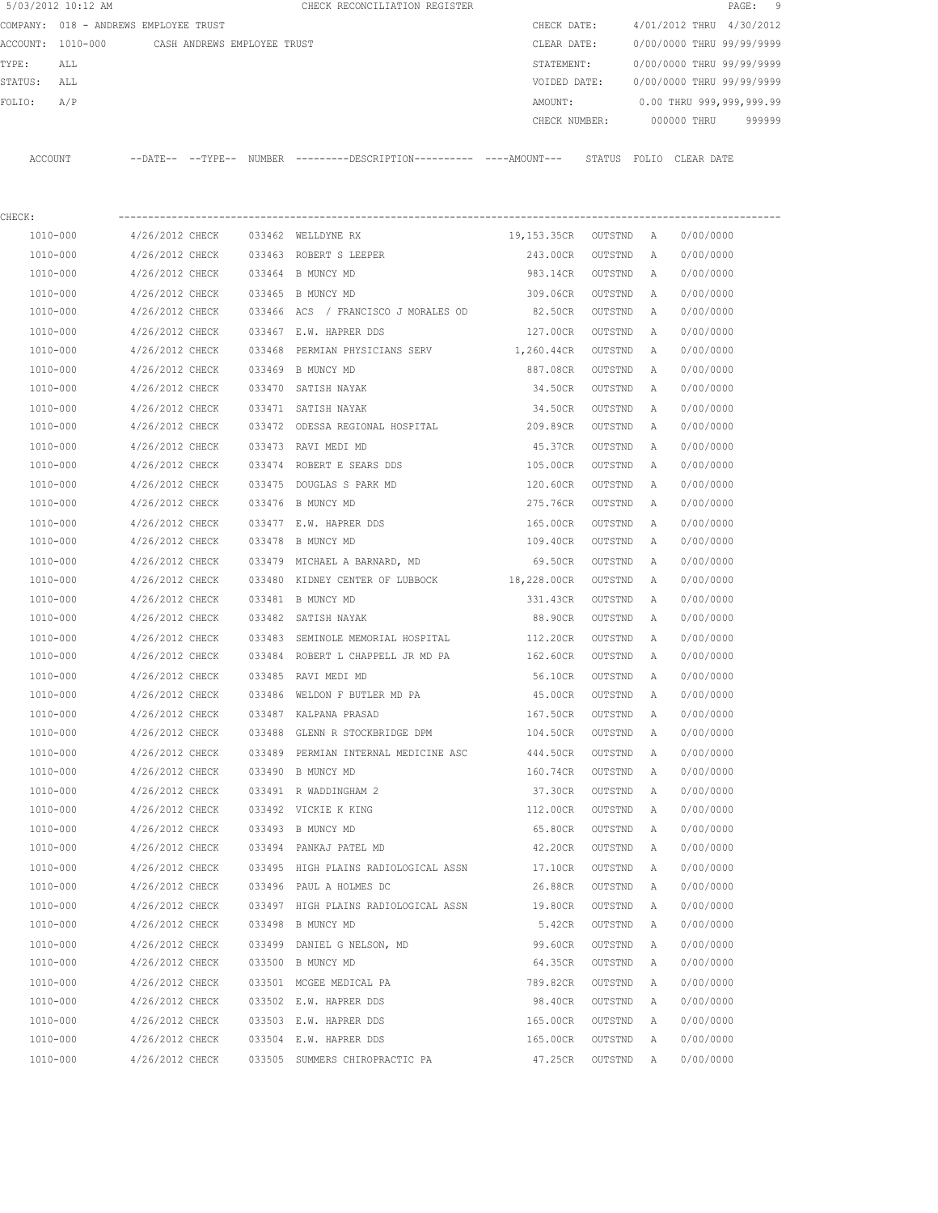| 5/03/2012 10:12 AM |                                       |        | CHECK RECONCILIATION REGISTER                                                                |                     |         |   | PAGE:                     | 9      |
|--------------------|---------------------------------------|--------|----------------------------------------------------------------------------------------------|---------------------|---------|---|---------------------------|--------|
|                    | COMPANY: 018 - ANDREWS EMPLOYEE TRUST |        |                                                                                              | CHECK DATE:         |         |   | 4/01/2012 THRU 4/30/2012  |        |
| ACCOUNT: 1010-000  | CASH ANDREWS EMPLOYEE TRUST           |        |                                                                                              | CLEAR DATE:         |         |   | 0/00/0000 THRU 99/99/9999 |        |
| TYPE:<br>ALL       |                                       |        |                                                                                              | STATEMENT:          |         |   | 0/00/0000 THRU 99/99/9999 |        |
| ALL<br>STATUS:     |                                       |        |                                                                                              | VOIDED DATE:        |         |   | 0/00/0000 THRU 99/99/9999 |        |
| FOLIO:<br>A/P      |                                       |        |                                                                                              | AMOUNT:             |         |   | 0.00 THRU 999,999,999.99  |        |
|                    |                                       |        |                                                                                              | CHECK NUMBER:       |         |   | 000000 THRU               | 999999 |
| ACCOUNT            |                                       |        | --DATE-- --TYPE-- NUMBER ---------DESCRIPTION---------- ----AMOUNT--- STATUS FOLIO CLEARDATE |                     |         |   |                           |        |
| CHECK:             |                                       |        |                                                                                              |                     |         |   |                           |        |
| 1010-000           | 4/26/2012 CHECK                       |        | 033462 WELLDYNE RX                                                                           | 19,153.35CR OUTSTND |         | A | 0/00/0000                 |        |
| 1010-000           | 4/26/2012 CHECK                       |        | 033463 ROBERT S LEEPER                                                                       | 243.00CR            | OUTSTND | A | 0/00/0000                 |        |
| $1010 - 000$       | 4/26/2012 CHECK                       |        | 033464 B MUNCY MD                                                                            | 983.14CR            | OUTSTND | A | 0/00/0000                 |        |
| 1010-000           | 4/26/2012 CHECK                       |        | 033465 B MUNCY MD                                                                            | 309.06CR            | OUTSTND | A | 0/00/0000                 |        |
| 1010-000           | 4/26/2012 CHECK                       |        | 033466 ACS / FRANCISCO J MORALES OD                                                          | 82.50CR             | OUTSTND | A | 0/00/0000                 |        |
| 1010-000           | 4/26/2012 CHECK                       |        | 033467 E.W. HAPRER DDS                                                                       | 127.00CR            | OUTSTND | Α | 0/00/0000                 |        |
| 1010-000           | 4/26/2012 CHECK                       | 033468 | PERMIAN PHYSICIANS SERV 1,260.44CR                                                           |                     | OUTSTND | A | 0/00/0000                 |        |
| 1010-000           | 4/26/2012 CHECK                       |        | 033469 B MUNCY MD                                                                            | 887.08CR            | OUTSTND | Α | 0/00/0000                 |        |
| 1010-000           | 4/26/2012 CHECK                       |        | 033470 SATISH NAYAK                                                                          | 34.50CR             | OUTSTND | A | 0/00/0000                 |        |
| 1010-000           | 4/26/2012 CHECK                       |        | 033471 SATISH NAYAK                                                                          | 34.50CR             | OUTSTND | Α | 0/00/0000                 |        |
| 1010-000           | 4/26/2012 CHECK                       |        | 033472 ODESSA REGIONAL HOSPITAL                                                              | 209.89CR            | OUTSTND | Α | 0/00/0000                 |        |
| 1010-000           | 4/26/2012 CHECK                       |        | 033473 RAVI MEDI MD                                                                          | 45.37CR             | OUTSTND | Α | 0/00/0000                 |        |
| 1010-000           | 4/26/2012 CHECK                       |        | 033474 ROBERT E SEARS DDS                                                                    | 105.00CR            | OUTSTND | Α | 0/00/0000                 |        |
| 1010-000           | 4/26/2012 CHECK                       |        | 033475 DOUGLAS S PARK MD                                                                     | 120.60CR            | OUTSTND | Α | 0/00/0000                 |        |
| 1010-000           | 4/26/2012 CHECK                       |        | 033476 B MUNCY MD                                                                            | 275.76CR            | OUTSTND | A | 0/00/0000                 |        |
| 1010-000           | 4/26/2012 CHECK                       |        | 033477 E.W. HAPRER DDS                                                                       | 165.00CR            | OUTSTND | Α | 0/00/0000                 |        |
| 1010-000           | 4/26/2012 CHECK                       |        | 033478 B MUNCY MD                                                                            | 109.40CR            | OUTSTND | A | 0/00/0000                 |        |
| 1010-000           | 4/26/2012 CHECK                       |        | 033479 MICHAEL A BARNARD, MD                                                                 | 69.50CR             | OUTSTND | Α | 0/00/0000                 |        |
| 1010-000           | 4/26/2012 CHECK                       |        | 033480 KIDNEY CENTER OF LUBBOCK 18,228.00CR                                                  |                     | OUTSTND | Α | 0/00/0000                 |        |
| 1010-000           | 4/26/2012 CHECK                       |        | 033481 B MUNCY MD                                                                            | 331.43CR            | OUTSTND | А | 0/00/0000                 |        |
| 1010-000           | 4/26/2012 CHECK                       |        | 033482 SATISH NAYAK                                                                          | 88.90CR             | OUTSTND | А | 0/00/0000                 |        |
| 1010-000           | 4/26/2012 CHECK                       |        | 033483 SEMINOLE MEMORIAL HOSPITAL                                                            | 112.20CR            | OUTSTND | A | 0/00/0000                 |        |
| 1010-000           | 4/26/2012 CHECK                       |        | 033484 ROBERT L CHAPPELL JR MD PA                                                            | 162.60CR            | OUTSTND | Α | 0/00/0000                 |        |
| 1010-000           | 4/26/2012 CHECK                       |        | 033485 RAVI MEDI MD                                                                          | 56.10CR             | OUTSTND | A | 0/00/0000                 |        |
| 1010-000           | 4/26/2012 CHECK                       |        | 033486 WELDON F BUTLER MD PA                                                                 | 45.00CR             | OUTSTND | A | 0/00/0000                 |        |
| 1010-000           | 4/26/2012 CHECK                       |        | 033487 KALPANA PRASAD                                                                        | 167.50CR            | OUTSTND | Α | 0/00/0000                 |        |
| 1010-000           | 4/26/2012 CHECK                       |        | 033488 GLENN R STOCKBRIDGE DPM                                                               | 104.50CR            | OUTSTND | Α | 0/00/0000                 |        |
| 1010-000           | 4/26/2012 CHECK                       |        | 033489 PERMIAN INTERNAL MEDICINE ASC                                                         | 444.50CR            | OUTSTND | Α | 0/00/0000                 |        |
| 1010-000           | 4/26/2012 CHECK                       |        | 033490 B MUNCY MD                                                                            | 160.74CR            | OUTSTND | Α | 0/00/0000                 |        |
| 1010-000           | 4/26/2012 CHECK                       |        | 033491 R WADDINGHAM 2                                                                        | 37.30CR             | OUTSTND | Α | 0/00/0000                 |        |
| 1010-000           | 4/26/2012 CHECK                       |        | 033492 VICKIE K KING                                                                         | 112.00CR            | OUTSTND | Α | 0/00/0000                 |        |
| $1010 - 000$       | 4/26/2012 CHECK                       |        | 033493 B MUNCY MD                                                                            | 65.80CR             | OUTSTND | Α | 0/00/0000                 |        |
| 1010-000           | 4/26/2012 CHECK                       |        | 033494 PANKAJ PATEL MD                                                                       | 42.20CR             | OUTSTND | Α | 0/00/0000                 |        |
| 1010-000           | 4/26/2012 CHECK                       |        | 033495 HIGH PLAINS RADIOLOGICAL ASSN                                                         | 17.10CR             | OUTSTND | Α | 0/00/0000                 |        |
| 1010-000           | 4/26/2012 CHECK                       |        | 033496 PAUL A HOLMES DC                                                                      | 26.88CR             | OUTSTND | Α | 0/00/0000                 |        |
| 1010-000           | 4/26/2012 CHECK                       |        | 033497 HIGH PLAINS RADIOLOGICAL ASSN                                                         | 19.80CR             | OUTSTND | Α | 0/00/0000                 |        |
| 1010-000           | 4/26/2012 CHECK                       |        | 033498 B MUNCY MD                                                                            | 5.42CR              | OUTSTND | Α | 0/00/0000                 |        |
| 1010-000           | 4/26/2012 CHECK                       |        | 033499 DANIEL G NELSON, MD                                                                   | 99.60CR             | OUTSTND | Α | 0/00/0000                 |        |
| 1010-000           | 4/26/2012 CHECK                       |        | 033500 B MUNCY MD                                                                            | 64.35CR             | OUTSTND | Α | 0/00/0000                 |        |
| 1010-000           | 4/26/2012 CHECK                       |        | 033501 MCGEE MEDICAL PA                                                                      | 789.82CR            | OUTSTND | Α | 0/00/0000                 |        |
| 1010-000           | 4/26/2012 CHECK                       |        | 033502 E.W. HAPRER DDS                                                                       | 98.40CR             | OUTSTND | Α | 0/00/0000                 |        |
| 1010-000           | 4/26/2012 CHECK                       |        | 033503 E.W. HAPRER DDS                                                                       | 165.00CR            | OUTSTND | Α | 0/00/0000                 |        |
| 1010-000           | 4/26/2012 CHECK                       |        | 033504 E.W. HAPRER DDS                                                                       | 165.00CR            | OUTSTND | A | 0/00/0000                 |        |
| 1010-000           | 4/26/2012 CHECK                       |        | 033505 SUMMERS CHIROPRACTIC PA                                                               | 47.25CR             | OUTSTND | A | 0/00/0000                 |        |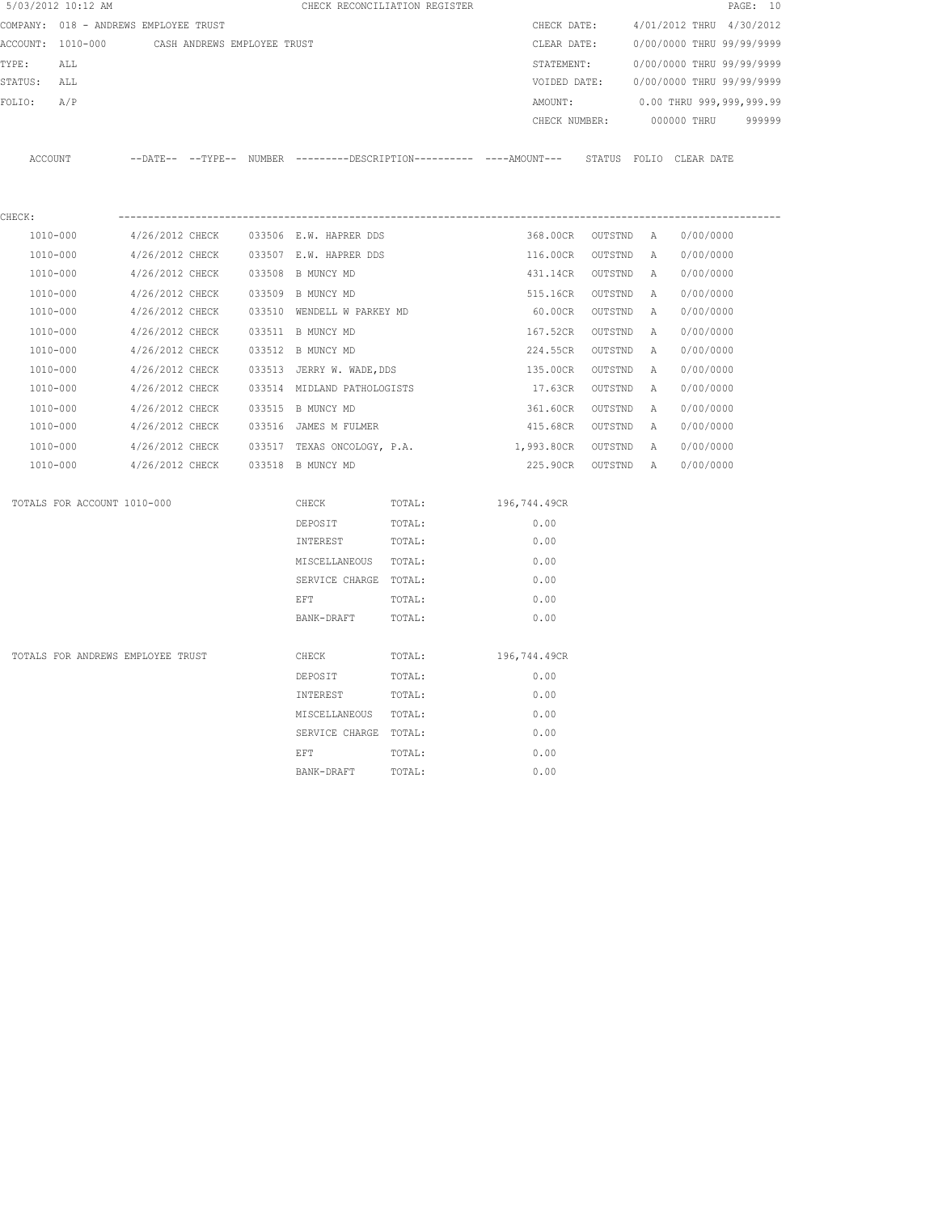| 5/03/2012 10:12 AM                    |                                    |                             |                                            | CHECK RECONCILIATION REGISTER                                                                |                        |                      |          |                           | PAGE: 10 |
|---------------------------------------|------------------------------------|-----------------------------|--------------------------------------------|----------------------------------------------------------------------------------------------|------------------------|----------------------|----------|---------------------------|----------|
| COMPANY: 018 - ANDREWS EMPLOYEE TRUST |                                    |                             |                                            |                                                                                              | CHECK DATE:            |                      |          | 4/01/2012 THRU 4/30/2012  |          |
| ACCOUNT: 1010-000                     |                                    | CASH ANDREWS EMPLOYEE TRUST |                                            |                                                                                              | CLEAR DATE:            |                      |          | 0/00/0000 THRU 99/99/9999 |          |
| TYPE:<br>ALL                          |                                    |                             |                                            |                                                                                              | STATEMENT:             |                      |          | 0/00/0000 THRU 99/99/9999 |          |
| STATUS: ALL                           |                                    |                             |                                            |                                                                                              | VOIDED DATE:           |                      |          | 0/00/0000 THRU 99/99/9999 |          |
| FOLIO:<br>A/P                         |                                    |                             |                                            |                                                                                              | AMOUNT:                |                      |          | 0.00 THRU 999,999,999.99  |          |
|                                       |                                    |                             |                                            |                                                                                              | CHECK NUMBER:          |                      |          | 000000 THRU               | 999999   |
|                                       |                                    |                             |                                            |                                                                                              |                        |                      |          |                           |          |
| ACCOUNT                               |                                    |                             |                                            | --DATE-- --TYPE-- NUMBER --------DESCRIPTION---------- ----AMOUNT--- STATUS FOLIO CLEAR DATE |                        |                      |          |                           |          |
|                                       |                                    |                             |                                            |                                                                                              |                        |                      |          |                           |          |
| CHECK:                                |                                    |                             |                                            |                                                                                              |                        |                      |          |                           |          |
| 1010-000                              |                                    |                             | 4/26/2012 CHECK 033506 E.W. HAPRER DDS     |                                                                                              | 368.00CR OUTSTND A     |                      |          | 0/00/0000                 |          |
| 1010-000                              | 4/26/2012 CHECK                    |                             | 033507 E.W. HAPRER DDS                     |                                                                                              | 116.00CR               | OUTSTND              | <b>A</b> | 0/00/0000                 |          |
| 1010-000                              | 4/26/2012 CHECK                    |                             | 033508 B MUNCY MD                          |                                                                                              | 431.14CR               | OUTSTND              | A        | 0/00/0000                 |          |
| 1010-000                              | 4/26/2012 CHECK                    |                             | 033509 B MUNCY MD                          |                                                                                              | 515.16CR               | OUTSTND              | A        | 0/00/0000                 |          |
| 1010-000                              | 4/26/2012 CHECK                    |                             | 033510 WENDELL W PARKEY MD                 |                                                                                              | 60.00CR                | OUTSTND              | Α        | 0/00/0000                 |          |
| 1010-000                              | 4/26/2012 CHECK                    |                             | 033511 B MUNCY MD                          |                                                                                              | 167.52CR               | OUTSTND              | A        | 0/00/0000                 |          |
| 1010-000                              | 4/26/2012 CHECK                    |                             | 033512 B MUNCY MD                          |                                                                                              | 224.55CR               | OUTSTND              | Α        | 0/00/0000                 |          |
| 1010-000                              | 4/26/2012 CHECK                    |                             | 033513 JERRY W. WADE, DDS                  |                                                                                              | 135.00CR               | OUTSTND              | A        | 0/00/0000                 |          |
| 1010-000                              | 4/26/2012 CHECK                    |                             | 033514 MIDLAND PATHOLOGISTS                |                                                                                              | 17.63CR                | OUTSTND              | A        | 0/00/0000                 |          |
| 1010-000<br>1010-000                  | 4/26/2012 CHECK<br>4/26/2012 CHECK |                             | 033515 B MUNCY MD<br>033516 JAMES M FULMER |                                                                                              | 361.60CR               | OUTSTND              | Α<br>A   | 0/00/0000<br>0/00/0000    |          |
| 1010-000                              | 4/26/2012 CHECK                    |                             | 033517 TEXAS ONCOLOGY, P.A.                |                                                                                              | 415.68CR<br>1,993.80CR | OUTSTND              |          | 0/00/0000                 |          |
| 1010-000                              | 4/26/2012 CHECK                    |                             | 033518 B MUNCY MD                          |                                                                                              | 225.90CR               | OUTSTND<br>OUTSTND A | A        | 0/00/0000                 |          |
|                                       |                                    |                             |                                            |                                                                                              |                        |                      |          |                           |          |
| TOTALS FOR ACCOUNT 1010-000           |                                    |                             | CHECK                                      | TOTAL:                                                                                       | 196,744.49CR           |                      |          |                           |          |
|                                       |                                    |                             | DEPOSIT                                    | TOTAL:                                                                                       | 0.00                   |                      |          |                           |          |
|                                       |                                    |                             | INTEREST                                   | TOTAL:                                                                                       | 0.00                   |                      |          |                           |          |
|                                       |                                    |                             | MISCELLANEOUS TOTAL:                       |                                                                                              | 0.00                   |                      |          |                           |          |
|                                       |                                    |                             | SERVICE CHARGE TOTAL:                      |                                                                                              | 0.00                   |                      |          |                           |          |
|                                       |                                    |                             | EFT                                        | TOTAL:                                                                                       | 0.00                   |                      |          |                           |          |
|                                       |                                    |                             | BANK-DRAFT                                 | TOTAL:                                                                                       | 0.00                   |                      |          |                           |          |
| TOTALS FOR ANDREWS EMPLOYEE TRUST     |                                    |                             | CHECK                                      | TOTAL:                                                                                       | 196,744.49CR           |                      |          |                           |          |
|                                       |                                    |                             | DEPOSIT                                    | TOTAL:                                                                                       | 0.00                   |                      |          |                           |          |
|                                       |                                    |                             | INTEREST                                   | TOTAL:                                                                                       | 0.00                   |                      |          |                           |          |
|                                       |                                    |                             | MISCELLANEOUS TOTAL:                       |                                                                                              | 0.00                   |                      |          |                           |          |
|                                       |                                    |                             | SERVICE CHARGE TOTAL:                      |                                                                                              | 0.00                   |                      |          |                           |          |
|                                       |                                    |                             | EFT                                        | TOTAL:                                                                                       | 0.00                   |                      |          |                           |          |
|                                       |                                    |                             | BANK-DRAFT                                 | TOTAL:                                                                                       | 0.00                   |                      |          |                           |          |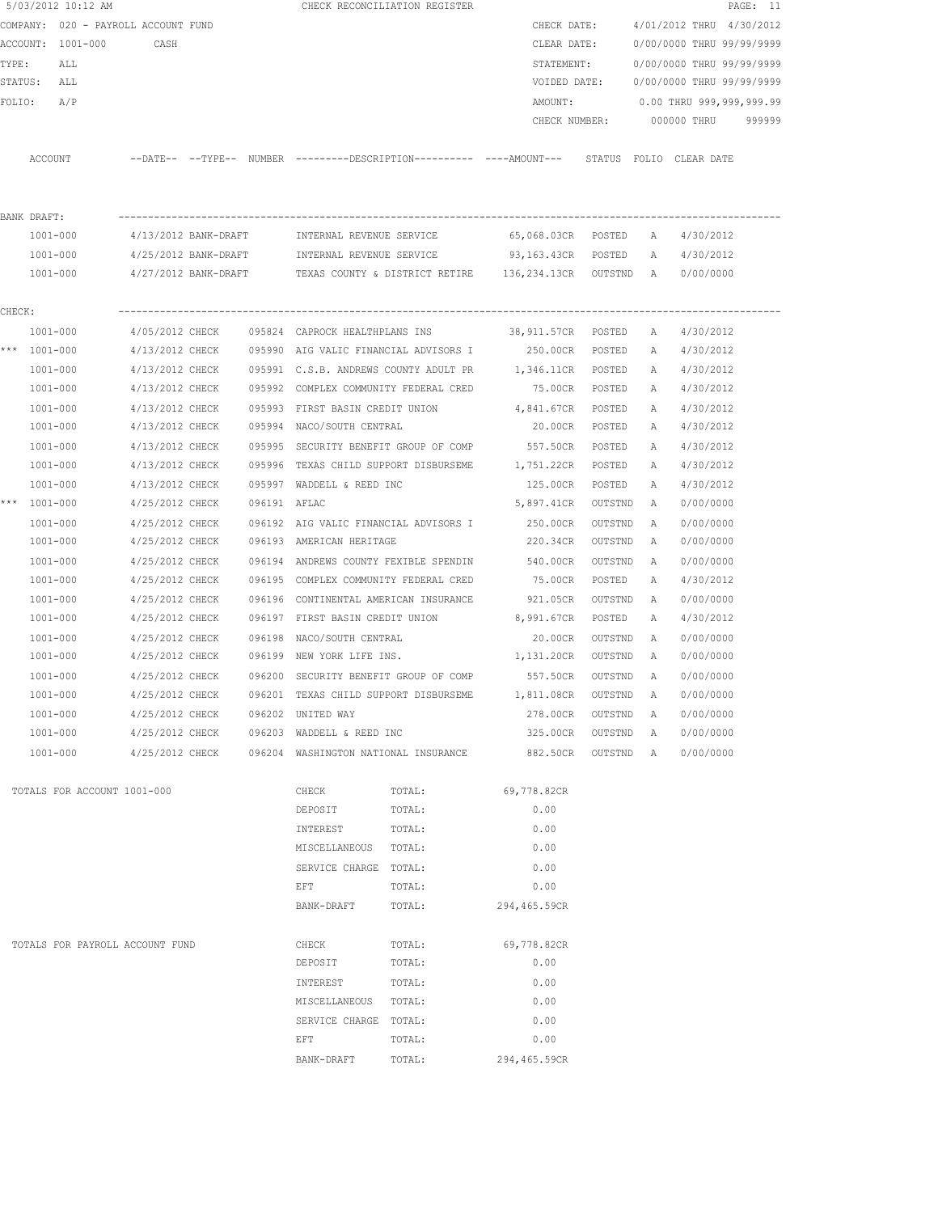|        |              | 5/03/2012 10:12 AM                  |                      |              |                                                  | CHECK RECONCILIATION REGISTER                                                               |                    |           |              |                           | PAGE: 11 |
|--------|--------------|-------------------------------------|----------------------|--------------|--------------------------------------------------|---------------------------------------------------------------------------------------------|--------------------|-----------|--------------|---------------------------|----------|
|        |              | COMPANY: 020 - PAYROLL ACCOUNT FUND |                      |              |                                                  |                                                                                             | CHECK DATE:        |           |              | 4/01/2012 THRU 4/30/2012  |          |
|        |              | ACCOUNT: 1001-000                   | CASH                 |              |                                                  |                                                                                             | CLEAR DATE:        |           |              | 0/00/0000 THRU 99/99/9999 |          |
| TYPE:  |              | ALL                                 |                      |              |                                                  |                                                                                             | STATEMENT:         |           |              | 0/00/0000 THRU 99/99/9999 |          |
|        | STATUS: ALL  |                                     |                      |              |                                                  |                                                                                             | VOIDED DATE:       |           |              | 0/00/0000 THRU 99/99/9999 |          |
| FOLIO: |              | A/P                                 |                      |              |                                                  |                                                                                             | AMOUNT:            |           |              | 0.00 THRU 999,999,999.99  |          |
|        |              |                                     |                      |              |                                                  |                                                                                             | CHECK NUMBER:      |           |              | 000000 THRU               | 999999   |
|        |              |                                     |                      |              |                                                  |                                                                                             |                    |           |              |                           |          |
|        | ACCOUNT      |                                     |                      |              |                                                  | --DATE-- --TYPE-- NUMBER ---------DESCRIPTION--------- ----AMOUNT--- STATUS FOLIO CLEARDATE |                    |           |              |                           |          |
|        |              |                                     |                      |              |                                                  |                                                                                             |                    |           |              |                           |          |
|        | BANK DRAFT:  |                                     |                      |              |                                                  |                                                                                             |                    |           |              |                           |          |
|        | 1001-000     |                                     | 4/13/2012 BANK-DRAFT |              |                                                  | INTERNAL REVENUE SERVICE 65,068.03CR POSTED                                                 |                    |           | A            | 4/30/2012                 |          |
|        | 1001-000     |                                     |                      |              | 4/25/2012 BANK-DRAFT    INTERNAL REVENUE SERVICE |                                                                                             | 93,163.43CR POSTED |           | Α            | 4/30/2012                 |          |
|        | 1001-000     |                                     | 4/27/2012 BANK-DRAFT |              |                                                  | TEXAS COUNTY & DISTRICT RETIRE 136,234.13CR OUTSTND A                                       |                    |           |              | 0/00/0000                 |          |
|        |              |                                     |                      |              |                                                  |                                                                                             |                    |           |              |                           |          |
| CHECK: |              |                                     |                      |              |                                                  |                                                                                             |                    |           |              |                           |          |
|        | 1001-000     |                                     | 4/05/2012 CHECK      |              | 095824 CAPROCK HEALTHPLANS INS                   |                                                                                             | 38,911.57CR POSTED |           | A            | 4/30/2012                 |          |
|        | *** 1001-000 |                                     | 4/13/2012 CHECK      |              |                                                  | 095990 AIG VALIC FINANCIAL ADVISORS I                                                       | 250.00CR POSTED    |           | A            | 4/30/2012                 |          |
|        | 1001-000     |                                     | 4/13/2012 CHECK      |              |                                                  | 095991 C.S.B. ANDREWS COUNTY ADULT PR                                                       | 1,346.11CR         | POSTED    | Α            | 4/30/2012                 |          |
|        | $1001 - 000$ |                                     | 4/13/2012 CHECK      |              |                                                  | 095992 COMPLEX COMMUNITY FEDERAL CRED                                                       | 75.00CR            | POSTED    | Α            | 4/30/2012                 |          |
|        | 1001-000     |                                     | 4/13/2012 CHECK      |              |                                                  | 095993 FIRST BASIN CREDIT UNION                                                             | 4,841.67CR         | POSTED    | Α            | 4/30/2012                 |          |
|        | 1001-000     |                                     | 4/13/2012 CHECK      |              | 095994 NACO/SOUTH CENTRAL                        |                                                                                             | 20.00CR            | POSTED    | Α            | 4/30/2012                 |          |
|        | 1001-000     |                                     | 4/13/2012 CHECK      | 095995       |                                                  | SECURITY BENEFIT GROUP OF COMP 557.50CR                                                     |                    | POSTED    | Α            | 4/30/2012                 |          |
|        | $1001 - 000$ |                                     | 4/13/2012 CHECK      |              |                                                  | 095996 TEXAS CHILD SUPPORT DISBURSEME 1,751.22CR                                            |                    | POSTED    | Α            | 4/30/2012                 |          |
|        | $1001 - 000$ |                                     | 4/13/2012 CHECK      |              | 095997 WADDELL & REED INC                        |                                                                                             | 125.00CR           | POSTED    | Α            | 4/30/2012                 |          |
|        | *** 1001-000 |                                     | 4/25/2012 CHECK      | 096191 AFLAC |                                                  |                                                                                             | 5,897.41CR         | OUTSTND   | А            | 0/00/0000                 |          |
|        | 1001-000     |                                     | 4/25/2012 CHECK      |              |                                                  | 096192 AIG VALIC FINANCIAL ADVISORS I                                                       | 250.00CR           | OUTSTND   | A            | 0/00/0000                 |          |
|        | $1001 - 000$ |                                     | 4/25/2012 CHECK      |              | 096193 AMERICAN HERITAGE                         |                                                                                             | 220.34CR           | OUTSTND   | A            | 0/00/0000                 |          |
|        | $1001 - 000$ |                                     | 4/25/2012 CHECK      |              |                                                  | 096194 ANDREWS COUNTY FEXIBLE SPENDIN                                                       | 540.00CR           | OUTSTND   | A            | 0/00/0000                 |          |
|        | 1001-000     |                                     | 4/25/2012 CHECK      |              | 096195 COMPLEX COMMUNITY FEDERAL CRED            |                                                                                             | 75.00CR            | POSTED    | Α            | 4/30/2012                 |          |
|        | $1001 - 000$ |                                     | 4/25/2012 CHECK      |              | 096196 CONTINENTAL AMERICAN INSURANCE            |                                                                                             | 921.05CR           | OUTSTND   | A            | 0/00/0000                 |          |
|        | 1001-000     |                                     | 4/25/2012 CHECK      |              | 096197 FIRST BASIN CREDIT UNION                  |                                                                                             | 8,991.67CR         | POSTED    | А            | 4/30/2012                 |          |
|        | 1001-000     |                                     | 4/25/2012 CHECK      | 096198       | NACO/SOUTH CENTRAL                               |                                                                                             | 20.00CR            | OUTSTND   | A            | 0/00/0000                 |          |
|        | 1001-000     |                                     | 4/25/2012 CHECK      |              | 096199 NEW YORK LIFE INS.                        |                                                                                             | 1,131.20CR         | OUTSTND   | A            | 0/00/0000                 |          |
|        | 1001-000     |                                     | 4/25/2012 CHECK      |              |                                                  | 096200 SECURITY BENEFIT GROUP OF COMP 557.50CR                                              |                    | OUTSTND   | A            | 0/00/0000                 |          |
|        | 1001-000     |                                     | 4/25/2012 CHECK      |              | 096201 TEXAS CHILD SUPPORT DISBURSEME            |                                                                                             | 1,811.08CR         | OUTSTND   | $\mathbb{A}$ | 0/00/0000                 |          |
|        | $1001 - 000$ |                                     | 4/25/2012 CHECK      |              | 096202 UNITED WAY                                |                                                                                             | 278.00CR           | OUTSTND   | Α            | 0/00/0000                 |          |
|        | $1001 - 000$ |                                     |                      |              | $4/25/2012$ CHECK 096203 WADDELL & REED INC      |                                                                                             | 325.00CR           | OUTSTND   | A            | 0/00/0000                 |          |
|        |              | 1001-000                            |                      |              |                                                  | 4/25/2012 CHECK 096204 WASHINGTON NATIONAL INSURANCE                                        | 882.50CR           | OUTSTND A |              | 0/00/0000                 |          |
|        |              | TOTALS FOR ACCOUNT 1001-000         |                      |              | CHECK                                            | TOTAL:                                                                                      | 69,778.82CR        |           |              |                           |          |
|        |              |                                     |                      |              | DEPOSIT                                          | TOTAL:                                                                                      | 0.00               |           |              |                           |          |
|        |              |                                     |                      |              | INTEREST                                         | TOTAL:                                                                                      | 0.00               |           |              |                           |          |
|        |              |                                     |                      |              | MISCELLANEOUS                                    | TOTAL:                                                                                      | 0.00               |           |              |                           |          |
|        |              |                                     |                      |              | SERVICE CHARGE TOTAL:                            |                                                                                             | 0.00               |           |              |                           |          |
|        |              |                                     |                      |              | EFT                                              | TOTAL:                                                                                      | 0.00               |           |              |                           |          |
|        |              |                                     |                      |              | BANK-DRAFT                                       | TOTAL:                                                                                      | 294,465.59CR       |           |              |                           |          |
|        |              |                                     |                      |              |                                                  |                                                                                             |                    |           |              |                           |          |
|        |              | TOTALS FOR PAYROLL ACCOUNT FUND     |                      |              | CHECK                                            | TOTAL:                                                                                      | 69,778.82CR        |           |              |                           |          |
|        |              |                                     |                      |              | DEPOSIT                                          | TOTAL:                                                                                      | 0.00               |           |              |                           |          |
|        |              |                                     |                      |              | INTEREST                                         | TOTAL:                                                                                      | 0.00               |           |              |                           |          |
|        |              |                                     |                      |              | MISCELLANEOUS                                    | TOTAL:                                                                                      | 0.00               |           |              |                           |          |
|        |              |                                     |                      |              | SERVICE CHARGE TOTAL:                            |                                                                                             | 0.00               |           |              |                           |          |
|        |              |                                     |                      |              | EFT                                              | TOTAL:                                                                                      | 0.00               |           |              |                           |          |
|        |              |                                     |                      |              | BANK-DRAFT                                       | TOTAL:                                                                                      | 294,465.59CR       |           |              |                           |          |
|        |              |                                     |                      |              |                                                  |                                                                                             |                    |           |              |                           |          |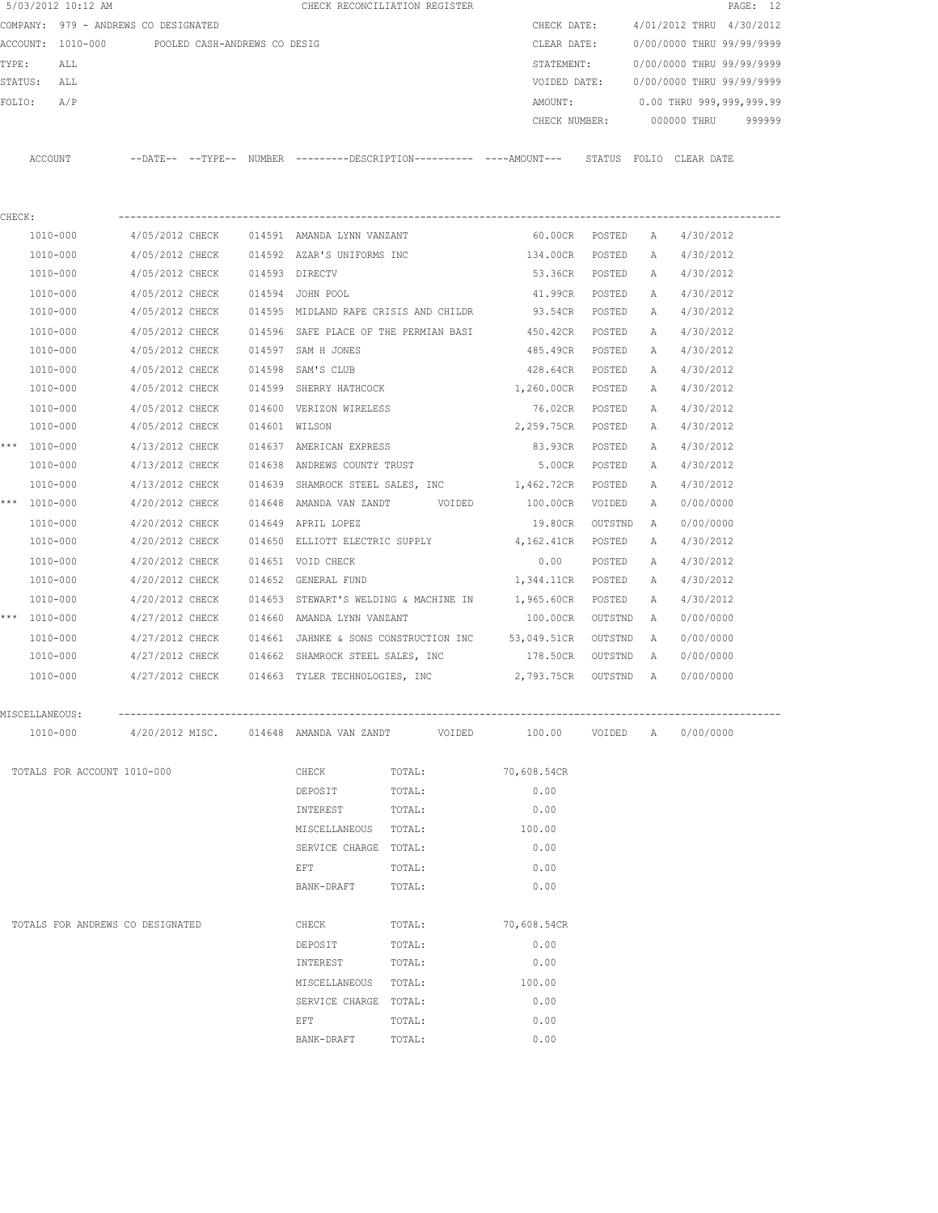|        |              | 5/03/2012 10:12 AM                             |                                |  | CHECK RECONCILIATION REGISTER              |        |        |                                                                                            |         |              |                           | PAGE: 12 |
|--------|--------------|------------------------------------------------|--------------------------------|--|--------------------------------------------|--------|--------|--------------------------------------------------------------------------------------------|---------|--------------|---------------------------|----------|
|        |              | COMPANY: 979 - ANDREWS CO DESIGNATED           |                                |  |                                            |        |        | CHECK DATE:                                                                                |         |              | 4/01/2012 THRU 4/30/2012  |          |
|        |              | ACCOUNT: 1010-000 POOLED CASH-ANDREWS CO DESIG |                                |  |                                            |        |        | CLEAR DATE:                                                                                |         |              | 0/00/0000 THRU 99/99/9999 |          |
| TYPE:  |              | ALL                                            |                                |  |                                            |        |        | STATEMENT:                                                                                 |         |              | 0/00/0000 THRU 99/99/9999 |          |
|        | STATUS: ALL  |                                                |                                |  |                                            |        |        | VOIDED DATE:                                                                               |         |              | 0/00/0000 THRU 99/99/9999 |          |
| FOLIO: |              | A/P                                            |                                |  |                                            |        |        | AMOUNT:                                                                                    |         |              | 0.00 THRU 999,999,999.99  |          |
|        |              |                                                |                                |  |                                            |        |        | CHECK NUMBER:                                                                              |         |              | 000000 THRU               | 999999   |
|        |              |                                                |                                |  |                                            |        |        |                                                                                            |         |              |                           |          |
|        | ACCOUNT      |                                                |                                |  |                                            |        |        | --DATE-- --TYPE-- NUMBER --------DESCRIPTION--------- ----AMOUNT--- STATUS FOLIO CLEARDATE |         |              |                           |          |
| CHECK: |              |                                                |                                |  |                                            |        |        |                                                                                            |         |              |                           |          |
|        |              | 1010-000                                       |                                |  | 4/05/2012 CHECK 014591 AMANDA LYNN VANZANT |        |        | 60.00CR POSTED                                                                             |         | A            | 4/30/2012                 |          |
|        |              | 1010-000                                       | 4/05/2012 CHECK                |  | 014592 AZAR'S UNIFORMS INC                 |        |        | 134.00CR                                                                                   | POSTED  | A            | 4/30/2012                 |          |
|        |              | 1010-000                                       | 4/05/2012 CHECK 014593 DIRECTV |  |                                            |        |        | 53.36CR                                                                                    | POSTED  | A            | 4/30/2012                 |          |
|        |              | 1010-000                                       | 4/05/2012 CHECK                |  | 014594 JOHN POOL                           |        |        | 41.99CR                                                                                    | POSTED  | A            | 4/30/2012                 |          |
|        |              | 1010-000                                       | 4/05/2012 CHECK                |  | 014595 MIDLAND RAPE CRISIS AND CHILDR      |        |        | 93.54CR                                                                                    | POSTED  | Α            | 4/30/2012                 |          |
|        |              | 1010-000                                       | 4/05/2012 CHECK                |  | 014596 SAFE PLACE OF THE PERMIAN BASI      |        |        | 450.42CR                                                                                   | POSTED  | Α            | 4/30/2012                 |          |
|        |              | 1010-000                                       | 4/05/2012 CHECK                |  | 014597 SAM H JONES                         |        |        | 485.49CR                                                                                   | POSTED  | Α            | 4/30/2012                 |          |
|        |              | 1010-000                                       | 4/05/2012 CHECK                |  | 014598 SAM'S CLUB                          |        |        | 428.64CR                                                                                   | POSTED  | A            | 4/30/2012                 |          |
|        |              | 1010-000                                       | 4/05/2012 CHECK                |  | 014599 SHERRY HATHCOCK                     |        |        | 1,260.00CR                                                                                 | POSTED  | A            | 4/30/2012                 |          |
|        |              | 1010-000                                       | 4/05/2012 CHECK                |  | 014600 VERIZON WIRELESS                    |        |        | 76.02CR                                                                                    | POSTED  | Α            | 4/30/2012                 |          |
|        |              | 1010-000                                       | 4/05/2012 CHECK                |  | 014601 WILSON                              |        |        | 2,259.75CR                                                                                 | POSTED  | A            | 4/30/2012                 |          |
|        | *** 1010-000 |                                                | 4/13/2012 CHECK                |  | 014637 AMERICAN EXPRESS                    |        |        | 83.93CR                                                                                    | POSTED  | $\mathbb{A}$ | 4/30/2012                 |          |
|        |              | 1010-000                                       | 4/13/2012 CHECK                |  | 014638 ANDREWS COUNTY TRUST                |        |        | 5.00CR                                                                                     | POSTED  | A            | 4/30/2012                 |          |
|        |              | 1010-000                                       | 4/13/2012 CHECK                |  |                                            |        |        | 014639 SHAMROCK STEEL SALES, INC 1,462.72CR                                                | POSTED  | A            | 4/30/2012                 |          |
|        | *** 1010-000 |                                                | 4/20/2012 CHECK                |  | 014648 AMANDA VAN ZANDT VOIDED             |        |        | 100.00CR                                                                                   | VOIDED  | A            | 0/00/0000                 |          |
|        |              |                                                |                                |  |                                            |        |        |                                                                                            |         |              |                           |          |
|        |              | 1010-000                                       | 4/20/2012 CHECK                |  | 014649 APRIL LOPEZ                         |        |        | 19.80CR                                                                                    | OUTSTND | A            | 0/00/0000                 |          |
|        |              | 1010-000                                       | 4/20/2012 CHECK                |  | 014650 ELLIOTT ELECTRIC SUPPLY             |        |        | 4,162.41CR                                                                                 | POSTED  | Α            | 4/30/2012                 |          |
|        |              | 1010-000                                       | 4/20/2012 CHECK                |  | 014651 VOID CHECK                          |        |        | 0.00                                                                                       | POSTED  | Α            | 4/30/2012                 |          |
|        |              | 1010-000                                       | 4/20/2012 CHECK                |  | 014652 GENERAL FUND                        |        |        | 1,344.11CR                                                                                 | POSTED  | Α            | 4/30/2012                 |          |
|        |              | 1010-000                                       | 4/20/2012 CHECK                |  | 014653 STEWART'S WELDING & MACHINE IN      |        |        | 1,965.60CR                                                                                 | POSTED  | A            | 4/30/2012                 |          |
|        | *** 1010-000 |                                                | 4/27/2012 CHECK                |  | 014660 AMANDA LYNN VANZANT                 |        |        | 100.00CR                                                                                   | OUTSTND | A            | 0/00/0000                 |          |
|        |              | 1010-000                                       | 4/27/2012 CHECK                |  |                                            |        |        | 014661 JAHNKE & SONS CONSTRUCTION INC 53,049.51CR                                          | OUTSTND | <b>A</b>     | 0/00/0000                 |          |
|        |              | 1010-000                                       | 4/27/2012 CHECK                |  | 014662 SHAMROCK STEEL SALES, INC           |        |        | 178.50CR                                                                                   | OUTSTND | A            | 0/00/0000                 |          |
|        |              | 1010-000                                       | 4/27/2012 CHECK                |  | 014663 TYLER TECHNOLOGIES, INC             |        |        | 2,793.75CR                                                                                 | OUTSTND | A            | 0/00/0000                 |          |
|        |              | MISCELLANEOUS:                                 |                                |  |                                            |        |        |                                                                                            |         |              |                           |          |
|        |              | 1010-000                                       | 4/20/2012 MISC.                |  | 014648 AMANDA VAN ZANDT                    |        | VOIDED | 100.00                                                                                     | VOIDED  | A            | 0/00/0000                 |          |
|        |              | TOTALS FOR ACCOUNT 1010-000                    |                                |  | CHECK                                      | TOTAL: |        | 70,608.54CR                                                                                |         |              |                           |          |
|        |              |                                                |                                |  | DEPOSIT                                    | TOTAL: |        | 0.00                                                                                       |         |              |                           |          |
|        |              |                                                |                                |  | INTEREST                                   | TOTAL: |        | 0.00                                                                                       |         |              |                           |          |
|        |              |                                                |                                |  | MISCELLANEOUS TOTAL:                       |        |        | 100.00                                                                                     |         |              |                           |          |
|        |              |                                                |                                |  | SERVICE CHARGE TOTAL:                      |        |        | 0.00                                                                                       |         |              |                           |          |
|        |              |                                                |                                |  | EFT                                        | TOTAL: |        | 0.00                                                                                       |         |              |                           |          |
|        |              |                                                |                                |  | BANK-DRAFT                                 | TOTAL: |        | 0.00                                                                                       |         |              |                           |          |
|        |              | TOTALS FOR ANDREWS CO DESIGNATED               |                                |  | CHECK                                      | TOTAL: |        | 70,608.54CR                                                                                |         |              |                           |          |
|        |              |                                                |                                |  | DEPOSIT                                    | TOTAL: |        | 0.00                                                                                       |         |              |                           |          |
|        |              |                                                |                                |  | INTEREST                                   | TOTAL: |        | 0.00                                                                                       |         |              |                           |          |
|        |              |                                                |                                |  | MISCELLANEOUS TOTAL:                       |        |        | 100.00                                                                                     |         |              |                           |          |
|        |              |                                                |                                |  | SERVICE CHARGE TOTAL:                      |        |        | 0.00                                                                                       |         |              |                           |          |
|        |              |                                                |                                |  | EFT                                        | TOTAL: |        | 0.00                                                                                       |         |              |                           |          |
|        |              |                                                |                                |  | BANK-DRAFT                                 | TOTAL: |        | 0.00                                                                                       |         |              |                           |          |
|        |              |                                                |                                |  |                                            |        |        |                                                                                            |         |              |                           |          |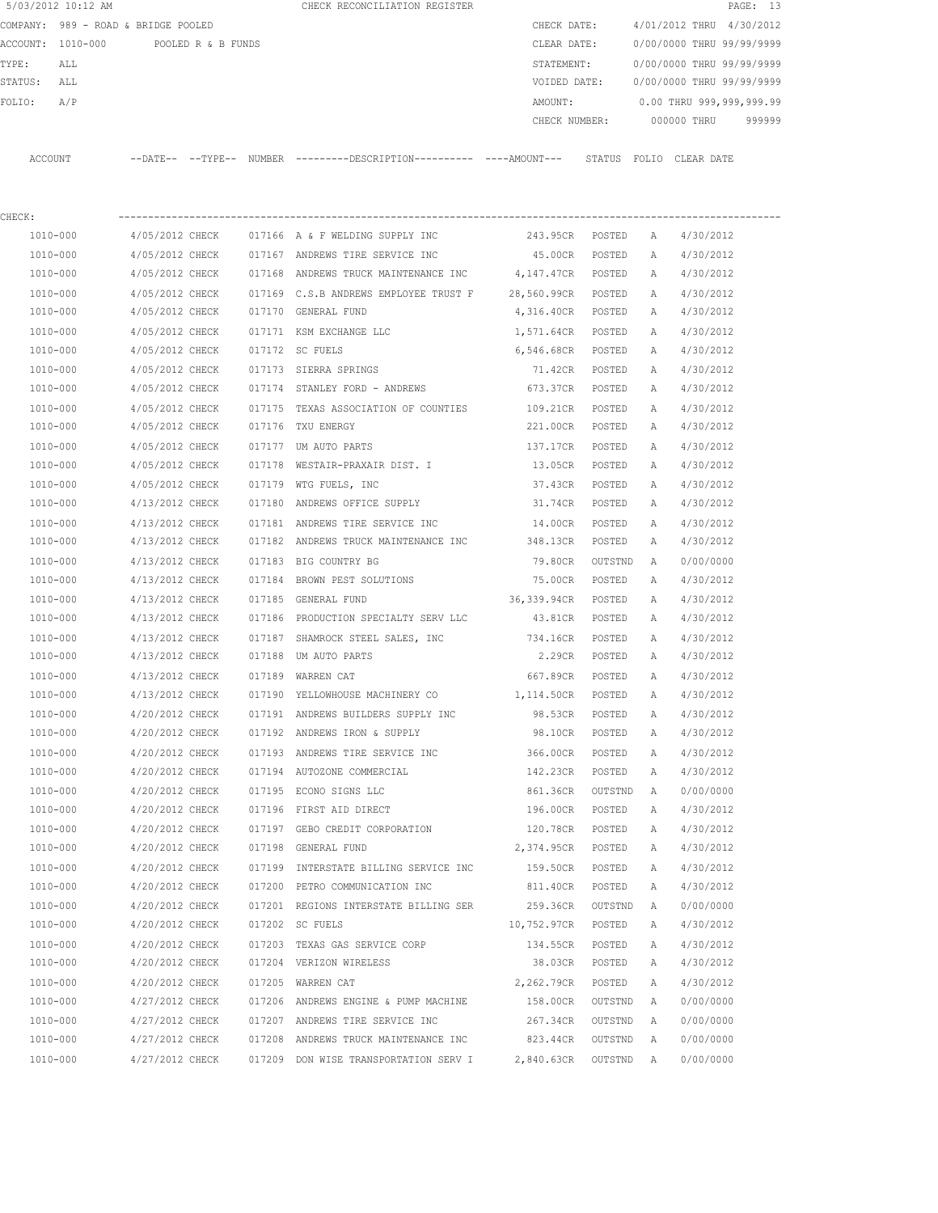|         | 5/03/2012 10:12 AM                  |                 |                    |        | CHECK RECONCILIATION REGISTER                                                              |                    |         |   |                           | PAGE: 13 |
|---------|-------------------------------------|-----------------|--------------------|--------|--------------------------------------------------------------------------------------------|--------------------|---------|---|---------------------------|----------|
|         | COMPANY: 989 - ROAD & BRIDGE POOLED |                 |                    |        |                                                                                            | CHECK DATE:        |         |   | 4/01/2012 THRU 4/30/2012  |          |
|         | ACCOUNT: 1010-000                   |                 | POOLED R & B FUNDS |        |                                                                                            | CLEAR DATE:        |         |   | 0/00/0000 THRU 99/99/9999 |          |
| TYPE:   | ALL                                 |                 |                    |        |                                                                                            | STATEMENT:         |         |   | 0/00/0000 THRU 99/99/9999 |          |
| STATUS: | ALL                                 |                 |                    |        |                                                                                            | VOIDED DATE:       |         |   | 0/00/0000 THRU 99/99/9999 |          |
| FOLIO:  | A/P                                 |                 |                    |        |                                                                                            | AMOUNT:            |         |   | 0.00 THRU 999,999,999.99  |          |
|         |                                     |                 |                    |        |                                                                                            | CHECK NUMBER:      |         |   | 000000 THRU               | 999999   |
|         | ACCOUNT                             |                 |                    |        | --DATE-- --TYPE-- NUMBER --------DESCRIPTION--------- ----AMOUNT--- STATUS FOLIO CLEARDATE |                    |         |   |                           |          |
| CHECK:  |                                     |                 |                    |        |                                                                                            |                    |         |   |                           |          |
|         | 1010-000                            |                 |                    |        | $4/05/2012$ CHECK 017166 A & F WELDING SUPPLY INC                                          | 243.95CR POSTED    |         | A | 4/30/2012                 |          |
|         | 1010-000                            | 4/05/2012 CHECK |                    |        | 017167 ANDREWS TIRE SERVICE INC                                                            | 45.00CR POSTED     |         | Α | 4/30/2012                 |          |
|         | 1010-000                            | 4/05/2012 CHECK |                    |        | 017168 ANDREWS TRUCK MAINTENANCE INC 4,147.47CR POSTED                                     |                    |         | A | 4/30/2012                 |          |
|         | 1010-000                            | 4/05/2012 CHECK |                    |        | 017169 C.S.B ANDREWS EMPLOYEE TRUST F 28,560.99CR POSTED                                   |                    |         | Α | 4/30/2012                 |          |
|         | 1010-000                            | 4/05/2012 CHECK |                    |        | 017170 GENERAL FUND                                                                        | 4,316.40CR POSTED  |         | Α | 4/30/2012                 |          |
|         | 1010-000                            | 4/05/2012 CHECK |                    |        | 017171 KSM EXCHANGE LLC                                                                    | 1,571.64CR POSTED  |         | A | 4/30/2012                 |          |
|         | 1010-000                            | 4/05/2012 CHECK |                    |        | 017172 SC FUELS                                                                            | 6,546.68CR POSTED  |         | A | 4/30/2012                 |          |
|         | 1010-000                            | 4/05/2012 CHECK |                    |        | 017173 SIERRA SPRINGS                                                                      | 71.42CR            | POSTED  | Α | 4/30/2012                 |          |
|         | 1010-000                            | 4/05/2012 CHECK |                    |        | 017174 STANLEY FORD - ANDREWS                                                              | 673.37CR           | POSTED  | Α | 4/30/2012                 |          |
|         | 1010-000                            | 4/05/2012 CHECK |                    |        | 017175 TEXAS ASSOCIATION OF COUNTIES                                                       | 109.21CR           | POSTED  | Α | 4/30/2012                 |          |
|         | 1010-000                            | 4/05/2012 CHECK |                    |        | 017176 TXU ENERGY                                                                          | 221.00CR           | POSTED  | Α | 4/30/2012                 |          |
|         | 1010-000                            | 4/05/2012 CHECK |                    |        | 017177 UM AUTO PARTS                                                                       | 137.17CR           | POSTED  | Α | 4/30/2012                 |          |
|         | 1010-000                            | 4/05/2012 CHECK |                    |        | 017178 WESTAIR-PRAXAIR DIST. I                                                             | 13.05CR            | POSTED  | Α | 4/30/2012                 |          |
|         | 1010-000                            | 4/05/2012 CHECK |                    |        | 017179 WTG FUELS, INC                                                                      | 37.43CR            | POSTED  | Α | 4/30/2012                 |          |
|         | 1010-000                            | 4/13/2012 CHECK |                    | 017180 | ANDREWS OFFICE SUPPLY                                                                      | 31.74CR            | POSTED  | Α | 4/30/2012                 |          |
|         | 1010-000                            | 4/13/2012 CHECK |                    |        | 017181 ANDREWS TIRE SERVICE INC                                                            | 14.00CR            | POSTED  | Α | 4/30/2012                 |          |
|         | 1010-000                            | 4/13/2012 CHECK |                    |        | 017182 ANDREWS TRUCK MAINTENANCE INC                                                       | 348.13CR           | POSTED  | А | 4/30/2012                 |          |
|         | 1010-000                            | 4/13/2012 CHECK |                    |        | 017183 BIG COUNTRY BG                                                                      | 79.80CR            | OUTSTND | A | 0/00/0000                 |          |
|         | 1010-000                            | 4/13/2012 CHECK |                    |        | 017184 BROWN PEST SOLUTIONS                                                                | 75.00CR            | POSTED  | Α | 4/30/2012                 |          |
|         | 1010-000                            | 4/13/2012 CHECK |                    | 017185 | GENERAL FUND                                                                               | 36,339.94CR        | POSTED  | Α | 4/30/2012                 |          |
|         | 1010-000                            | 4/13/2012 CHECK |                    | 017186 | PRODUCTION SPECIALTY SERV LLC                                                              | 43.81CR            | POSTED  | Α | 4/30/2012                 |          |
|         | 1010-000                            | 4/13/2012 CHECK |                    |        | 017187 SHAMROCK STEEL SALES, INC                                                           | 734.16CR           | POSTED  | Α | 4/30/2012                 |          |
|         | 1010-000                            | 4/13/2012 CHECK |                    |        | 017188 UM AUTO PARTS                                                                       | 2.29CR             | POSTED  | A | 4/30/2012                 |          |
|         | 1010-000                            | 4/13/2012 CHECK |                    |        | 017189 WARREN CAT                                                                          | 667.89CR           | POSTED  | A | 4/30/2012                 |          |
|         | 1010-000                            | 4/13/2012 CHECK |                    |        | 017190 YELLOWHOUSE MACHINERY CO                                                            | 1,114.50CR         | POSTED  | А | 4/30/2012                 |          |
|         | 1010-000                            | 4/20/2012 CHECK |                    |        | 017191 ANDREWS BUILDERS SUPPLY INC                                                         | 98.53CR            | POSTED  | Α | 4/30/2012                 |          |
|         | 1010-000                            | 4/20/2012 CHECK |                    |        | 017192 ANDREWS IRON & SUPPLY                                                               | 98.10CR            | POSTED  | Α | 4/30/2012                 |          |
|         | 1010-000                            | 4/20/2012 CHECK |                    |        | 017193 ANDREWS TIRE SERVICE INC                                                            | 366.00CR           | POSTED  | Α | 4/30/2012                 |          |
|         | $1010 - 000$                        | 4/20/2012 CHECK |                    |        | 017194 AUTOZONE COMMERCIAL                                                                 | 142.23CR           | POSTED  | Α | 4/30/2012                 |          |
|         | 1010-000                            | 4/20/2012 CHECK |                    |        | 017195 ECONO SIGNS LLC                                                                     | 861.36CR OUTSTND   |         | A | 0/00/0000                 |          |
|         | 1010-000                            | 4/20/2012 CHECK |                    |        | 017196 FIRST AID DIRECT                                                                    | 196.00CR           | POSTED  | Α | 4/30/2012                 |          |
|         | 1010-000                            | 4/20/2012 CHECK |                    |        | 017197 GEBO CREDIT CORPORATION                                                             | 120.78CR           | POSTED  | Α | 4/30/2012                 |          |
|         | 1010-000                            | 4/20/2012 CHECK |                    |        | 017198 GENERAL FUND                                                                        | 2,374.95CR         | POSTED  | Α | 4/30/2012                 |          |
|         | 1010-000                            | 4/20/2012 CHECK |                    |        | 017199 INTERSTATE BILLING SERVICE INC 159.50CR                                             |                    | POSTED  | Α | 4/30/2012                 |          |
|         | 1010-000                            | 4/20/2012 CHECK |                    |        | 017200 PETRO COMMUNICATION INC                                                             | 811.40CR           | POSTED  | Α | 4/30/2012                 |          |
|         | 1010-000                            | 4/20/2012 CHECK |                    |        | 017201 REGIONS INTERSTATE BILLING SER 259.36CR                                             |                    | OUTSTND | A | 0/00/0000                 |          |
|         | 1010-000                            | 4/20/2012 CHECK |                    |        | 017202 SC FUELS                                                                            | 10,752.97CR POSTED |         | Α | 4/30/2012                 |          |
|         | 1010-000                            | 4/20/2012 CHECK |                    |        | 017203 TEXAS GAS SERVICE CORP                                                              | 134.55CR           | POSTED  | Α | 4/30/2012                 |          |
|         | 1010-000                            | 4/20/2012 CHECK |                    |        | 017204 VERIZON WIRELESS                                                                    | 38.03CR            | POSTED  | Α | 4/30/2012                 |          |
|         | 1010-000                            | 4/20/2012 CHECK |                    |        | 017205 WARREN CAT                                                                          | 2,262.79CR         | POSTED  | Α | 4/30/2012                 |          |
|         | 1010-000                            | 4/27/2012 CHECK |                    |        | 017206 ANDREWS ENGINE & PUMP MACHINE                                                       | 158.00CR OUTSTND   |         | A | 0/00/0000                 |          |
|         | 1010-000                            | 4/27/2012 CHECK |                    |        | 017207 ANDREWS TIRE SERVICE INC                                                            | 267.34CR OUTSTND   |         | A | 0/00/0000                 |          |
|         | 1010-000                            | 4/27/2012 CHECK |                    |        | 017208 ANDREWS TRUCK MAINTENANCE INC                                                       | 823.44CR OUTSTND   |         | A | 0/00/0000                 |          |
|         | 1010-000                            | 4/27/2012 CHECK |                    |        | 017209 DON WISE TRANSPORTATION SERV I                                                      | 2,840.63CR OUTSTND |         | A | 0/00/0000                 |          |
|         |                                     |                 |                    |        |                                                                                            |                    |         |   |                           |          |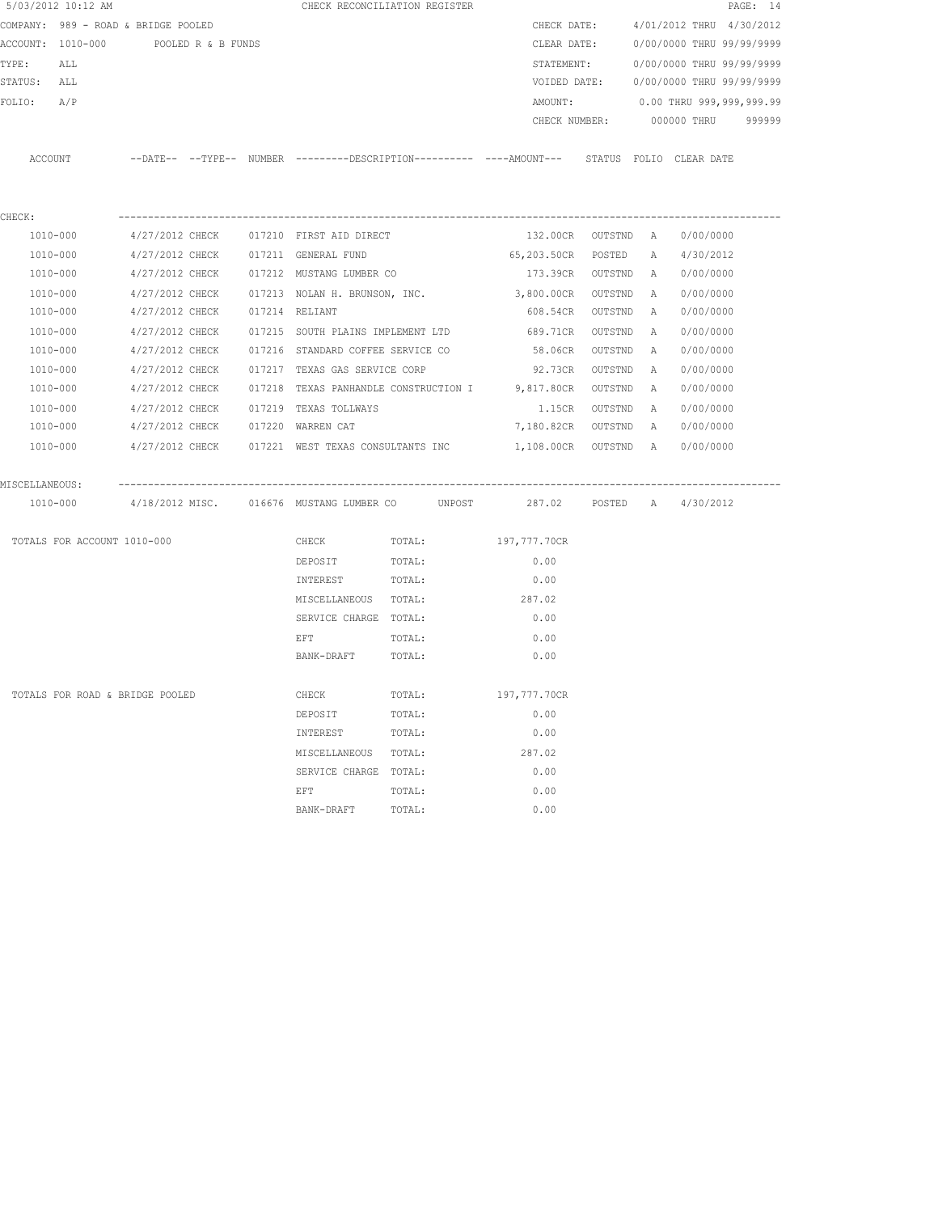| 5/03/2012 10:12 AM                   |                                                                                             |                |                                   | CHECK RECONCILIATION REGISTER                    |                    |         |   |                                        | PAGE: 14 |
|--------------------------------------|---------------------------------------------------------------------------------------------|----------------|-----------------------------------|--------------------------------------------------|--------------------|---------|---|----------------------------------------|----------|
| COMPANY: 989 - ROAD & BRIDGE POOLED  |                                                                                             |                |                                   |                                                  | CHECK DATE:        |         |   | 4/01/2012 THRU 4/30/2012               |          |
| ACCOUNT: 1010-000 POOLED R & B FUNDS |                                                                                             |                |                                   |                                                  | CLEAR DATE:        |         |   | 0/00/0000 THRU 99/99/9999              |          |
| TYPE:<br>ALL                         |                                                                                             |                |                                   |                                                  | STATEMENT:         |         |   | 0/00/0000 THRU 99/99/9999              |          |
| STATUS: ALL                          |                                                                                             |                |                                   |                                                  |                    |         |   | VOIDED DATE: 0/00/0000 THRU 99/99/9999 |          |
| FOLIO:<br>A/P                        |                                                                                             |                |                                   |                                                  | AMOUNT:            |         |   | 0.00 THRU 999,999,999.99               |          |
|                                      |                                                                                             |                |                                   |                                                  | CHECK NUMBER:      |         |   | 000000 THRU                            | 999999   |
|                                      |                                                                                             |                |                                   |                                                  |                    |         |   |                                        |          |
| ACCOUNT                              | --DATE-- --TYPE-- NUMBER ---------DESCRIPTION--------- ----AMOUNT--- STATUS FOLIO CLEARDATE |                |                                   |                                                  |                    |         |   |                                        |          |
|                                      |                                                                                             |                |                                   |                                                  |                    |         |   |                                        |          |
|                                      |                                                                                             |                |                                   |                                                  |                    |         |   |                                        |          |
| CHECK:                               |                                                                                             |                |                                   |                                                  |                    |         |   |                                        |          |
| 1010-000                             | 4/27/2012 CHECK 017210 FIRST AID DIRECT                                                     |                |                                   |                                                  | 132.00CR OUTSTND A |         |   | 0/00/0000                              |          |
| 1010-000                             | 4/27/2012 CHECK 017211 GENERAL FUND                                                         |                |                                   |                                                  | 65,203.50CR        | POSTED  | A | 4/30/2012                              |          |
| 1010-000                             | 4/27/2012 CHECK 017212 MUSTANG LUMBER CO                                                    |                |                                   |                                                  | 173.39CR OUTSTND   |         | A | 0/00/0000                              |          |
| 1010-000                             | 4/27/2012 CHECK                                                                             |                | 017213 NOLAN H. BRUNSON, INC.     |                                                  | 3,800.00CR         | OUTSTND | A | 0/00/0000                              |          |
| 1010-000                             | 4/27/2012 CHECK                                                                             | 017214 RELIANT |                                   |                                                  | 608.54CR           | OUTSTND | A | 0/00/0000                              |          |
| 1010-000                             | 4/27/2012 CHECK                                                                             |                | 017215 SOUTH PLAINS IMPLEMENT LTD |                                                  | 689.71CR           | OUTSTND | A | 0/00/0000                              |          |
| 1010-000                             | 4/27/2012 CHECK                                                                             |                | 017216 STANDARD COFFEE SERVICE CO |                                                  | 58.06CR            | OUTSTND | A | 0/00/0000                              |          |
| 1010-000                             | 4/27/2012 CHECK                                                                             |                | 017217 TEXAS GAS SERVICE CORP     |                                                  | 92.73CR            | OUTSTND | A | 0/00/0000                              |          |
| 1010-000                             | 4/27/2012 CHECK                                                                             |                |                                   | 017218 TEXAS PANHANDLE CONSTRUCTION I 9,817.80CR |                    | OUTSTND | A | 0/00/0000                              |          |
| 1010-000                             | 4/27/2012 CHECK                                                                             |                | 017219 TEXAS TOLLWAYS             |                                                  | 1.15CR             | OUTSTND | A | 0/00/0000                              |          |
| 1010-000                             | 4/27/2012 CHECK                                                                             |                | 017220 WARREN CAT                 |                                                  | 7,180.82CR OUTSTND |         | A | 0/00/0000                              |          |
| 1010-000                             | 4/27/2012 CHECK 017221 WEST TEXAS CONSULTANTS INC 1,108.00CR OUTSTND A                      |                |                                   |                                                  |                    |         |   | 0/00/0000                              |          |
|                                      |                                                                                             |                |                                   |                                                  |                    |         |   |                                        |          |
| MISCELLANEOUS:                       |                                                                                             |                |                                   |                                                  |                    |         |   |                                        |          |
|                                      | 1010-000 4/18/2012 MISC. 016676 MUSTANG LUMBER CO UNPOST                                    |                |                                   |                                                  | 287.02 POSTED A    |         |   | 4/30/2012                              |          |
|                                      |                                                                                             |                |                                   |                                                  |                    |         |   |                                        |          |
| TOTALS FOR ACCOUNT 1010-000          |                                                                                             |                | CHECK                             | TOTAL:                                           | 197,777.70CR       |         |   |                                        |          |
|                                      |                                                                                             |                | DEPOSIT                           | TOTAL:                                           | 0.00               |         |   |                                        |          |
|                                      |                                                                                             |                | INTEREST                          | TOTAL:                                           | 0.00               |         |   |                                        |          |
|                                      |                                                                                             |                | MISCELLANEOUS TOTAL:              |                                                  | 287.02             |         |   |                                        |          |
|                                      |                                                                                             |                | SERVICE CHARGE TOTAL:             |                                                  | 0.00               |         |   |                                        |          |
|                                      |                                                                                             |                | EFT                               | TOTAL:                                           | 0.00               |         |   |                                        |          |
|                                      |                                                                                             |                | BANK-DRAFT                        | TOTAL:                                           | 0.00               |         |   |                                        |          |
|                                      |                                                                                             |                |                                   |                                                  |                    |         |   |                                        |          |
| TOTALS FOR ROAD & BRIDGE POOLED      |                                                                                             |                | CHECK                             | TOTAL:                                           | 197,777.70CR       |         |   |                                        |          |
|                                      |                                                                                             |                | DEPOSIT                           | TOTAL:                                           | 0.00               |         |   |                                        |          |
|                                      |                                                                                             |                | INTEREST                          | TOTAL:                                           | 0.00               |         |   |                                        |          |
|                                      |                                                                                             |                | MISCELLANEOUS                     | TOTAL:                                           | 287.02             |         |   |                                        |          |
|                                      |                                                                                             |                | SERVICE CHARGE                    | TOTAL:                                           | 0.00               |         |   |                                        |          |
|                                      |                                                                                             |                | EFT                               | TOTAL:                                           | 0.00               |         |   |                                        |          |
|                                      |                                                                                             |                | BANK-DRAFT                        | TOTAL:                                           | 0.00               |         |   |                                        |          |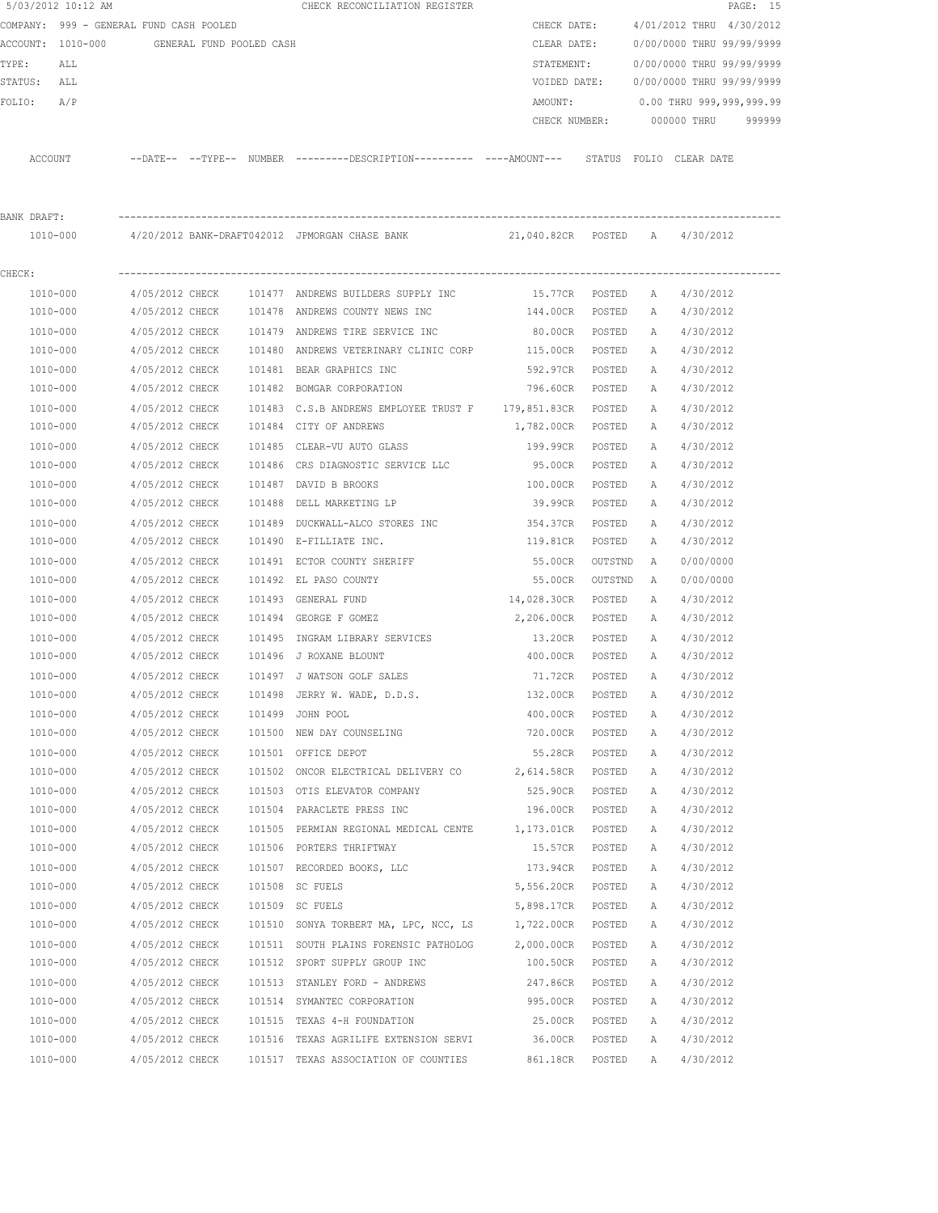|             | 5/03/2012 10:12 AM                         |                 |  | CHECK RECONCILIATION REGISTER                                                                |                   |         |              |                           | PAGE: 15 |
|-------------|--------------------------------------------|-----------------|--|----------------------------------------------------------------------------------------------|-------------------|---------|--------------|---------------------------|----------|
|             | COMPANY: 999 - GENERAL FUND CASH POOLED    |                 |  |                                                                                              | CHECK DATE:       |         |              | 4/01/2012 THRU 4/30/2012  |          |
|             | ACCOUNT: 1010-000 GENERAL FUND POOLED CASH |                 |  |                                                                                              | CLEAR DATE:       |         |              | 0/00/0000 THRU 99/99/9999 |          |
| TYPE:       | ALL                                        |                 |  |                                                                                              | STATEMENT:        |         |              | 0/00/0000 THRU 99/99/9999 |          |
| STATUS: ALL |                                            |                 |  |                                                                                              | VOIDED DATE:      |         |              | 0/00/0000 THRU 99/99/9999 |          |
| FOLIO:      | A/P                                        |                 |  |                                                                                              | AMOUNT:           |         |              | 0.00 THRU 999,999,999.99  |          |
|             |                                            |                 |  |                                                                                              | CHECK NUMBER:     |         |              | 000000 THRU               | 999999   |
|             | ACCOUNT                                    |                 |  | --DATE-- --TYPE-- NUMBER ---------DESCRIPTION---------- ----AMOUNT--- STATUS FOLIO CLEARDATE |                   |         |              |                           |          |
| BANK DRAFT: |                                            |                 |  |                                                                                              |                   |         |              |                           |          |
|             | 1010-000                                   |                 |  |                                                                                              |                   |         |              |                           |          |
|             |                                            |                 |  |                                                                                              |                   |         |              |                           |          |
| CHECK:      |                                            |                 |  |                                                                                              |                   |         |              |                           |          |
|             | 1010-000                                   | 4/05/2012 CHECK |  | 101477 ANDREWS BUILDERS SUPPLY INC                                                           | 15.77CR POSTED    |         | A            | 4/30/2012                 |          |
|             | 1010-000                                   | 4/05/2012 CHECK |  | 101478 ANDREWS COUNTY NEWS INC                                                               | 144.00CR          | POSTED  | A            | 4/30/2012                 |          |
|             | 1010-000                                   | 4/05/2012 CHECK |  | 101479 ANDREWS TIRE SERVICE INC                                                              | 80.00CR           | POSTED  |              | A 4/30/2012               |          |
|             | 1010-000                                   | 4/05/2012 CHECK |  | 101480 ANDREWS VETERINARY CLINIC CORP                                                        | 115.00CR          | POSTED  | A            | 4/30/2012                 |          |
|             | 1010-000                                   | 4/05/2012 CHECK |  | 101481 BEAR GRAPHICS INC                                                                     | 592.97CR          | POSTED  | A            | 4/30/2012                 |          |
|             | 1010-000                                   | 4/05/2012 CHECK |  | 101482 BOMGAR CORPORATION                                                                    | 796.60CR          | POSTED  | A            | 4/30/2012                 |          |
|             | 1010-000                                   | 4/05/2012 CHECK |  | 101483 C.S.B ANDREWS EMPLOYEE TRUST F 179,851.83CR                                           |                   | POSTED  | A            | 4/30/2012                 |          |
|             | 1010-000                                   | 4/05/2012 CHECK |  | 101484 CITY OF ANDREWS                                                                       | 1,782.00CR POSTED |         | A            | 4/30/2012                 |          |
|             | 1010-000                                   | 4/05/2012 CHECK |  | 101485 CLEAR-VU AUTO GLASS                                                                   | 199.99CR          | POSTED  | $\mathbb{A}$ | 4/30/2012                 |          |
|             | 1010-000                                   | 4/05/2012 CHECK |  | 101486 CRS DIAGNOSTIC SERVICE LLC                                                            | 95.00CR           | POSTED  | A            | 4/30/2012                 |          |
|             | 1010-000                                   | 4/05/2012 CHECK |  | 101487 DAVID B BROOKS                                                                        | 100.00CR          | POSTED  | Α            | 4/30/2012                 |          |
|             | 1010-000                                   | 4/05/2012 CHECK |  | 101488 DELL MARKETING LP                                                                     | 39.99CR           | POSTED  | A            | 4/30/2012                 |          |
|             | 1010-000                                   | 4/05/2012 CHECK |  | 101489 DUCKWALL-ALCO STORES INC                                                              | 354.37CR          | POSTED  | Α            | 4/30/2012                 |          |
|             | 1010-000                                   | 4/05/2012 CHECK |  | 101490 E-FILLIATE INC.                                                                       | 119.81CR          | POSTED  | Α            | 4/30/2012                 |          |
|             | 1010-000                                   | 4/05/2012 CHECK |  | 101491 ECTOR COUNTY SHERIFF                                                                  | 55.00CR           | OUTSTND | A            | 0/00/0000                 |          |
|             | 1010-000                                   | 4/05/2012 CHECK |  | 101492 EL PASO COUNTY                                                                        | 55.00CR           | OUTSTND | A            | 0/00/0000                 |          |
|             | 1010-000                                   | 4/05/2012 CHECK |  | 101493 GENERAL FUND                                                                          | 14,028.30CR       | POSTED  | Α            | 4/30/2012                 |          |
|             | 1010-000                                   | 4/05/2012 CHECK |  | 101494 GEORGE F GOMEZ                                                                        | 2,206.00CR        | POSTED  | A            | 4/30/2012                 |          |
|             | 1010-000                                   | 4/05/2012 CHECK |  | 101495 INGRAM LIBRARY SERVICES                                                               | 13.20CR           | POSTED  | A            | 4/30/2012                 |          |
|             | 1010-000                                   | 4/05/2012 CHECK |  | 101496 J ROXANE BLOUNT                                                                       | 400.00CR          | POSTED  | A            | 4/30/2012                 |          |
|             | 1010-000                                   | 4/05/2012 CHECK |  | 101497 J WATSON GOLF SALES                                                                   | 71.72CR           | POSTED  | $\mathbb{A}$ | 4/30/2012                 |          |
|             | 1010-000                                   | 4/05/2012 CHECK |  | 101498 JERRY W. WADE, D.D.S.                                                                 | 132.00CR          | POSTED  | А            | 4/30/2012                 |          |
|             | 1010-000                                   | 4/05/2012 CHECK |  | 101499 JOHN POOL                                                                             | 400.00CR          | POSTED  | Α            | 4/30/2012                 |          |
|             | 1010-000                                   | 4/05/2012 CHECK |  | 101500 NEW DAY COUNSELING                                                                    | 720.00CR          | POSTED  | Α            | 4/30/2012                 |          |
|             | 1010-000                                   | 4/05/2012 CHECK |  | 101501 OFFICE DEPOT                                                                          | 55.28CR           | POSTED  | Α            | 4/30/2012                 |          |
|             | 1010-000                                   | 4/05/2012 CHECK |  | 101502 ONCOR ELECTRICAL DELIVERY CO                                                          | 2,614.58CR POSTED |         | Α            | 4/30/2012                 |          |
|             | 1010-000                                   | 4/05/2012 CHECK |  | 101503 OTIS ELEVATOR COMPANY                                                                 | 525.90CR          | POSTED  | Α            | 4/30/2012                 |          |
|             | 1010-000                                   | 4/05/2012 CHECK |  | 101504 PARACLETE PRESS INC                                                                   | 196.00CR          | POSTED  | Α            | 4/30/2012                 |          |
|             | 1010-000                                   | 4/05/2012 CHECK |  | 101505 PERMIAN REGIONAL MEDICAL CENTE 1,173.01CR                                             |                   | POSTED  | Α            | 4/30/2012                 |          |
|             | 1010-000                                   | 4/05/2012 CHECK |  | 101506 PORTERS THRIFTWAY                                                                     | 15.57CR           | POSTED  | Α            | 4/30/2012                 |          |
|             | 1010-000                                   | 4/05/2012 CHECK |  | 101507 RECORDED BOOKS, LLC                                                                   | 173.94CR          | POSTED  | Α            | 4/30/2012                 |          |
|             | 1010-000                                   | 4/05/2012 CHECK |  | 101508 SC FUELS                                                                              | 5,556.20CR        | POSTED  | Α            | 4/30/2012                 |          |
|             | 1010-000                                   | 4/05/2012 CHECK |  | 101509 SC FUELS                                                                              | 5,898.17CR POSTED |         | Α            | 4/30/2012                 |          |
|             | 1010-000                                   | 4/05/2012 CHECK |  | 101510 SONYA TORBERT MA, LPC, NCC, LS                                                        | 1,722.00CR        | POSTED  | Α            | 4/30/2012                 |          |
|             | 1010-000                                   | 4/05/2012 CHECK |  | 101511 SOUTH PLAINS FORENSIC PATHOLOG                                                        | 2,000.00CR        | POSTED  | Α            | 4/30/2012                 |          |
|             | 1010-000                                   | 4/05/2012 CHECK |  | 101512 SPORT SUPPLY GROUP INC                                                                | 100.50CR          | POSTED  | Α            | 4/30/2012                 |          |
|             | 1010-000                                   | 4/05/2012 CHECK |  | 101513 STANLEY FORD - ANDREWS                                                                | 247.86CR          | POSTED  | Α            | 4/30/2012                 |          |
|             | 1010-000                                   | 4/05/2012 CHECK |  | 101514 SYMANTEC CORPORATION                                                                  | 995.00CR          | POSTED  | Α            | 4/30/2012                 |          |
|             | 1010-000                                   | 4/05/2012 CHECK |  | 101515 TEXAS 4-H FOUNDATION                                                                  | 25.00CR           | POSTED  | Α            | 4/30/2012                 |          |
|             | 1010-000                                   | 4/05/2012 CHECK |  | 101516 TEXAS AGRILIFE EXTENSION SERVI                                                        | 36.00CR           | POSTED  | Α            | 4/30/2012                 |          |
|             | 1010-000                                   | 4/05/2012 CHECK |  | 101517 TEXAS ASSOCIATION OF COUNTIES                                                         | 861.18CR POSTED   |         | Α            | 4/30/2012                 |          |
|             |                                            |                 |  |                                                                                              |                   |         |              |                           |          |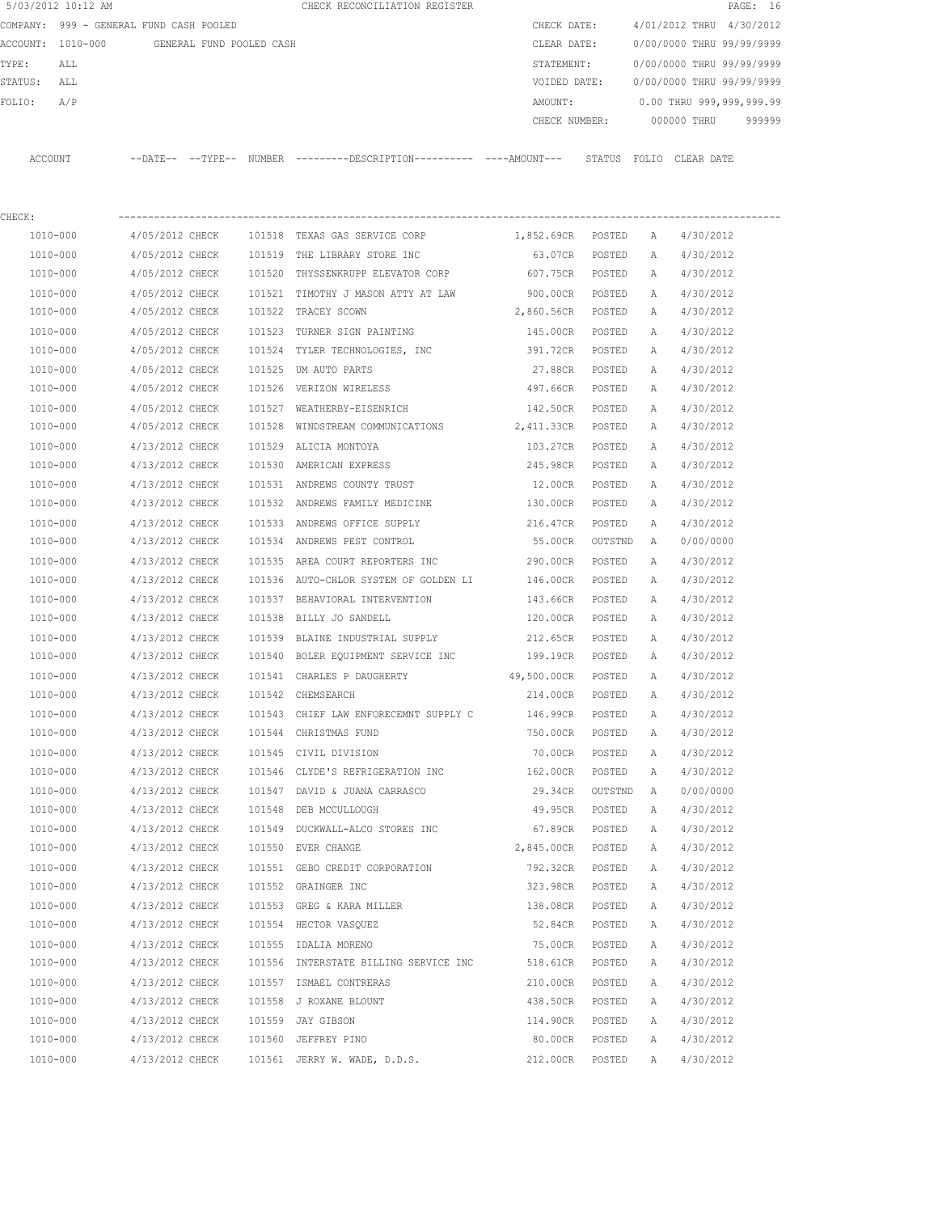|             | 5/03/2012 10:12 AM                      |                 |                          | CHECK RECONCILIATION REGISTER                                                               |                   |         |              |                           | PAGE: 16 |
|-------------|-----------------------------------------|-----------------|--------------------------|---------------------------------------------------------------------------------------------|-------------------|---------|--------------|---------------------------|----------|
|             | COMPANY: 999 - GENERAL FUND CASH POOLED |                 |                          |                                                                                             | CHECK DATE:       |         |              | 4/01/2012 THRU 4/30/2012  |          |
|             | ACCOUNT: 1010-000                       |                 | GENERAL FUND POOLED CASH |                                                                                             | CLEAR DATE:       |         |              | 0/00/0000 THRU 99/99/9999 |          |
| TYPE:       | ALL                                     |                 |                          |                                                                                             | STATEMENT:        |         |              | 0/00/0000 THRU 99/99/9999 |          |
| STATUS: ALL |                                         |                 |                          |                                                                                             | VOIDED DATE:      |         |              | 0/00/0000 THRU 99/99/9999 |          |
| FOLIO:      | A/P                                     |                 |                          |                                                                                             | AMOUNT:           |         |              | 0.00 THRU 999,999,999.99  |          |
|             |                                         |                 |                          |                                                                                             | CHECK NUMBER:     |         |              | 000000 THRU               | 999999   |
|             | ACCOUNT                                 |                 |                          | --DATE-- --TYPE-- NUMBER --------DESCRIPTION---------- ----AMOUNT--- STATUS FOLIO CLEARDATE |                   |         |              |                           |          |
| CHECK:      |                                         |                 |                          |                                                                                             |                   |         |              |                           |          |
|             | 1010-000                                | 4/05/2012 CHECK |                          | 101518 TEXAS GAS SERVICE CORP                                                               | 1,852.69CR POSTED |         | A            | 4/30/2012                 |          |
|             | 1010-000                                | 4/05/2012 CHECK |                          | 101519 THE LIBRARY STORE INC                                                                | 63.07CR           | POSTED  | A            | 4/30/2012                 |          |
|             | 1010-000                                | 4/05/2012 CHECK |                          | 101520 THYSSENKRUPP ELEVATOR CORP                                                           | 607.75CR          | POSTED  | A            | 4/30/2012                 |          |
|             | 1010-000                                | 4/05/2012 CHECK |                          | 101521  TIMOTHY J MASON ATTY AT LAW                                                         | 900.00CR POSTED   |         | A            | 4/30/2012                 |          |
|             | 1010-000                                | 4/05/2012 CHECK |                          | 101522 TRACEY SCOWN                                                                         | 2,860.56CR POSTED |         | Α            | 4/30/2012                 |          |
|             | 1010-000                                | 4/05/2012 CHECK |                          | 101523 TURNER SIGN PAINTING                                                                 | 145.00CR POSTED   |         | A            | 4/30/2012                 |          |
|             | 1010-000                                | 4/05/2012 CHECK |                          | 101524 TYLER TECHNOLOGIES, INC                                                              | 391.72CR POSTED   |         | Α            | 4/30/2012                 |          |
|             | 1010-000                                | 4/05/2012 CHECK |                          | 101525 UM AUTO PARTS                                                                        | 27.88CR POSTED    |         | A            | 4/30/2012                 |          |
|             | 1010-000                                | 4/05/2012 CHECK |                          | 101526 VERIZON WIRELESS                                                                     | 497.66CR POSTED   |         | А            | 4/30/2012                 |          |
|             | 1010-000                                | 4/05/2012 CHECK |                          | 101527 WEATHERBY-EISENRICH                                                                  | 142.50CR          | POSTED  | Α            | 4/30/2012                 |          |
|             | 1010-000                                | 4/05/2012 CHECK |                          | 101528 WINDSTREAM COMMUNICATIONS 2,411.33CR POSTED                                          |                   |         | А            | 4/30/2012                 |          |
|             | 1010-000                                | 4/13/2012 CHECK |                          | 101529 ALICIA MONTOYA                                                                       | 103.27CR          | POSTED  | Α            | 4/30/2012                 |          |
|             | 1010-000                                | 4/13/2012 CHECK |                          | 101530 AMERICAN EXPRESS                                                                     | 245.98CR          | POSTED  | Α            | 4/30/2012                 |          |
|             | 1010-000                                | 4/13/2012 CHECK |                          | 101531 ANDREWS COUNTY TRUST                                                                 | 12.00CR           | POSTED  | A            | 4/30/2012                 |          |
|             | 1010-000                                | 4/13/2012 CHECK |                          | 101532 ANDREWS FAMILY MEDICINE                                                              | 130.00CR          | POSTED  | A            | 4/30/2012                 |          |
|             | 1010-000                                | 4/13/2012 CHECK |                          | 101533 ANDREWS OFFICE SUPPLY                                                                | 216.47CR          | POSTED  | Α            | 4/30/2012                 |          |
|             | 1010-000                                | 4/13/2012 CHECK |                          | 101534 ANDREWS PEST CONTROL                                                                 | 55.00CR           | OUTSTND | A            | 0/00/0000                 |          |
|             | 1010-000                                | 4/13/2012 CHECK |                          | 101535 AREA COURT REPORTERS INC                                                             | 290.00CR          | POSTED  | Α            | 4/30/2012                 |          |
|             | 1010-000                                | 4/13/2012 CHECK |                          | 101536 AUTO-CHLOR SYSTEM OF GOLDEN LI                                                       | 146.00CR          | POSTED  | A            | 4/30/2012                 |          |
|             | 1010-000                                | 4/13/2012 CHECK |                          | 101537 BEHAVIORAL INTERVENTION                                                              | 143.66CR          | POSTED  | A            | 4/30/2012                 |          |
|             | 1010-000                                | 4/13/2012 CHECK |                          | 101538 BILLY JO SANDELL                                                                     | 120.00CR          | POSTED  | A            | 4/30/2012                 |          |
|             | 1010-000                                | 4/13/2012 CHECK |                          | 101539 BLAINE INDUSTRIAL SUPPLY                                                             | 212.65CR          | POSTED  | A            | 4/30/2012                 |          |
|             | 1010-000                                | 4/13/2012 CHECK |                          | 101540 BOLER EQUIPMENT SERVICE INC                                                          | 199.19CR POSTED   |         | A            | 4/30/2012                 |          |
|             | 1010-000                                | 4/13/2012 CHECK |                          | 101541 CHARLES P DAUGHERTY                                                                  | 49,500.00CR       | POSTED  | $\mathbb{A}$ | 4/30/2012                 |          |
|             | 1010-000                                | 4/13/2012 CHECK |                          | 101542 CHEMSEARCH                                                                           | 214.00CR          | POSTED  | А            | 4/30/2012                 |          |
|             | 1010-000                                | 4/13/2012 CHECK |                          | 101543 CHIEF LAW ENFORECEMNT SUPPLY C                                                       | 146.99CR          | POSTED  | Α            | 4/30/2012                 |          |
|             | 1010-000                                | 4/13/2012 CHECK |                          | 101544 CHRISTMAS FUND                                                                       | 750.00CR          | POSTED  | Α            | 4/30/2012                 |          |
|             | 1010-000                                | 4/13/2012 CHECK |                          | 101545 CIVIL DIVISION                                                                       | 70.00CR           | POSTED  | Α            | 4/30/2012                 |          |
|             | 1010-000                                | 4/13/2012 CHECK |                          | 101546 CLYDE'S REFRIGERATION INC                                                            | 162.00CR          | POSTED  | Α            | 4/30/2012                 |          |
|             | 1010-000                                | 4/13/2012 CHECK |                          | 101547 DAVID & JUANA CARRASCO                                                               | 29.34CR           | OUTSTND | A            | 0/00/0000                 |          |
|             | 1010-000                                | 4/13/2012 CHECK |                          | 101548 DEB MCCULLOUGH                                                                       | 49.95CR           | POSTED  | Α            | 4/30/2012                 |          |
|             | 1010-000                                | 4/13/2012 CHECK |                          | 101549 DUCKWALL-ALCO STORES INC                                                             | 67.89CR           | POSTED  | Α            | 4/30/2012                 |          |
|             | 1010-000                                | 4/13/2012 CHECK |                          | 101550 EVER CHANGE                                                                          | 2,845.00CR        | POSTED  | Α            | 4/30/2012                 |          |
|             | 1010-000                                | 4/13/2012 CHECK |                          | 101551 GEBO CREDIT CORPORATION                                                              | 792.32CR          | POSTED  | Α            | 4/30/2012                 |          |
|             | 1010-000                                | 4/13/2012 CHECK |                          | 101552 GRAINGER INC                                                                         | 323.98CR          | POSTED  | Α            | 4/30/2012                 |          |
|             | 1010-000                                | 4/13/2012 CHECK |                          | 101553 GREG & KARA MILLER                                                                   | 138.08CR          | POSTED  | Α            | 4/30/2012                 |          |
|             | 1010-000                                | 4/13/2012 CHECK |                          | 101554 HECTOR VASQUEZ                                                                       | 52.84CR           | POSTED  | Α            | 4/30/2012                 |          |
|             | 1010-000                                | 4/13/2012 CHECK |                          | 101555 IDALIA MORENO                                                                        | 75.00CR           | POSTED  | Α            | 4/30/2012                 |          |
|             | 1010-000                                | 4/13/2012 CHECK |                          | 101556 INTERSTATE BILLING SERVICE INC                                                       | 518.61CR          | POSTED  | Α            | 4/30/2012                 |          |
|             | 1010-000                                | 4/13/2012 CHECK |                          | 101557 ISMAEL CONTRERAS                                                                     | 210.00CR          | POSTED  | Α            | 4/30/2012                 |          |
|             | 1010-000                                | 4/13/2012 CHECK |                          | 101558 J ROXANE BLOUNT                                                                      | 438.50CR          | POSTED  | Α            | 4/30/2012                 |          |
|             | 1010-000                                | 4/13/2012 CHECK |                          | 101559 JAY GIBSON                                                                           | 114.90CR          | POSTED  | Α            | 4/30/2012                 |          |
|             | 1010-000                                | 4/13/2012 CHECK |                          | 101560 JEFFREY PINO                                                                         | 80.00CR           | POSTED  | Α            | 4/30/2012                 |          |
|             | 1010-000                                | 4/13/2012 CHECK |                          | 101561 JERRY W. WADE, D.D.S.                                                                | 212.00CR          | POSTED  | Α            | 4/30/2012                 |          |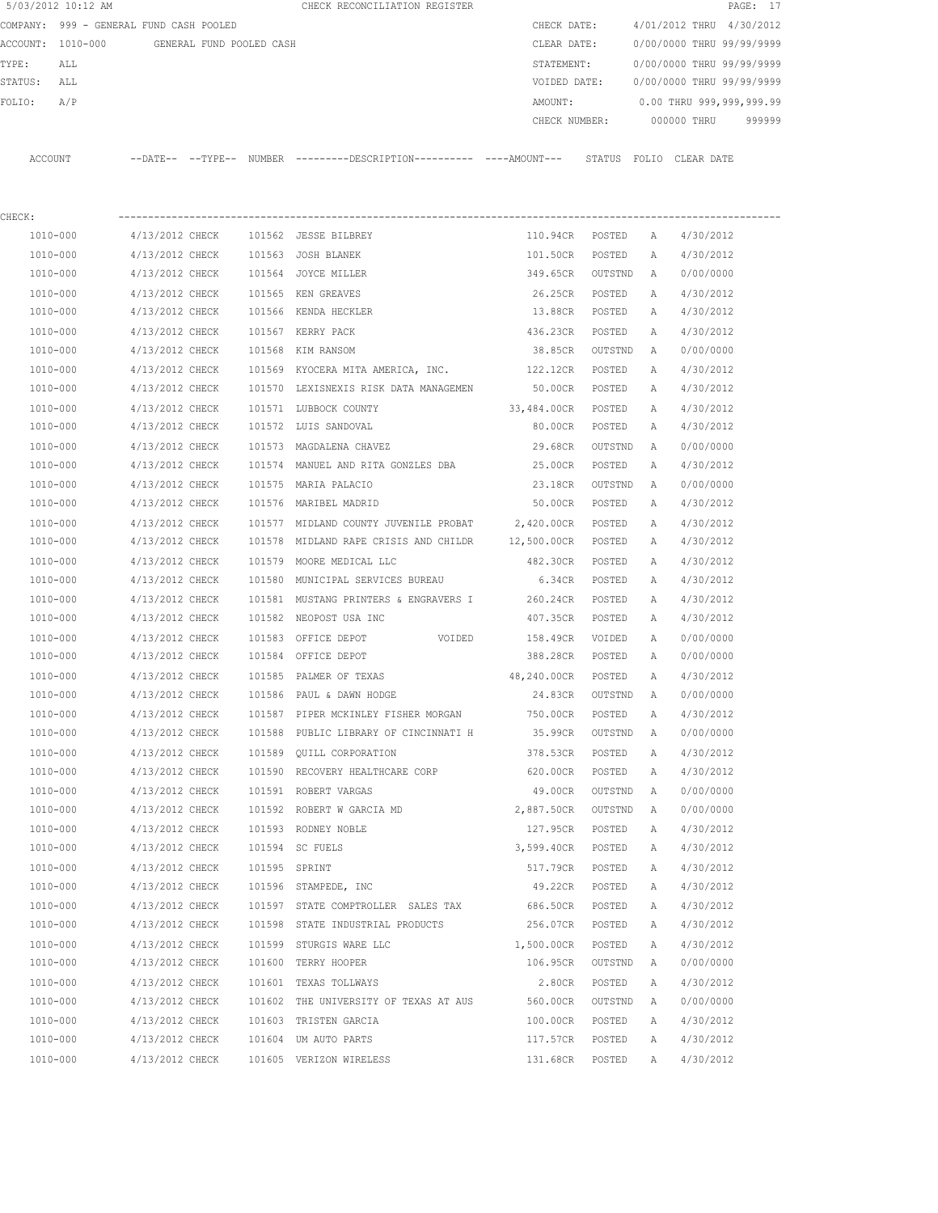|         | 5/03/2012 10:12 AM                      |                 |                          |               | CHECK RECONCILIATION REGISTER                                                                |                 |         |        |                           | PAGE: 17 |
|---------|-----------------------------------------|-----------------|--------------------------|---------------|----------------------------------------------------------------------------------------------|-----------------|---------|--------|---------------------------|----------|
|         | COMPANY: 999 - GENERAL FUND CASH POOLED |                 |                          |               |                                                                                              | CHECK DATE:     |         |        | 4/01/2012 THRU 4/30/2012  |          |
|         | ACCOUNT: 1010-000                       |                 | GENERAL FUND POOLED CASH |               |                                                                                              | CLEAR DATE:     |         |        | 0/00/0000 THRU 99/99/9999 |          |
| TYPE:   | ALL                                     |                 |                          |               |                                                                                              | STATEMENT:      |         |        | 0/00/0000 THRU 99/99/9999 |          |
| STATUS: | ALL                                     |                 |                          |               |                                                                                              | VOIDED DATE:    |         |        | 0/00/0000 THRU 99/99/9999 |          |
| FOLIO:  | A/P                                     |                 |                          |               |                                                                                              | AMOUNT:         |         |        | 0.00 THRU 999,999,999.99  |          |
|         |                                         |                 |                          |               |                                                                                              | CHECK NUMBER:   |         |        | 000000 THRU               | 999999   |
|         | ACCOUNT                                 |                 |                          |               | --DATE-- --TYPE-- NUMBER ---------DESCRIPTION---------- ----AMOUNT--- STATUS FOLIO CLEARDATE |                 |         |        |                           |          |
| CHECK:  |                                         |                 |                          |               |                                                                                              |                 |         |        |                           |          |
|         | 1010-000                                | 4/13/2012 CHECK |                          |               | 101562 JESSE BILBREY                                                                         | 110.94CR POSTED |         | A      | 4/30/2012                 |          |
|         | 1010-000                                | 4/13/2012 CHECK |                          |               | 101563 JOSH BLANEK                                                                           | 101.50CR        | POSTED  | A      | 4/30/2012                 |          |
|         | 1010-000                                | 4/13/2012 CHECK |                          |               | 101564 JOYCE MILLER                                                                          | 349.65CR        | OUTSTND | A      | 0/00/0000                 |          |
|         | 1010-000                                | 4/13/2012 CHECK |                          |               | 101565 KEN GREAVES                                                                           | 26.25CR POSTED  |         | Α      | 4/30/2012                 |          |
|         | 1010-000                                | 4/13/2012 CHECK |                          |               | 101566 KENDA HECKLER                                                                         | 13.88CR POSTED  |         | Α      | 4/30/2012                 |          |
|         | 1010-000                                | 4/13/2012 CHECK |                          |               | 101567 KERRY PACK                                                                            | 436.23CR POSTED |         | A      | 4/30/2012                 |          |
|         | 1010-000                                | 4/13/2012 CHECK |                          |               | 101568 KIM RANSOM                                                                            | 38.85CR OUTSTND |         | A      | 0/00/0000                 |          |
|         | 1010-000                                | 4/13/2012 CHECK |                          |               | 101569 KYOCERA MITA AMERICA, INC.                                                            | 122.12CR        | POSTED  | A      | 4/30/2012                 |          |
|         | 1010-000                                | 4/13/2012 CHECK |                          |               | 101570 LEXISNEXIS RISK DATA MANAGEMEN                                                        | 50.00CR         | POSTED  | A      | 4/30/2012                 |          |
|         | 1010-000                                | 4/13/2012 CHECK |                          |               | 101571 LUBBOCK COUNTY                                                                        | 33,484.00CR     | POSTED  | Α      | 4/30/2012                 |          |
|         | 1010-000                                | 4/13/2012 CHECK |                          |               | 101572 LUIS SANDOVAL                                                                         | 80.00CR         | POSTED  | A      | 4/30/2012                 |          |
|         | 1010-000                                | 4/13/2012 CHECK |                          |               | 101573 MAGDALENA CHAVEZ                                                                      | 29.68CR         | OUTSTND | A      | 0/00/0000                 |          |
|         | 1010-000                                | 4/13/2012 CHECK |                          |               | 101574 MANUEL AND RITA GONZLES DBA 25.00CR                                                   |                 | POSTED  | Α      | 4/30/2012                 |          |
|         | 1010-000                                | 4/13/2012 CHECK |                          |               | 101575 MARIA PALACIO                                                                         | 23.18CR         | OUTSTND | A      | 0/00/0000                 |          |
|         | 1010-000                                | 4/13/2012 CHECK |                          |               | 101576 MARIBEL MADRID                                                                        | 50.00CR         | POSTED  | A      | 4/30/2012                 |          |
|         | 1010-000                                | 4/13/2012 CHECK |                          |               | 101577 MIDLAND COUNTY JUVENILE PROBAT 2,420.00CR POSTED                                      |                 |         |        |                           |          |
|         | 1010-000                                | 4/13/2012 CHECK |                          |               | 101578 MIDLAND RAPE CRISIS AND CHILDR 12,500.00CR POSTED                                     |                 |         | Α<br>Α | 4/30/2012<br>4/30/2012    |          |
|         |                                         |                 |                          |               |                                                                                              |                 |         |        |                           |          |
|         | 1010-000                                | 4/13/2012 CHECK |                          |               | 101579 MOORE MEDICAL LLC                                                                     | 482.30CR POSTED |         | Α      | 4/30/2012                 |          |
|         | 1010-000                                | 4/13/2012 CHECK |                          |               | 101580 MUNICIPAL SERVICES BUREAU                                                             | 6.34CR          | POSTED  | A      | 4/30/2012                 |          |
|         | 1010-000                                | 4/13/2012 CHECK |                          |               | 101581 MUSTANG PRINTERS & ENGRAVERS I                                                        | 260.24CR        | POSTED  | А      | 4/30/2012                 |          |
|         | 1010-000                                | 4/13/2012 CHECK |                          |               | 101582 NEOPOST USA INC                                                                       | 407.35CR        | POSTED  | A      | 4/30/2012                 |          |
|         | 1010-000                                | 4/13/2012 CHECK |                          |               | 101583 OFFICE DEPOT<br>VOIDED                                                                | 158.49CR        | VOIDED  | Α      | 0/00/0000                 |          |
|         | 1010-000                                | 4/13/2012 CHECK |                          |               | 101584 OFFICE DEPOT                                                                          | 388.28CR        | POSTED  | Α      | 0/00/0000                 |          |
|         | 1010-000                                | 4/13/2012 CHECK |                          |               | 101585 PALMER OF TEXAS                                                                       | 48,240.00CR     | POSTED  | A      | 4/30/2012                 |          |
|         | 1010-000                                | 4/13/2012 CHECK |                          |               | 101586 PAUL & DAWN HODGE                                                                     | 24.83CR         | OUTSTND | A      | 0/00/0000                 |          |
|         | 1010-000                                | 4/13/2012 CHECK |                          |               | 101587 PIPER MCKINLEY FISHER MORGAN                                                          | 750.00CR        | POSTED  | Α      | 4/30/2012                 |          |
|         | 1010-000                                | 4/13/2012 CHECK |                          |               | 101588 PUBLIC LIBRARY OF CINCINNATI H                                                        | 35.99CR         | OUTSTND | Α      | 0/00/0000                 |          |
|         | 1010-000                                | 4/13/2012 CHECK |                          |               | 101589 QUILL CORPORATION                                                                     | 378.53CR        | POSTED  | Α      | 4/30/2012                 |          |
|         | 1010-000                                | 4/13/2012 CHECK |                          |               | 101590 RECOVERY HEALTHCARE CORP                                                              | 620.00CR        | POSTED  | Α      | 4/30/2012                 |          |
|         | 1010-000                                | 4/13/2012 CHECK |                          |               | 101591 ROBERT VARGAS                                                                         | 49.00CR         | OUTSTND | Α      | 0/00/0000                 |          |
|         | 1010-000                                | 4/13/2012 CHECK |                          |               | 101592 ROBERT W GARCIA MD                                                                    | 2,887.50CR      | OUTSTND | Α      | 0/00/0000                 |          |
|         | 1010-000                                | 4/13/2012 CHECK |                          |               | 101593 RODNEY NOBLE                                                                          | 127.95CR        | POSTED  | Α      | 4/30/2012                 |          |
|         | 1010-000                                | 4/13/2012 CHECK |                          |               | 101594 SC FUELS                                                                              | 3,599.40CR      | POSTED  | Α      | 4/30/2012                 |          |
|         | $1010 - 000$                            | 4/13/2012 CHECK |                          | 101595 SPRINT |                                                                                              | 517.79CR        | POSTED  | Α      | 4/30/2012                 |          |
|         | 1010-000                                | 4/13/2012 CHECK |                          |               | 101596 STAMPEDE, INC                                                                         | 49.22CR         | POSTED  | Α      | 4/30/2012                 |          |
|         | 1010-000                                | 4/13/2012 CHECK |                          |               | 101597 STATE COMPTROLLER SALES TAX 686.50CR                                                  |                 | POSTED  | Α      | 4/30/2012                 |          |
|         | 1010-000                                | 4/13/2012 CHECK |                          |               | 101598 STATE INDUSTRIAL PRODUCTS                                                             | 256.07CR        | POSTED  | Α      | 4/30/2012                 |          |
|         | 1010-000                                | 4/13/2012 CHECK |                          |               | 101599 STURGIS WARE LLC                                                                      | 1,500.00CR      | POSTED  | Α      | 4/30/2012                 |          |
|         | 1010-000                                | 4/13/2012 CHECK |                          |               | 101600 TERRY HOOPER                                                                          | 106.95CR        | OUTSTND | Α      | 0/00/0000                 |          |
|         | 1010-000                                | 4/13/2012 CHECK |                          |               | 101601 TEXAS TOLLWAYS                                                                        | 2.80CR          | POSTED  | Α      | 4/30/2012                 |          |
|         | 1010-000                                | 4/13/2012 CHECK |                          |               | 101602 THE UNIVERSITY OF TEXAS AT AUS                                                        | 560.00CR        | OUTSTND | Α      | 0/00/0000                 |          |
|         | 1010-000                                | 4/13/2012 CHECK |                          |               | 101603 TRISTEN GARCIA                                                                        | 100.00CR        | POSTED  | Α      | 4/30/2012                 |          |
|         | 1010-000                                | 4/13/2012 CHECK |                          |               | 101604 UM AUTO PARTS                                                                         | 117.57CR        | POSTED  | Α      | 4/30/2012                 |          |
|         | 1010-000                                | 4/13/2012 CHECK |                          |               | 101605 VERIZON WIRELESS                                                                      | 131.68CR        | POSTED  | Α      | 4/30/2012                 |          |
|         |                                         |                 |                          |               |                                                                                              |                 |         |        |                           |          |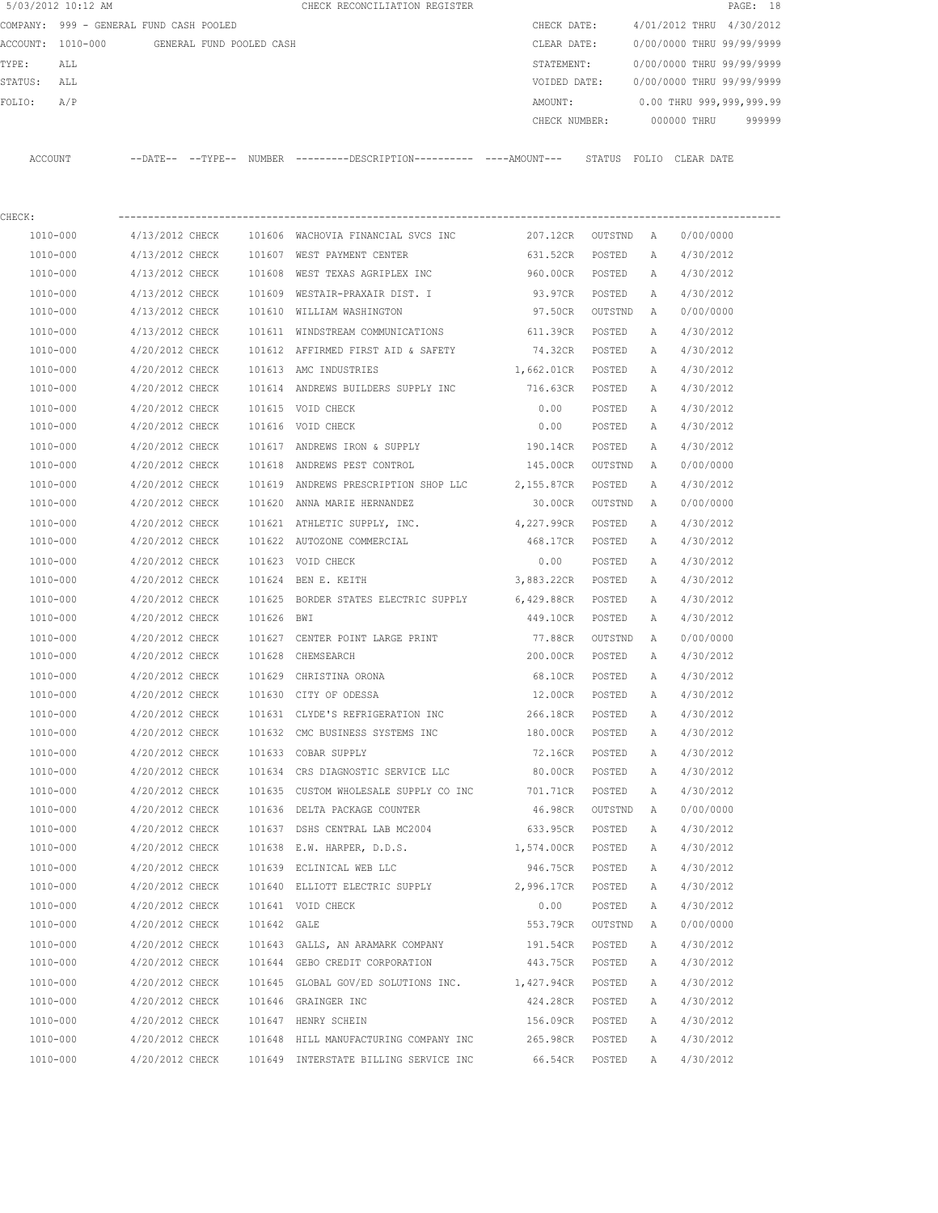| 5/03/2012 10:12 AM |                                            |             | CHECK RECONCILIATION REGISTER                                                              |                    |         |              |                           | PAGE: 18 |
|--------------------|--------------------------------------------|-------------|--------------------------------------------------------------------------------------------|--------------------|---------|--------------|---------------------------|----------|
|                    | COMPANY: 999 - GENERAL FUND CASH POOLED    |             |                                                                                            | CHECK DATE:        |         |              | 4/01/2012 THRU 4/30/2012  |          |
|                    | ACCOUNT: 1010-000 GENERAL FUND POOLED CASH |             |                                                                                            | CLEAR DATE:        |         |              | 0/00/0000 THRU 99/99/9999 |          |
| TYPE:<br>ALL       |                                            |             |                                                                                            | STATEMENT:         |         |              | 0/00/0000 THRU 99/99/9999 |          |
| STATUS:<br>ALL     |                                            |             |                                                                                            | VOIDED DATE:       |         |              | 0/00/0000 THRU 99/99/9999 |          |
| FOLIO:<br>A/P      |                                            |             |                                                                                            | AMOUNT:            |         |              | 0.00 THRU 999,999,999.99  |          |
|                    |                                            |             |                                                                                            | CHECK NUMBER:      |         |              | 000000 THRU               | 999999   |
| ACCOUNT            |                                            |             | --DATE-- --TYPE-- NUMBER --------DESCRIPTION---------- ---AMOUNT--- STATUS FOLIO CLEARDATE |                    |         |              |                           |          |
| CHECK:             |                                            |             |                                                                                            |                    |         |              |                           |          |
| 1010-000           | 4/13/2012 CHECK                            |             | 101606 WACHOVIA FINANCIAL SVCS INC                                                         | 207.12CR OUTSTND A |         |              | 0/00/0000                 |          |
| 1010-000           | 4/13/2012 CHECK                            |             | 101607 WEST PAYMENT CENTER                                                                 | 631.52CR           | POSTED  | A            | 4/30/2012                 |          |
| 1010-000           | 4/13/2012 CHECK                            |             | 101608 WEST TEXAS AGRIPLEX INC                                                             | 960.00CR POSTED    |         | A            | 4/30/2012                 |          |
| 1010-000           | 4/13/2012 CHECK                            |             | 101609 WESTAIR-PRAXAIR DIST. I                                                             | 93.97CR            | POSTED  | A            | 4/30/2012                 |          |
| 1010-000           | 4/13/2012 CHECK                            |             | 101610 WILLIAM WASHINGTON                                                                  | 97.50CR            | OUTSTND | A            | 0/00/0000                 |          |
| 1010-000           | 4/13/2012 CHECK                            |             | 101611 WINDSTREAM COMMUNICATIONS                                                           | 611.39CR           | POSTED  | A            | 4/30/2012                 |          |
| 1010-000           | 4/20/2012 CHECK                            |             | 101612 AFFIRMED FIRST AID & SAFETY                                                         | 74.32CR            | POSTED  | A            | 4/30/2012                 |          |
| 1010-000           | 4/20/2012 CHECK                            |             | 101613 AMC INDUSTRIES                                                                      | 1,662.01CR         | POSTED  | A            | 4/30/2012                 |          |
| 1010-000           | 4/20/2012 CHECK                            |             | 101614 ANDREWS BUILDERS SUPPLY INC 716.63CR                                                |                    | POSTED  | A            | 4/30/2012                 |          |
| 1010-000           | 4/20/2012 CHECK                            |             | 101615 VOID CHECK                                                                          | 0.00               | POSTED  | Α            | 4/30/2012                 |          |
| 1010-000           | 4/20/2012 CHECK                            |             | 101616 VOID CHECK                                                                          | 0.00               | POSTED  | A            | 4/30/2012                 |          |
| 1010-000           | 4/20/2012 CHECK                            |             | 101617 ANDREWS IRON & SUPPLY                                                               | 190.14CR           | POSTED  | Α            | 4/30/2012                 |          |
| 1010-000           | 4/20/2012 CHECK                            |             | 101618 ANDREWS PEST CONTROL                                                                | 145.00CR           | OUTSTND | A            | 0/00/0000                 |          |
| 1010-000           | 4/20/2012 CHECK                            |             | 101619 ANDREWS PRESCRIPTION SHOP LLC                                                       | 2,155.87CR POSTED  |         | Α            | 4/30/2012                 |          |
| 1010-000           | 4/20/2012 CHECK                            |             | 101620 ANNA MARIE HERNANDEZ                                                                | 30.00CR            | OUTSTND | A            | 0/00/0000                 |          |
| 1010-000           | 4/20/2012 CHECK                            |             | 101621 ATHLETIC SUPPLY, INC.                                                               | 4,227.99CR         | POSTED  | Α            | 4/30/2012                 |          |
| 1010-000           | 4/20/2012 CHECK                            |             | 101622 AUTOZONE COMMERCIAL                                                                 | 468.17CR           | POSTED  | А            | 4/30/2012                 |          |
| 1010-000           | 4/20/2012 CHECK                            |             | 101623 VOID CHECK                                                                          | 0.00               | POSTED  | Α            | 4/30/2012                 |          |
| 1010-000           | 4/20/2012 CHECK                            |             | 101624 BEN E. KEITH                                                                        | 3,883.22CR         | POSTED  | A            | 4/30/2012                 |          |
| 1010-000           | 4/20/2012 CHECK                            |             | 101625 BORDER STATES ELECTRIC SUPPLY 6,429.88CR                                            |                    | POSTED  | A            | 4/30/2012                 |          |
| 1010-000           | 4/20/2012 CHECK                            | 101626 BWI  |                                                                                            | 449.10CR           | POSTED  | A            | 4/30/2012                 |          |
| 1010-000           | 4/20/2012 CHECK                            |             | 101627 CENTER POINT LARGE PRINT                                                            | 77.88CR            | OUTSTND | A            | 0/00/0000                 |          |
| 1010-000           | 4/20/2012 CHECK                            |             | 101628 CHEMSEARCH                                                                          | 200.00CR           | POSTED  | A            | 4/30/2012                 |          |
| 1010-000           | 4/20/2012 CHECK                            |             | 101629 CHRISTINA ORONA                                                                     | 68.10CR            | POSTED  | $\mathbb{A}$ | 4/30/2012                 |          |
| 1010-000           | 4/20/2012 CHECK                            |             | 101630 CITY OF ODESSA                                                                      | 12.00CR            | POSTED  | Α            | 4/30/2012                 |          |
| 1010-000           | 4/20/2012 CHECK                            |             | 101631 CLYDE'S REFRIGERATION INC                                                           | 266.18CR           | POSTED  | Α            | 4/30/2012                 |          |
| 1010-000           | 4/20/2012 CHECK                            |             | 101632 CMC BUSINESS SYSTEMS INC                                                            | 180.00CR           | POSTED  | Α            | 4/30/2012                 |          |
| 1010-000           | 4/20/2012 CHECK                            |             | 101633 COBAR SUPPLY                                                                        | 72.16CR            | POSTED  | Α            | 4/30/2012                 |          |
| 1010-000           | 4/20/2012 CHECK                            |             | 101634 CRS DIAGNOSTIC SERVICE LLC                                                          | 80.00CR            | POSTED  | Α            | 4/30/2012                 |          |
| 1010-000           | 4/20/2012 CHECK                            |             | 101635 CUSTOM WHOLESALE SUPPLY CO INC 701.71CR                                             |                    | POSTED  | Α            | 4/30/2012                 |          |
| 1010-000           | 4/20/2012 CHECK                            |             | 101636 DELTA PACKAGE COUNTER                                                               | 46.98CR            | OUTSTND | Α            | 0/00/0000                 |          |
| 1010-000           | 4/20/2012 CHECK                            |             | 101637 DSHS CENTRAL LAB MC2004                                                             | 633.95CR           | POSTED  | Α            | 4/30/2012                 |          |
| 1010-000           | 4/20/2012 CHECK                            |             | 101638 E.W. HARPER, D.D.S.                                                                 | 1,574.00CR         | POSTED  | Α            | 4/30/2012                 |          |
| $1010 - 000$       | 4/20/2012 CHECK                            |             | 101639 ECLINICAL WEB LLC                                                                   | 946.75CR           | POSTED  | Α            | 4/30/2012                 |          |
| 1010-000           | 4/20/2012 CHECK                            |             | 101640 ELLIOTT ELECTRIC SUPPLY                                                             | 2,996.17CR         | POSTED  | Α            | 4/30/2012                 |          |
| 1010-000           | 4/20/2012 CHECK                            |             | 101641 VOID CHECK                                                                          | 0.00               | POSTED  | Α            | 4/30/2012                 |          |
| 1010-000           | 4/20/2012 CHECK                            | 101642 GALE |                                                                                            | 553.79CR           | OUTSTND | Α            | 0/00/0000                 |          |
| 1010-000           | 4/20/2012 CHECK                            |             | 101643 GALLS, AN ARAMARK COMPANY                                                           | 191.54CR           | POSTED  | Α            | 4/30/2012                 |          |
| 1010-000           | 4/20/2012 CHECK                            |             | 101644 GEBO CREDIT CORPORATION                                                             | 443.75CR           | POSTED  | Α            | 4/30/2012                 |          |
| 1010-000           | 4/20/2012 CHECK                            |             | 101645 GLOBAL GOV/ED SOLUTIONS INC.                                                        | 1,427.94CR         | POSTED  | Α            | 4/30/2012                 |          |
| 1010-000           | 4/20/2012 CHECK                            |             | 101646 GRAINGER INC                                                                        | 424.28CR POSTED    |         | Α            | 4/30/2012                 |          |
| 1010-000           | 4/20/2012 CHECK                            |             | 101647 HENRY SCHEIN                                                                        | 156.09CR           | POSTED  | Α            | 4/30/2012                 |          |
| 1010-000           | 4/20/2012 CHECK                            |             | 101648 HILL MANUFACTURING COMPANY INC                                                      | 265.98CR           | POSTED  | Α            | 4/30/2012                 |          |
| 1010-000           | 4/20/2012 CHECK                            |             | 101649 INTERSTATE BILLING SERVICE INC                                                      | 66.54CR            | POSTED  | Α            | 4/30/2012                 |          |
|                    |                                            |             |                                                                                            |                    |         |              |                           |          |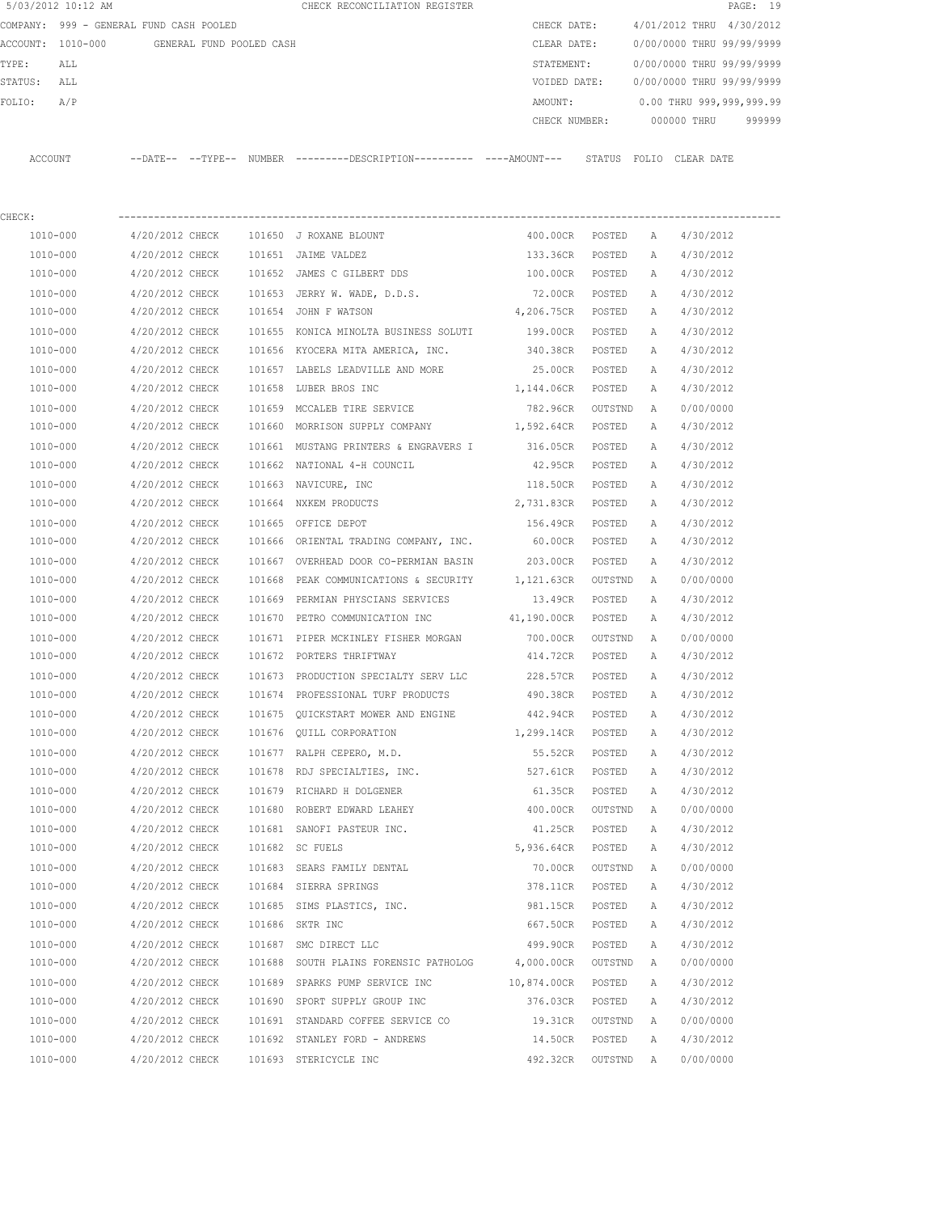|                   | 5/03/2012 10:12 AM                      |          |                          |        | CHECK RECONCILIATION REGISTER |               |        |                           |            | PAGE: 19 |        |
|-------------------|-----------------------------------------|----------|--------------------------|--------|-------------------------------|---------------|--------|---------------------------|------------|----------|--------|
|                   | COMPANY: 999 - GENERAL FUND CASH POOLED |          |                          |        |                               | CHECK DATE:   |        | 4/01/2012 THRU 4/30/2012  |            |          |        |
| ACCOUNT: 1010-000 |                                         |          | GENERAL FUND POOLED CASH |        |                               | CLEAR DATE:   |        | 0/00/0000 THRU 99/99/9999 |            |          |        |
| TYPE:             | ALL                                     |          |                          |        |                               | STATEMENT:    |        | 0/00/0000 THRU 99/99/9999 |            |          |        |
| STATUS:           | ALL                                     |          |                          |        |                               | VOIDED DATE:  |        | 0/00/0000 THRU 99/99/9999 |            |          |        |
| FOLIO:            | A/P                                     |          |                          |        |                               | AMOUNT:       |        | 0.00 THRU 999,999,999.99  |            |          |        |
|                   |                                         |          |                          |        |                               | CHECK NUMBER: |        | 000000 THRU               |            |          | 999999 |
|                   |                                         |          |                          |        |                               |               |        |                           |            |          |        |
| ACCOUNT           |                                         | --DATE-- | --TYPE--                 | NUMBER |                               |               | STATUS | FOLIO                     | CLEAR DATE |          |        |

| CHECK:   |                                        |        |                                                                       |                    |         |   |           |
|----------|----------------------------------------|--------|-----------------------------------------------------------------------|--------------------|---------|---|-----------|
| 1010-000 | 4/20/2012 CHECK 101650 J ROXANE BLOUNT |        |                                                                       | 400.00CR POSTED    |         | A | 4/30/2012 |
| 1010-000 | 4/20/2012 CHECK                        |        | 101651 JAIME VALDEZ                                                   | 133.36CR           | POSTED  | Α | 4/30/2012 |
| 1010-000 | 4/20/2012 CHECK                        |        | 101652 JAMES C GILBERT DDS                                            | 100.00CR           | POSTED  | A | 4/30/2012 |
| 1010-000 | 4/20/2012 CHECK                        |        | 101653 JERRY W. WADE, D.D.S.                                          | 72.00CR POSTED     |         | A | 4/30/2012 |
| 1010-000 | 4/20/2012 CHECK                        |        | 101654 JOHN F WATSON                                                  | 4,206.75CR POSTED  |         | A | 4/30/2012 |
| 1010-000 | 4/20/2012 CHECK                        |        | 101655 KONICA MINOLTA BUSINESS SOLUTI                                 | 199.00CR POSTED    |         | A | 4/30/2012 |
| 1010-000 |                                        |        | 4/20/2012 CHECK 101656 KYOCERA MITA AMERICA, INC.                     | 340.38CR POSTED    |         | A | 4/30/2012 |
| 1010-000 | 4/20/2012 CHECK                        |        | 101657 LABELS LEADVILLE AND MORE                                      | 25.00CR POSTED     |         | A | 4/30/2012 |
| 1010-000 | 4/20/2012 CHECK                        |        | 101658 LUBER BROS INC                                                 | 1,144.06CR POSTED  |         | A | 4/30/2012 |
| 1010-000 | 4/20/2012 CHECK                        |        | 101659 MCCALEB TIRE SERVICE                                           | 782.96CR OUTSTND   |         | A | 0/00/0000 |
| 1010-000 |                                        |        | 4/20/2012 CHECK 101660 MORRISON SUPPLY COMPANY 1,592.64CR POSTED      |                    |         | Α | 4/30/2012 |
| 1010-000 |                                        |        | 4/20/2012 CHECK 101661 MUSTANG PRINTERS & ENGRAVERS I 316.05CR POSTED |                    |         | A | 4/30/2012 |
| 1010-000 |                                        |        | 4/20/2012 CHECK 101662 NATIONAL 4-H COUNCIL                           | 42.95CR POSTED     |         | Α | 4/30/2012 |
| 1010-000 | 4/20/2012 CHECK                        |        | 101663 NAVICURE, INC                                                  | 118.50CR POSTED    |         | Α | 4/30/2012 |
| 1010-000 | 4/20/2012 CHECK                        |        | 101664 NXKEM PRODUCTS                                                 | 2,731.83CR POSTED  |         | A | 4/30/2012 |
| 1010-000 | 4/20/2012 CHECK                        |        | 101665 OFFICE DEPOT                                                   | 156.49CR POSTED    |         | A | 4/30/2012 |
| 1010-000 | 4/20/2012 CHECK                        |        | 101666 ORIENTAL TRADING COMPANY, INC.                                 | 60.00CR POSTED     |         | A | 4/30/2012 |
| 1010-000 | 4/20/2012 CHECK                        |        | 101667 OVERHEAD DOOR CO-PERMIAN BASIN                                 | 203.00CR POSTED    |         | Α | 4/30/2012 |
| 1010-000 | 4/20/2012 CHECK                        | 101668 | PEAK COMMUNICATIONS & SECURITY                                        | 1,121.63CR OUTSTND |         | A | 0/00/0000 |
| 1010-000 | 4/20/2012 CHECK                        | 101669 | PERMIAN PHYSCIANS SERVICES                                            | 13.49CR            | POSTED  | Α | 4/30/2012 |
| 1010-000 | 4/20/2012 CHECK                        | 101670 | PETRO COMMUNICATION INC 41,190.00CR                                   |                    | POSTED  | A | 4/30/2012 |
| 1010-000 | 4/20/2012 CHECK                        |        | 101671 PIPER MCKINLEY FISHER MORGAN                                   | 700.00CR           | OUTSTND | A | 0/00/0000 |
| 1010-000 | 4/20/2012 CHECK                        |        | 101672 PORTERS THRIFTWAY                                              | 414.72CR POSTED    |         | A | 4/30/2012 |
| 1010-000 | 4/20/2012 CHECK                        |        | 101673 PRODUCTION SPECIALTY SERV LLC 228.57CR POSTED                  |                    |         | A | 4/30/2012 |
| 1010-000 |                                        |        | 4/20/2012 CHECK 101674 PROFESSIONAL TURF PRODUCTS                     | 490.38CR POSTED    |         | A | 4/30/2012 |
| 1010-000 | 4/20/2012 CHECK                        |        | 101675 QUICKSTART MOWER AND ENGINE                                    | 442.94CR POSTED    |         | Α | 4/30/2012 |
| 1010-000 | 4/20/2012 CHECK                        |        | 101676 QUILL CORPORATION                                              | 1,299.14CR POSTED  |         | A | 4/30/2012 |
| 1010-000 | 4/20/2012 CHECK                        |        | 101677 RALPH CEPERO, M.D.                                             | 55.52CR POSTED     |         | A | 4/30/2012 |
| 1010-000 | 4/20/2012 CHECK                        |        | 101678 RDJ SPECIALTIES, INC.                                          | 527.61CR POSTED    |         | Α | 4/30/2012 |
| 1010-000 | 4/20/2012 CHECK                        |        | 101679 RICHARD H DOLGENER                                             | 61.35CR POSTED     |         | A | 4/30/2012 |
| 1010-000 | 4/20/2012 CHECK                        |        | 101680 ROBERT EDWARD LEAHEY                                           | 400.00CR OUTSTND   |         | A | 0/00/0000 |
| 1010-000 | 4/20/2012 CHECK                        |        | 101681 SANOFI PASTEUR INC.                                            | 41.25CR POSTED     |         | Α | 4/30/2012 |
| 1010-000 | 4/20/2012 CHECK                        |        | 101682 SC FUELS                                                       | 5,936.64CR POSTED  |         | A | 4/30/2012 |
| 1010-000 | 4/20/2012 CHECK                        |        | 101683 SEARS FAMILY DENTAL                                            | 70.00CR            | OUTSTND | A | 0/00/0000 |
| 1010-000 | 4/20/2012 CHECK                        |        | 101684 SIERRA SPRINGS                                                 | 378.11CR           | POSTED  | Α | 4/30/2012 |
| 1010-000 | 4/20/2012 CHECK                        |        | 101685 SIMS PLASTICS, INC.                                            | 981.15CR           | POSTED  | А | 4/30/2012 |
| 1010-000 | 4/20/2012 CHECK                        |        | 101686 SKTR INC                                                       | 667.50CR           | POSTED  | Α | 4/30/2012 |
| 1010-000 | 4/20/2012 CHECK                        | 101687 | SMC DIRECT LLC                                                        | 499.90CR           | POSTED  | Α | 4/30/2012 |
| 1010-000 | 4/20/2012 CHECK                        | 101688 | SOUTH PLAINS FORENSIC PATHOLOG                                        | 4,000.00CR         | OUTSTND | Α | 0/00/0000 |
| 1010-000 | 4/20/2012 CHECK                        |        | 101689 SPARKS PUMP SERVICE INC                                        | 10,874.00CR        | POSTED  | Α | 4/30/2012 |
| 1010-000 | 4/20/2012 CHECK                        |        | 101690 SPORT SUPPLY GROUP INC                                         | 376.03CR           | POSTED  | Α | 4/30/2012 |
| 1010-000 | 4/20/2012 CHECK                        |        | 101691 STANDARD COFFEE SERVICE CO                                     | 19.31CR            | OUTSTND | Α | 0/00/0000 |
| 1010-000 | 4/20/2012 CHECK                        |        | 101692 STANLEY FORD - ANDREWS                                         | 14.50CR            | POSTED  | Α | 4/30/2012 |
| 1010-000 | 4/20/2012 CHECK                        |        | 101693 STERICYCLE INC                                                 | 492.32CR           | OUTSTND | Α | 0/00/0000 |
|          |                                        |        |                                                                       |                    |         |   |           |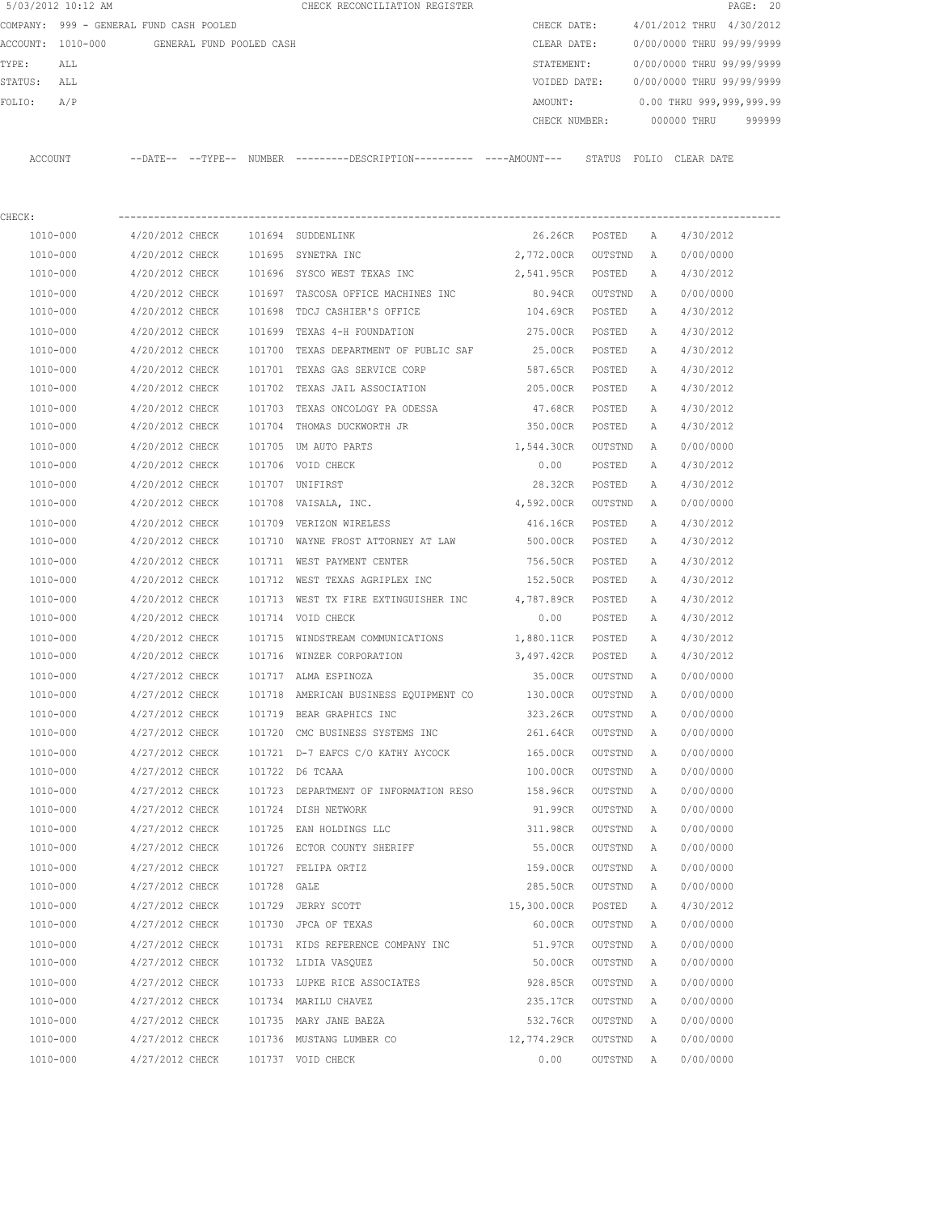|         | 5/03/2012 10:12 AM                      |                 |                          |             | CHECK RECONCILIATION REGISTER                                                                 |                 |                |   |                           | PAGE: 20 |
|---------|-----------------------------------------|-----------------|--------------------------|-------------|-----------------------------------------------------------------------------------------------|-----------------|----------------|---|---------------------------|----------|
|         | COMPANY: 999 - GENERAL FUND CASH POOLED |                 |                          |             |                                                                                               | CHECK DATE:     |                |   | 4/01/2012 THRU 4/30/2012  |          |
|         | ACCOUNT: 1010-000                       |                 | GENERAL FUND POOLED CASH |             |                                                                                               | CLEAR DATE:     |                |   | 0/00/0000 THRU 99/99/9999 |          |
| TYPE:   | ALL                                     |                 |                          |             |                                                                                               | STATEMENT:      |                |   | 0/00/0000 THRU 99/99/9999 |          |
| STATUS: | ALL                                     |                 |                          |             |                                                                                               | VOIDED DATE:    |                |   | 0/00/0000 THRU 99/99/9999 |          |
| FOLIO:  | A/P                                     |                 |                          |             |                                                                                               | AMOUNT:         |                |   | 0.00 THRU 999,999,999.99  |          |
|         |                                         |                 |                          |             |                                                                                               | CHECK NUMBER:   |                |   | 000000 THRU               | 999999   |
|         | ACCOUNT                                 |                 |                          |             | --DATE-- --TYPE-- NUMBER ---------DESCRIPTION---------- ----AMOUNT--- STATUS FOLIO CLEAR DATE |                 |                |   |                           |          |
| CHECK:  |                                         |                 |                          |             |                                                                                               |                 |                |   |                           |          |
|         | 1010-000                                | 4/20/2012 CHECK |                          |             | 101694 SUDDENLINK                                                                             |                 | 26.26CR POSTED | A | 4/30/2012                 |          |
|         | 1010-000                                | 4/20/2012 CHECK |                          |             | 101695 SYNETRA INC                                                                            | 2,772.00CR      | OUTSTND        | A | 0/00/0000                 |          |
|         | 1010-000                                | 4/20/2012 CHECK |                          |             | 101696 SYSCO WEST TEXAS INC                                                                   | 2,541.95CR      | POSTED         | А | 4/30/2012                 |          |
|         | 1010-000                                | 4/20/2012 CHECK |                          |             | 101697 TASCOSA OFFICE MACHINES INC                                                            | 80.94CR         | OUTSTND        | A | 0/00/0000                 |          |
|         | 1010-000                                | 4/20/2012 CHECK |                          |             | 101698 TDCJ CASHIER'S OFFICE                                                                  | 104.69CR POSTED |                | Α | 4/30/2012                 |          |
|         | 1010-000                                | 4/20/2012 CHECK |                          |             | 101699 TEXAS 4-H FOUNDATION                                                                   | 275.00CR        | POSTED         | A | 4/30/2012                 |          |
|         | 1010-000                                | 4/20/2012 CHECK |                          |             | 101700 TEXAS DEPARTMENT OF PUBLIC SAF                                                         | 25.00CR         | POSTED         | Α | 4/30/2012                 |          |
|         | 1010-000                                | 4/20/2012 CHECK |                          |             | 101701 TEXAS GAS SERVICE CORP                                                                 | 587.65CR        | POSTED         | А | 4/30/2012                 |          |
|         | 1010-000                                | 4/20/2012 CHECK |                          |             | 101702 TEXAS JAIL ASSOCIATION                                                                 | 205.00CR        | POSTED         | A | 4/30/2012                 |          |
|         | 1010-000                                | 4/20/2012 CHECK |                          | 101703      | TEXAS ONCOLOGY PA ODESSA                                                                      | 47.68CR         | POSTED         | Α | 4/30/2012                 |          |
|         | 1010-000                                | 4/20/2012 CHECK |                          |             | 101704 THOMAS DUCKWORTH JR                                                                    | 350.00CR        | POSTED         | A | 4/30/2012                 |          |
|         | 1010-000                                | 4/20/2012 CHECK |                          | 101705      | UM AUTO PARTS                                                                                 | 1,544.30CR      | OUTSTND        | A | 0/00/0000                 |          |
|         | 1010-000                                | 4/20/2012 CHECK |                          |             | 101706 VOID CHECK                                                                             | 0.00            | POSTED         | Α | 4/30/2012                 |          |
|         | 1010-000                                | 4/20/2012 CHECK |                          |             | 101707 UNIFIRST                                                                               | 28.32CR         | POSTED         | Α | 4/30/2012                 |          |
|         | 1010-000                                | 4/20/2012 CHECK |                          |             | 101708 VAISALA, INC.                                                                          | 4,592.00CR      | OUTSTND        | A | 0/00/0000                 |          |
|         | 1010-000                                | 4/20/2012 CHECK |                          |             | 101709 VERIZON WIRELESS                                                                       | 416.16CR        | POSTED         | Α | 4/30/2012                 |          |
|         | 1010-000                                | 4/20/2012 CHECK |                          |             | 101710 WAYNE FROST ATTORNEY AT LAW                                                            | 500.00CR        | POSTED         | Α | 4/30/2012                 |          |
|         | 1010-000                                | 4/20/2012 CHECK |                          |             | 101711 WEST PAYMENT CENTER                                                                    | 756.50CR        | POSTED         | Α | 4/30/2012                 |          |
|         | 1010-000                                | 4/20/2012 CHECK |                          |             | 101712 WEST TEXAS AGRIPLEX INC                                                                | 152.50CR        | POSTED         | A | 4/30/2012                 |          |
|         | 1010-000                                | 4/20/2012 CHECK |                          |             | 101713 WEST TX FIRE EXTINGUISHER INC                                                          | 4,787.89CR      | POSTED         | A | 4/30/2012                 |          |
|         | 1010-000                                | 4/20/2012 CHECK |                          |             | 101714 VOID CHECK                                                                             | 0.00            | POSTED         | A | 4/30/2012                 |          |
|         | 1010-000                                | 4/20/2012 CHECK |                          | 101715      | WINDSTREAM COMMUNICATIONS                                                                     | 1,880.11CR      | POSTED         | Α | 4/30/2012                 |          |
|         | 1010-000                                | 4/20/2012 CHECK |                          |             | 101716 WINZER CORPORATION                                                                     | 3,497.42CR      | POSTED         | A | 4/30/2012                 |          |
|         | 1010-000                                | 4/27/2012 CHECK |                          |             | 101717 ALMA ESPINOZA                                                                          | 35.00CR         | OUTSTND        | A | 0/00/0000                 |          |
|         | 1010-000                                | 4/27/2012 CHECK |                          |             | 101718 AMERICAN BUSINESS EQUIPMENT CO                                                         | 130.00CR        | OUTSTND        | A | 0/00/0000                 |          |
|         | $1010 - 000$                            | 4/27/2012 CHECK |                          |             | 101719 BEAR GRAPHICS INC                                                                      | 323.26CR        | OUTSTND        | Α | 0/00/0000                 |          |
|         | 1010-000                                | 4/27/2012 CHECK |                          |             | 101720 CMC BUSINESS SYSTEMS INC                                                               | 261.64CR        | OUTSTND        | Α | 0/00/0000                 |          |
|         | 1010-000                                | 4/27/2012 CHECK |                          |             | 101721 D-7 EAFCS C/O KATHY AYCOCK                                                             | 165.00CR        | OUTSTND        | Α | 0/00/0000                 |          |
|         | 1010-000                                | 4/27/2012 CHECK |                          |             | 101722 D6 TCAAA                                                                               | 100.00CR        | OUTSTND        | Α | 0/00/0000                 |          |
|         | 1010-000                                | 4/27/2012 CHECK |                          |             | 101723 DEPARTMENT OF INFORMATION RESO                                                         | 158.96CR        | OUTSTND        | Α | 0/00/0000                 |          |
|         | 1010-000                                | 4/27/2012 CHECK |                          |             | 101724 DISH NETWORK                                                                           | 91.99CR         | OUTSTND        | Α | 0/00/0000                 |          |
|         | 1010-000                                | 4/27/2012 CHECK |                          |             | 101725 EAN HOLDINGS LLC                                                                       | 311.98CR        | OUTSTND        | Α | 0/00/0000                 |          |
|         | 1010-000                                | 4/27/2012 CHECK |                          |             | 101726 ECTOR COUNTY SHERIFF                                                                   | 55.00CR         | OUTSTND        | Α | 0/00/0000                 |          |
|         | 1010-000                                | 4/27/2012 CHECK |                          |             | 101727 FELIPA ORTIZ                                                                           | 159.00CR        | OUTSTND        | Α | 0/00/0000                 |          |
|         | 1010-000                                | 4/27/2012 CHECK |                          | 101728 GALE |                                                                                               | 285.50CR        | OUTSTND        | Α | 0/00/0000                 |          |
|         | 1010-000                                | 4/27/2012 CHECK |                          |             | 101729 JERRY SCOTT                                                                            | 15,300.00CR     | POSTED         | Α | 4/30/2012                 |          |
|         | 1010-000                                | 4/27/2012 CHECK |                          |             | 101730 JPCA OF TEXAS                                                                          | 60.00CR         | OUTSTND        | Α | 0/00/0000                 |          |
|         | 1010-000                                | 4/27/2012 CHECK |                          |             | 101731 KIDS REFERENCE COMPANY INC                                                             | 51.97CR         | OUTSTND        | Α | 0/00/0000                 |          |
|         | 1010-000                                | 4/27/2012 CHECK |                          |             | 101732 LIDIA VASQUEZ                                                                          | 50.00CR         | OUTSTND        | Α | 0/00/0000                 |          |
|         | 1010-000                                | 4/27/2012 CHECK |                          |             | 101733 LUPKE RICE ASSOCIATES                                                                  | 928.85CR        | OUTSTND        | Α | 0/00/0000                 |          |
|         | 1010-000                                | 4/27/2012 CHECK |                          |             | 101734 MARILU CHAVEZ                                                                          | 235.17CR        | OUTSTND        | Α | 0/00/0000                 |          |
|         | 1010-000                                | 4/27/2012 CHECK |                          |             | 101735 MARY JANE BAEZA                                                                        | 532.76CR        | OUTSTND        | Α | 0/00/0000                 |          |
|         | 1010-000                                | 4/27/2012 CHECK |                          |             | 101736 MUSTANG LUMBER CO                                                                      | 12,774.29CR     | OUTSTND        | Α | 0/00/0000                 |          |
|         | 1010-000                                | 4/27/2012 CHECK |                          |             | 101737 VOID CHECK                                                                             | 0.00            | OUTSTND        | Α | 0/00/0000                 |          |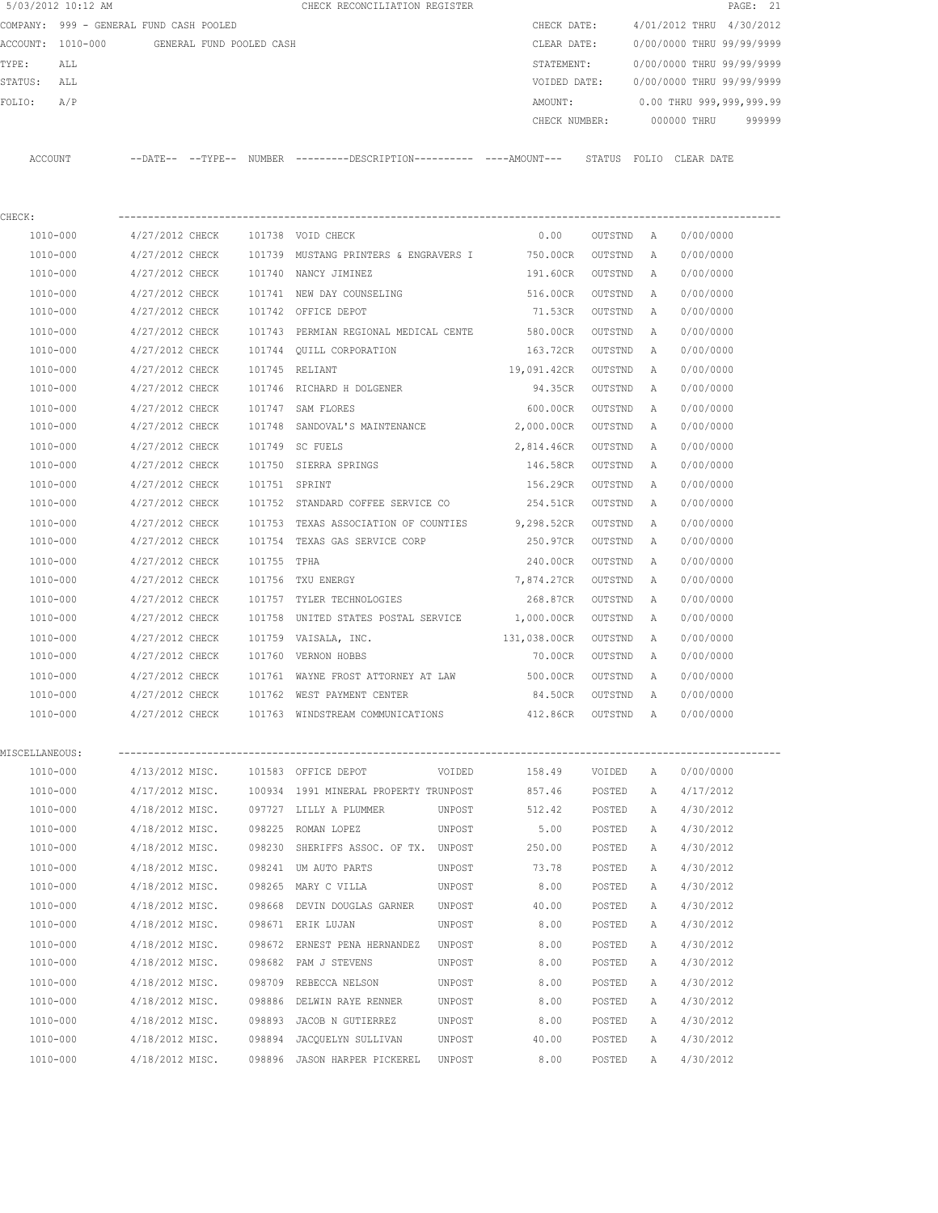|                   | 5/03/2012 10:12 AM                      |                 |                          |               | CHECK RECONCILIATION REGISTER                                                                 |        |                    |                     |              | PAGE: 21                  |        |
|-------------------|-----------------------------------------|-----------------|--------------------------|---------------|-----------------------------------------------------------------------------------------------|--------|--------------------|---------------------|--------------|---------------------------|--------|
|                   | COMPANY: 999 - GENERAL FUND CASH POOLED |                 |                          |               |                                                                                               |        | CHECK DATE:        |                     |              | 4/01/2012 THRU 4/30/2012  |        |
| ACCOUNT: 1010-000 |                                         |                 | GENERAL FUND POOLED CASH |               |                                                                                               |        | CLEAR DATE:        |                     |              | 0/00/0000 THRU 99/99/9999 |        |
| TYPE:             | ALL                                     |                 |                          |               |                                                                                               |        | STATEMENT:         |                     |              | 0/00/0000 THRU 99/99/9999 |        |
| STATUS:           | ALL                                     |                 |                          |               |                                                                                               |        | VOIDED DATE:       |                     |              | 0/00/0000 THRU 99/99/9999 |        |
| FOLIO:            | A/P                                     |                 |                          |               |                                                                                               |        | AMOUNT:            |                     |              | 0.00 THRU 999,999,999.99  |        |
|                   |                                         |                 |                          |               |                                                                                               |        | CHECK NUMBER:      |                     |              | 000000 THRU               | 999999 |
| ACCOUNT           |                                         |                 |                          |               | --DATE-- --TYPE-- NUMBER ---------DESCRIPTION---------- ----AMOUNT--- STATUS FOLIO CLEAR DATE |        |                    |                     |              |                           |        |
|                   |                                         |                 |                          |               |                                                                                               |        |                    |                     |              |                           |        |
| CHECK:            |                                         |                 |                          |               |                                                                                               |        |                    |                     |              |                           |        |
| 1010-000          |                                         | 4/27/2012 CHECK |                          |               | 101738 VOID CHECK                                                                             |        | 0.00               | OUTSTND             | A            | 0/00/0000                 |        |
| 1010-000          |                                         | 4/27/2012 CHECK |                          |               | 101739 MUSTANG PRINTERS & ENGRAVERS I                                                         |        | 750.00CR           | OUTSTND             | $\mathbb{A}$ | 0/00/0000                 |        |
| 1010-000          |                                         | 4/27/2012 CHECK |                          |               | 101740 NANCY JIMINEZ                                                                          |        | 191.60CR           | OUTSTND             | $\mathbb{A}$ | 0/00/0000                 |        |
| 1010-000          |                                         | 4/27/2012 CHECK |                          |               | 101741 NEW DAY COUNSELING                                                                     |        | 516.00CR           | OUTSTND             | Α            | 0/00/0000                 |        |
| 1010-000          |                                         | 4/27/2012 CHECK |                          |               | 101742 OFFICE DEPOT                                                                           |        | 71.53CR            | OUTSTND             | Α            | 0/00/0000                 |        |
| 1010-000          |                                         | 4/27/2012 CHECK |                          |               | 101743 PERMIAN REGIONAL MEDICAL CENTE 580.00CR                                                |        |                    | OUTSTND             | A            | 0/00/0000                 |        |
| 1010-000          |                                         | 4/27/2012 CHECK |                          |               | 101744 OUILL CORPORATION                                                                      |        | 163.72CR           | OUTSTND             | A            | 0/00/0000                 |        |
| 1010-000          |                                         | 4/27/2012 CHECK |                          |               | 101745 RELIANT                                                                                |        | 19,091.42CR        | OUTSTND             | $\mathbb{A}$ | 0/00/0000                 |        |
| 1010-000          |                                         | 4/27/2012 CHECK |                          |               | 101746 RICHARD H DOLGENER                                                                     |        | 94.35CR            | OUTSTND             | A            | 0/00/0000                 |        |
| 1010-000          |                                         | 4/27/2012 CHECK |                          | 101747        | SAM FLORES                                                                                    |        | 600.00CR           | OUTSTND             | Α            | 0/00/0000                 |        |
| 1010-000          |                                         | 4/27/2012 CHECK |                          |               | 101748 SANDOVAL'S MAINTENANCE                                                                 |        | 2,000.00CR         | OUTSTND             | Α            | 0/00/0000                 |        |
| 1010-000          |                                         | 4/27/2012 CHECK |                          |               | 101749 SC FUELS                                                                               |        | 2,814.46CR         | OUTSTND             | Α            | 0/00/0000                 |        |
| 1010-000          |                                         | 4/27/2012 CHECK |                          |               | 101750 SIERRA SPRINGS                                                                         |        | 146.58CR           | OUTSTND             | A            | 0/00/0000                 |        |
| 1010-000          |                                         | 4/27/2012 CHECK |                          | 101751 SPRINT |                                                                                               |        | 156.29CR           | OUTSTND             | A            | 0/00/0000                 |        |
| 1010-000          |                                         | 4/27/2012 CHECK |                          |               | 101752 STANDARD COFFEE SERVICE CO                                                             |        | 254.51CR           | OUTSTND             | $\mathbb{A}$ | 0/00/0000                 |        |
| 1010-000          |                                         | 4/27/2012 CHECK |                          | 101753        | TEXAS ASSOCIATION OF COUNTIES 9,298.52CR                                                      |        |                    | OUTSTND             | Α            | 0/00/0000                 |        |
| 1010-000          |                                         | 4/27/2012 CHECK |                          | 101754        | TEXAS GAS SERVICE CORP                                                                        |        | 250.97CR           | OUTSTND             | Α            | 0/00/0000                 |        |
| 1010-000          |                                         | 4/27/2012 CHECK |                          | 101755        | TPHA                                                                                          |        | 240.00CR           | OUTSTND             | А            | 0/00/0000                 |        |
| 1010-000          |                                         | 4/27/2012 CHECK |                          | 101756        | TXU ENERGY                                                                                    |        | 7,874.27CR         | OUTSTND             | A            | 0/00/0000                 |        |
| 1010-000          |                                         | 4/27/2012 CHECK |                          | 101757        | TYLER TECHNOLOGIES                                                                            |        | 268.87CR           | OUTSTND             | $\mathbb{A}$ | 0/00/0000                 |        |
| 1010-000          |                                         | 4/27/2012 CHECK |                          |               | 101758 UNITED STATES POSTAL SERVICE 1,000.00CR                                                |        |                    | OUTSTND             | $\mathbb{A}$ | 0/00/0000                 |        |
| 1010-000          |                                         | 4/27/2012 CHECK |                          | 101759        | VAISALA, INC.                                                                                 |        | 131,038.00CR       | OUTSTND             | Α            | 0/00/0000                 |        |
| 1010-000          |                                         | 4/27/2012 CHECK |                          |               | 101760 VERNON HOBBS                                                                           |        | 70.00CR            | OUTSTND             | A            | 0/00/0000                 |        |
| 1010-000          |                                         | 4/27/2012 CHECK |                          |               | 101761 WAYNE FROST ATTORNEY AT LAW                                                            |        | 500.00CR           | OUTSTND             | A            | 0/00/0000                 |        |
| 1010-000          |                                         | 4/27/2012 CHECK |                          |               | 101762 WEST PAYMENT CENTER                                                                    |        | 84.50CR            | OUTSTND             | A            | 0/00/0000                 |        |
| 1010-000          |                                         | 4/27/2012 CHECK |                          |               | 101763 WINDSTREAM COMMUNICATIONS                                                              |        | 412.86CR OUTSTND A |                     |              | 0/00/0000                 |        |
| MISCELLANEOUS:    |                                         |                 |                          |               |                                                                                               |        |                    |                     |              |                           |        |
| 1010-000          |                                         |                 |                          |               | 4/13/2012 MISC. 101583 OFFICE DEPOT                                                           | VOIDED | 158.49             | VOIDED              | Α            | 0/00/0000                 |        |
| 1010-000          |                                         | 4/17/2012 MISC. |                          |               | 100934 1991 MINERAL PROPERTY TRUNPOST                                                         |        | 857.46             | POSTED              | А            | 4/17/2012                 |        |
| 1010-000          |                                         | 4/18/2012 MISC. |                          |               | 097727 LILLY A PLUMMER                                                                        | UNPOST | 512.42             | POSTED              | Α            | 4/30/2012                 |        |
| 1010-000          |                                         | 4/18/2012 MISC. |                          |               | 098225 ROMAN LOPEZ                                                                            | UNPOST | 5.00               | POSTED              | Α            | 4/30/2012                 |        |
| 1010-000          |                                         | 4/18/2012 MISC. |                          |               | 098230 SHERIFFS ASSOC. OF TX. UNPOST                                                          |        | 250.00             | POSTED              | Α            | 4/30/2012                 |        |
| 1010-000          |                                         | 4/18/2012 MISC. |                          |               | 098241 UM AUTO PARTS                                                                          | UNPOST | 73.78              | POSTED              | Α            | 4/30/2012                 |        |
| 1010-000          |                                         | 4/18/2012 MISC. |                          |               | 098265 MARY C VILLA                                                                           | UNPOST | 8.00               | POSTED              | Α            | 4/30/2012                 |        |
| 1010-000          |                                         | 4/18/2012 MISC. |                          |               | 098668 DEVIN DOUGLAS GARNER                                                                   | UNPOST | 40.00              | POSTED              | Α            | 4/30/2012                 |        |
| 1010-000          |                                         | 4/18/2012 MISC. |                          |               | 098671 ERIK LUJAN                                                                             | UNPOST | 8.00               | POSTED              | Α            | 4/30/2012                 |        |
| 1010-000          |                                         | 4/18/2012 MISC. |                          |               | 098672 ERNEST PENA HERNANDEZ                                                                  | UNPOST | 8.00               | $\texttt{POSTED}{}$ | Α            | 4/30/2012                 |        |
| 1010-000          |                                         | 4/18/2012 MISC. |                          |               | 098682 PAM J STEVENS                                                                          | UNPOST | 8.00               | POSTED              | Α            | 4/30/2012                 |        |

 1010-000 4/18/2012 MISC. 098709 REBECCA NELSON UNPOST 8.00 POSTED A 4/30/2012 1010-000 4/18/2012 MISC. 098886 DELWIN RAYE RENNER UNPOST 8.00 POSTED A 4/30/2012 1010-000 4/18/2012 MISC. 098893 JACOB N GUTIERREZ UNPOST 8.00 POSTED A 4/30/2012 1010-000 4/18/2012 MISC. 098894 JACQUELYN SULLIVAN UNPOST 40.00 POSTED A 4/30/2012 1010-000 4/18/2012 MISC. 098896 JASON HARPER PICKEREL UNPOST 8.00 POSTED A 4/30/2012